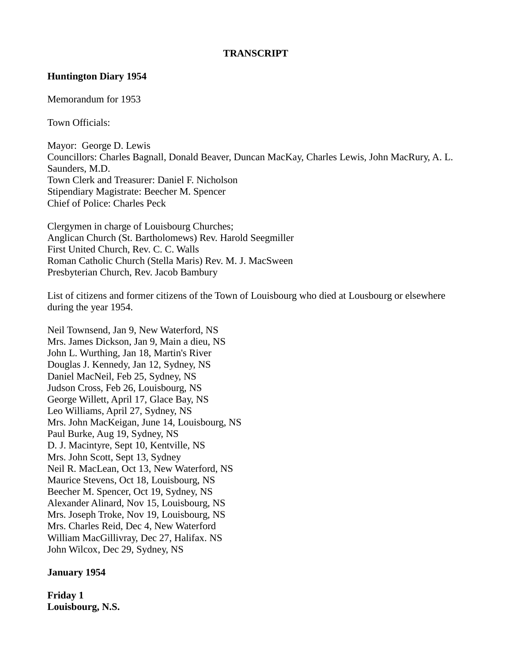#### **TRANSCRIPT**

#### **Huntington Diary 1954**

Memorandum for 1953

Town Officials:

Mayor: George D. Lewis Councillors: Charles Bagnall, Donald Beaver, Duncan MacKay, Charles Lewis, John MacRury, A. L. Saunders, M.D. Town Clerk and Treasurer: Daniel F. Nicholson Stipendiary Magistrate: Beecher M. Spencer Chief of Police: Charles Peck

Clergymen in charge of Louisbourg Churches; Anglican Church (St. Bartholomews) Rev. Harold Seegmiller First United Church, Rev. C. C. Walls Roman Catholic Church (Stella Maris) Rev. M. J. MacSween Presbyterian Church, Rev. Jacob Bambury

List of citizens and former citizens of the Town of Louisbourg who died at Lousbourg or elsewhere during the year 1954.

Neil Townsend, Jan 9, New Waterford, NS Mrs. James Dickson, Jan 9, Main a dieu, NS John L. Wurthing, Jan 18, Martin's River Douglas J. Kennedy, Jan 12, Sydney, NS Daniel MacNeil, Feb 25, Sydney, NS Judson Cross, Feb 26, Louisbourg, NS George Willett, April 17, Glace Bay, NS Leo Williams, April 27, Sydney, NS Mrs. John MacKeigan, June 14, Louisbourg, NS Paul Burke, Aug 19, Sydney, NS D. J. Macintyre, Sept 10, Kentville, NS Mrs. John Scott, Sept 13, Sydney Neil R. MacLean, Oct 13, New Waterford, NS Maurice Stevens, Oct 18, Louisbourg, NS Beecher M. Spencer, Oct 19, Sydney, NS Alexander Alinard, Nov 15, Louisbourg, NS Mrs. Joseph Troke, Nov 19, Louisbourg, NS Mrs. Charles Reid, Dec 4, New Waterford William MacGillivray, Dec 27, Halifax. NS John Wilcox, Dec 29, Sydney, NS

#### **January 1954**

**Friday 1 Louisbourg, N.S.**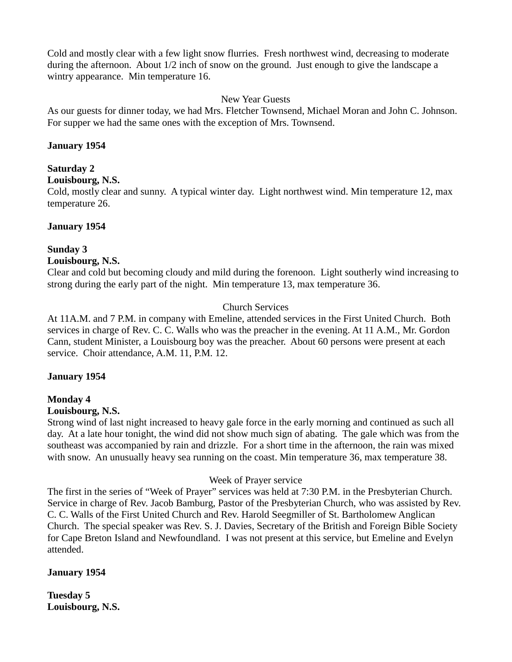Cold and mostly clear with a few light snow flurries. Fresh northwest wind, decreasing to moderate during the afternoon. About 1/2 inch of snow on the ground. Just enough to give the landscape a wintry appearance. Min temperature 16.

#### New Year Guests

As our guests for dinner today, we had Mrs. Fletcher Townsend, Michael Moran and John C. Johnson. For supper we had the same ones with the exception of Mrs. Townsend.

#### **January 1954**

#### **Saturday 2**

**Louisbourg, N.S.**

Cold, mostly clear and sunny. A typical winter day. Light northwest wind. Min temperature 12, max temperature 26.

#### **January 1954**

#### **Sunday 3**

#### **Louisbourg, N.S.**

Clear and cold but becoming cloudy and mild during the forenoon. Light southerly wind increasing to strong during the early part of the night. Min temperature 13, max temperature 36.

#### Church Services

At 11A.M. and 7 P.M. in company with Emeline, attended services in the First United Church. Both services in charge of Rev. C. C. Walls who was the preacher in the evening. At 11 A.M., Mr. Gordon Cann, student Minister, a Louisbourg boy was the preacher. About 60 persons were present at each service. Choir attendance, A.M. 11, P.M. 12.

#### **January 1954**

#### **Monday 4**

#### **Louisbourg, N.S.**

Strong wind of last night increased to heavy gale force in the early morning and continued as such all day. At a late hour tonight, the wind did not show much sign of abating. The gale which was from the southeast was accompanied by rain and drizzle. For a short time in the afternoon, the rain was mixed with snow. An unusually heavy sea running on the coast. Min temperature 36, max temperature 38.

#### Week of Prayer service

The first in the series of "Week of Prayer" services was held at 7:30 P.M. in the Presbyterian Church. Service in charge of Rev. Jacob Bamburg, Pastor of the Presbyterian Church, who was assisted by Rev. C. C. Walls of the First United Church and Rev. Harold Seegmiller of St. Bartholomew Anglican Church. The special speaker was Rev. S. J. Davies, Secretary of the British and Foreign Bible Society for Cape Breton Island and Newfoundland. I was not present at this service, but Emeline and Evelyn attended.

#### **January 1954**

**Tuesday 5 Louisbourg, N.S.**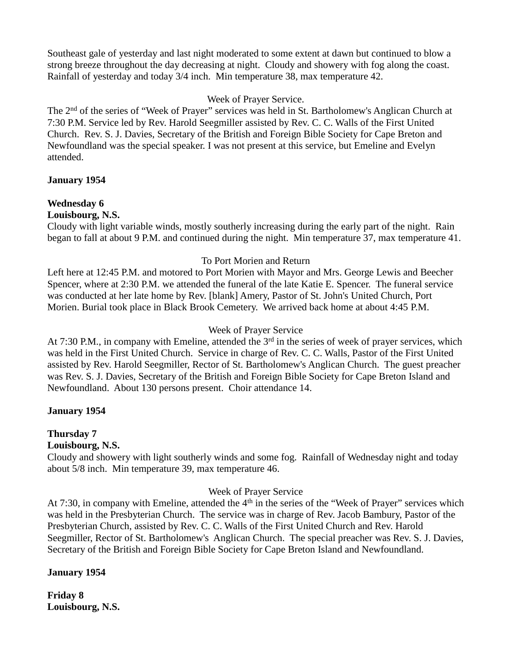Southeast gale of yesterday and last night moderated to some extent at dawn but continued to blow a strong breeze throughout the day decreasing at night. Cloudy and showery with fog along the coast. Rainfall of yesterday and today 3/4 inch. Min temperature 38, max temperature 42.

#### Week of Prayer Service.

The 2<sup>nd</sup> of the series of "Week of Prayer" services was held in St. Bartholomew's Anglican Church at 7:30 P.M. Service led by Rev. Harold Seegmiller assisted by Rev. C. C. Walls of the First United Church. Rev. S. J. Davies, Secretary of the British and Foreign Bible Society for Cape Breton and Newfoundland was the special speaker. I was not present at this service, but Emeline and Evelyn attended.

## **January 1954**

## **Wednesday 6**

## **Louisbourg, N.S.**

Cloudy with light variable winds, mostly southerly increasing during the early part of the night. Rain began to fall at about 9 P.M. and continued during the night. Min temperature 37, max temperature 41.

## To Port Morien and Return

Left here at 12:45 P.M. and motored to Port Morien with Mayor and Mrs. George Lewis and Beecher Spencer, where at 2:30 P.M. we attended the funeral of the late Katie E. Spencer. The funeral service was conducted at her late home by Rev. [blank] Amery, Pastor of St. John's United Church, Port Morien. Burial took place in Black Brook Cemetery. We arrived back home at about 4:45 P.M.

### Week of Prayer Service

At 7:30 P.M., in company with Emeline, attended the  $3<sup>rd</sup>$  in the series of week of prayer services, which was held in the First United Church. Service in charge of Rev. C. C. Walls, Pastor of the First United assisted by Rev. Harold Seegmiller, Rector of St. Bartholomew's Anglican Church. The guest preacher was Rev. S. J. Davies, Secretary of the British and Foreign Bible Society for Cape Breton Island and Newfoundland. About 130 persons present. Choir attendance 14.

## **January 1954**

## **Thursday 7**

### **Louisbourg, N.S.**

Cloudy and showery with light southerly winds and some fog. Rainfall of Wednesday night and today about 5/8 inch. Min temperature 39, max temperature 46.

## Week of Prayer Service

At 7:30, in company with Emeline, attended the 4<sup>th</sup> in the series of the "Week of Prayer" services which was held in the Presbyterian Church. The service was in charge of Rev. Jacob Bambury, Pastor of the Presbyterian Church, assisted by Rev. C. C. Walls of the First United Church and Rev. Harold Seegmiller, Rector of St. Bartholomew's Anglican Church. The special preacher was Rev. S. J. Davies, Secretary of the British and Foreign Bible Society for Cape Breton Island and Newfoundland.

#### **January 1954**

**Friday 8 Louisbourg, N.S.**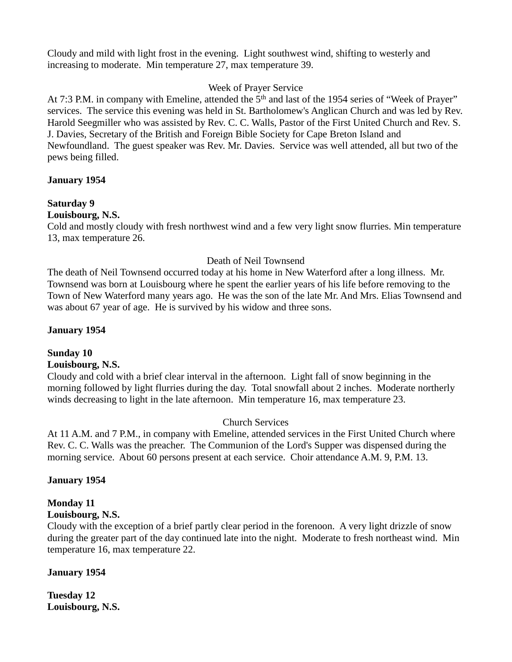Cloudy and mild with light frost in the evening. Light southwest wind, shifting to westerly and increasing to moderate. Min temperature 27, max temperature 39.

#### Week of Prayer Service

At 7:3 P.M. in company with Emeline, attended the 5<sup>th</sup> and last of the 1954 series of "Week of Prayer" services. The service this evening was held in St. Bartholomew's Anglican Church and was led by Rev. Harold Seegmiller who was assisted by Rev. C. C. Walls, Pastor of the First United Church and Rev. S. J. Davies, Secretary of the British and Foreign Bible Society for Cape Breton Island and Newfoundland. The guest speaker was Rev. Mr. Davies. Service was well attended, all but two of the pews being filled.

#### **January 1954**

# **Saturday 9**

#### **Louisbourg, N.S.**

Cold and mostly cloudy with fresh northwest wind and a few very light snow flurries. Min temperature 13, max temperature 26.

## Death of Neil Townsend

The death of Neil Townsend occurred today at his home in New Waterford after a long illness. Mr. Townsend was born at Louisbourg where he spent the earlier years of his life before removing to the Town of New Waterford many years ago. He was the son of the late Mr. And Mrs. Elias Townsend and was about 67 year of age. He is survived by his widow and three sons.

## **January 1954**

#### **Sunday 10 Louisbourg, N.S.**

Cloudy and cold with a brief clear interval in the afternoon. Light fall of snow beginning in the morning followed by light flurries during the day. Total snowfall about 2 inches. Moderate northerly winds decreasing to light in the late afternoon. Min temperature 16, max temperature 23.

## Church Services

At 11 A.M. and 7 P.M., in company with Emeline, attended services in the First United Church where Rev. C. C. Walls was the preacher. The Communion of the Lord's Supper was dispensed during the morning service. About 60 persons present at each service. Choir attendance A.M. 9, P.M. 13.

## **January 1954**

#### **Monday 11 Louisbourg, N.S.**

Cloudy with the exception of a brief partly clear period in the forenoon. A very light drizzle of snow during the greater part of the day continued late into the night. Moderate to fresh northeast wind. Min temperature 16, max temperature 22.

#### **January 1954**

**Tuesday 12 Louisbourg, N.S.**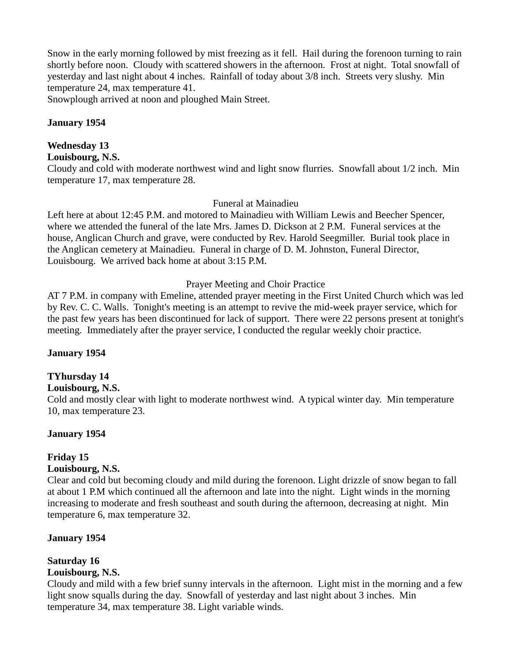Snow in the early morning followed by mist freezing as it fell. Hail during the forenoon turning to rain shortly before noon. Cloudy with scattered showers in the afternoon. Frost at night. Total snowfall of yesterday and last night about 4 inches. Rainfall of today about 3/8 inch. Streets very slushy. Min temperature 24, max temperature 41.

Snowplough arrived at noon and ploughed Main Street.

#### **January 1954**

#### **Wednesday 13**

**Louisbourg, N.S.**

Cloudy and cold with moderate northwest wind and light snow flurries. Snowfall about 1/2 inch. Min temperature 17, max temperature 28.

#### Funeral at Mainadieu

Left here at about 12:45 P.M. and motored to Mainadieu with William Lewis and Beecher Spencer, where we attended the funeral of the late Mrs. James D. Dickson at 2 P.M. Funeral services at the house, Anglican Church and grave, were conducted by Rev. Harold Seegmiller. Burial took place in the Anglican cemetery at Mainadieu. Funeral in charge of D. M. Johnston, Funeral Director, Louisbourg. We arrived back home at about 3:15 P.M.

#### Prayer Meeting and Choir Practice

AT 7 P.M. in company with Emeline, attended prayer meeting in the First United Church which was led by Rev. C. C. Walls. Tonight's meeting is an attempt to revive the mid-week prayer service, which for the past few years has been discontinued for lack of support. There were 22 persons present at tonight's meeting. Immediately after the prayer service, I conducted the regular weekly choir practice.

#### **January 1954**

#### **TYhursday 14**

#### **Louisbourg, N.S.**

Cold and mostly clear with light to moderate northwest wind. A typical winter day. Min temperature 10, max temperature 23.

#### **January 1954**

## **Friday 15**

#### **Louisbourg, N.S.**

Clear and cold but becoming cloudy and mild during the forenoon. Light drizzle of snow began to fall at about 1 P.M which continued all the afternoon and late into the night. Light winds in the morning increasing to moderate and fresh southeast and south during the afternoon, decreasing at night. Min temperature 6, max temperature 32.

#### **January 1954**

# **Saturday 16**

## **Louisbourg, N.S.**

Cloudy and mild with a few brief sunny intervals in the afternoon. Light mist in the morning and a few light snow squalls during the day. Snowfall of yesterday and last night about 3 inches. Min temperature 34, max temperature 38. Light variable winds.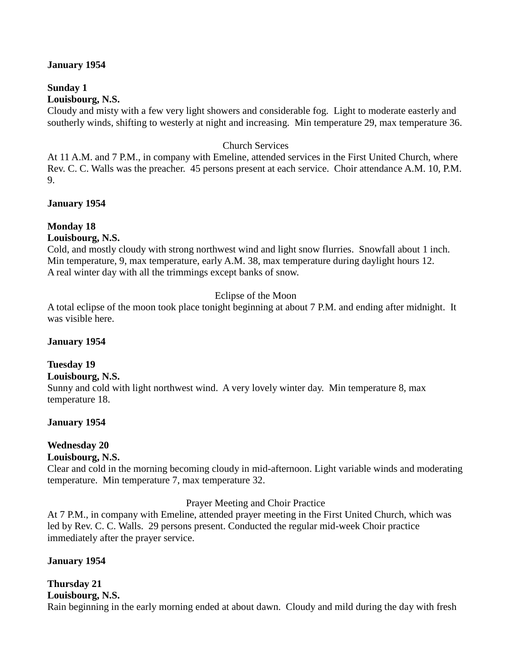#### **January 1954**

# **Sunday 1**

## **Louisbourg, N.S.**

Cloudy and misty with a few very light showers and considerable fog. Light to moderate easterly and southerly winds, shifting to westerly at night and increasing. Min temperature 29, max temperature 36.

#### Church Services

At 11 A.M. and 7 P.M., in company with Emeline, attended services in the First United Church, where Rev. C. C. Walls was the preacher. 45 persons present at each service. Choir attendance A.M. 10, P.M. 9.

#### **January 1954**

#### **Monday 18**

#### **Louisbourg, N.S.**

Cold, and mostly cloudy with strong northwest wind and light snow flurries. Snowfall about 1 inch. Min temperature, 9, max temperature, early A.M. 38, max temperature during daylight hours 12. A real winter day with all the trimmings except banks of snow.

#### Eclipse of the Moon

A total eclipse of the moon took place tonight beginning at about 7 P.M. and ending after midnight. It was visible here.

#### **January 1954**

#### **Tuesday 19**

#### **Louisbourg, N.S.**

Sunny and cold with light northwest wind. A very lovely winter day. Min temperature 8, max temperature 18.

#### **January 1954**

#### **Wednesday 20**

#### **Louisbourg, N.S.**

Clear and cold in the morning becoming cloudy in mid-afternoon. Light variable winds and moderating temperature. Min temperature 7, max temperature 32.

#### Prayer Meeting and Choir Practice

At 7 P.M., in company with Emeline, attended prayer meeting in the First United Church, which was led by Rev. C. C. Walls. 29 persons present. Conducted the regular mid-week Choir practice immediately after the prayer service.

#### **January 1954**

## **Thursday 21**

**Louisbourg, N.S.**

Rain beginning in the early morning ended at about dawn. Cloudy and mild during the day with fresh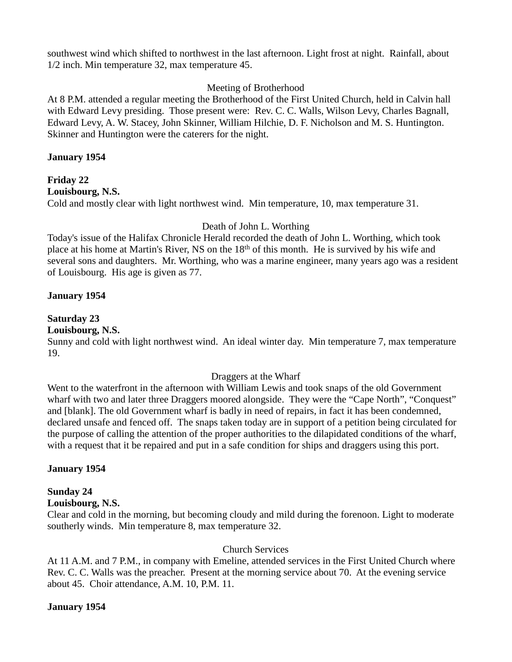southwest wind which shifted to northwest in the last afternoon. Light frost at night. Rainfall, about 1/2 inch. Min temperature 32, max temperature 45.

#### Meeting of Brotherhood

At 8 P.M. attended a regular meeting the Brotherhood of the First United Church, held in Calvin hall with Edward Levy presiding. Those present were: Rev. C. C. Walls, Wilson Levy, Charles Bagnall, Edward Levy, A. W. Stacey, John Skinner, William Hilchie, D. F. Nicholson and M. S. Huntington. Skinner and Huntington were the caterers for the night.

#### **January 1954**

**Friday 22 Louisbourg, N.S.** Cold and mostly clear with light northwest wind. Min temperature, 10, max temperature 31.

## Death of John L. Worthing

Today's issue of the Halifax Chronicle Herald recorded the death of John L. Worthing, which took place at his home at Martin's River, NS on the 18<sup>th</sup> of this month. He is survived by his wife and several sons and daughters. Mr. Worthing, who was a marine engineer, many years ago was a resident of Louisbourg. His age is given as 77.

#### **January 1954**

## **Saturday 23**

#### **Louisbourg, N.S.**

Sunny and cold with light northwest wind. An ideal winter day. Min temperature 7, max temperature 19.

#### Draggers at the Wharf

Went to the waterfront in the afternoon with William Lewis and took snaps of the old Government wharf with two and later three Draggers moored alongside. They were the "Cape North", "Conquest" and [blank]. The old Government wharf is badly in need of repairs, in fact it has been condemned, declared unsafe and fenced off. The snaps taken today are in support of a petition being circulated for the purpose of calling the attention of the proper authorities to the dilapidated conditions of the wharf, with a request that it be repaired and put in a safe condition for ships and draggers using this port.

#### **January 1954**

## **Sunday 24**

#### **Louisbourg, N.S.**

Clear and cold in the morning, but becoming cloudy and mild during the forenoon. Light to moderate southerly winds. Min temperature 8, max temperature 32.

#### Church Services

At 11 A.M. and 7 P.M., in company with Emeline, attended services in the First United Church where Rev. C. C. Walls was the preacher. Present at the morning service about 70. At the evening service about 45. Choir attendance, A.M. 10, P.M. 11.

#### **January 1954**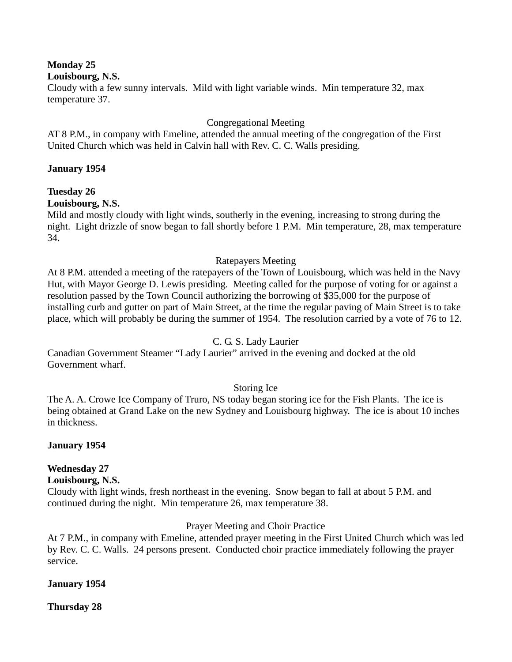**Monday 25**

#### **Louisbourg, N.S.**

Cloudy with a few sunny intervals. Mild with light variable winds. Min temperature 32, max temperature 37.

#### Congregational Meeting

AT 8 P.M., in company with Emeline, attended the annual meeting of the congregation of the First United Church which was held in Calvin hall with Rev. C. C. Walls presiding.

#### **January 1954**

## **Tuesday 26**

## **Louisbourg, N.S.**

Mild and mostly cloudy with light winds, southerly in the evening, increasing to strong during the night. Light drizzle of snow began to fall shortly before 1 P.M. Min temperature, 28, max temperature 34.

#### Ratepayers Meeting

At 8 P.M. attended a meeting of the ratepayers of the Town of Louisbourg, which was held in the Navy Hut, with Mayor George D. Lewis presiding. Meeting called for the purpose of voting for or against a resolution passed by the Town Council authorizing the borrowing of \$35,000 for the purpose of installing curb and gutter on part of Main Street, at the time the regular paving of Main Street is to take place, which will probably be during the summer of 1954. The resolution carried by a vote of 76 to 12.

#### C. G. S. Lady Laurier

Canadian Government Steamer "Lady Laurier" arrived in the evening and docked at the old Government wharf.

## Storing Ice

The A. A. Crowe Ice Company of Truro, NS today began storing ice for the Fish Plants. The ice is being obtained at Grand Lake on the new Sydney and Louisbourg highway. The ice is about 10 inches in thickness.

#### **January 1954**

# **Wednesday 27**

## **Louisbourg, N.S.**

Cloudy with light winds, fresh northeast in the evening. Snow began to fall at about 5 P.M. and continued during the night. Min temperature 26, max temperature 38.

## Prayer Meeting and Choir Practice

At 7 P.M., in company with Emeline, attended prayer meeting in the First United Church which was led by Rev. C. C. Walls. 24 persons present. Conducted choir practice immediately following the prayer service.

#### **January 1954**

**Thursday 28**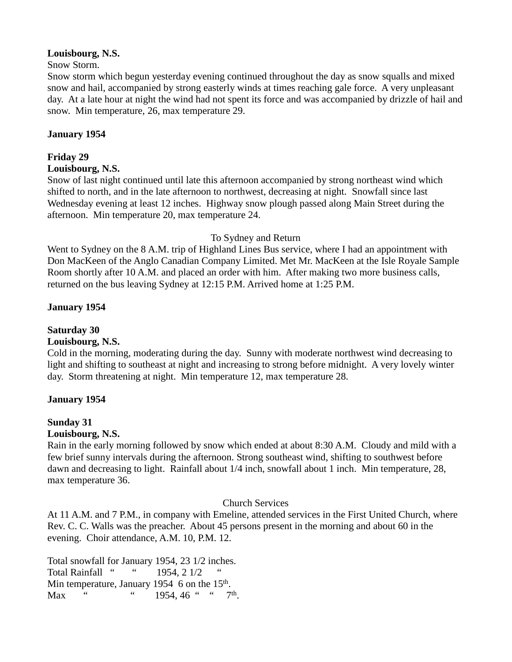#### **Louisbourg, N.S.**

#### Snow Storm.

Snow storm which begun yesterday evening continued throughout the day as snow squalls and mixed snow and hail, accompanied by strong easterly winds at times reaching gale force. A very unpleasant day. At a late hour at night the wind had not spent its force and was accompanied by drizzle of hail and snow. Min temperature, 26, max temperature 29.

## **January 1954**

## **Friday 29**

#### **Louisbourg, N.S.**

Snow of last night continued until late this afternoon accompanied by strong northeast wind which shifted to north, and in the late afternoon to northwest, decreasing at night. Snowfall since last Wednesday evening at least 12 inches. Highway snow plough passed along Main Street during the afternoon. Min temperature 20, max temperature 24.

#### To Sydney and Return

Went to Sydney on the 8 A.M. trip of Highland Lines Bus service, where I had an appointment with Don MacKeen of the Anglo Canadian Company Limited. Met Mr. MacKeen at the Isle Royale Sample Room shortly after 10 A.M. and placed an order with him. After making two more business calls, returned on the bus leaving Sydney at 12:15 P.M. Arrived home at 1:25 P.M.

#### **January 1954**

# **Saturday 30**

#### **Louisbourg, N.S.**

Cold in the morning, moderating during the day. Sunny with moderate northwest wind decreasing to light and shifting to southeast at night and increasing to strong before midnight. A very lovely winter day. Storm threatening at night. Min temperature 12, max temperature 28.

#### **January 1954**

#### **Sunday 31**

#### **Louisbourg, N.S.**

Rain in the early morning followed by snow which ended at about 8:30 A.M. Cloudy and mild with a few brief sunny intervals during the afternoon. Strong southeast wind, shifting to southwest before dawn and decreasing to light. Rainfall about 1/4 inch, snowfall about 1 inch. Min temperature, 28, max temperature 36.

#### Church Services

At 11 A.M. and 7 P.M., in company with Emeline, attended services in the First United Church, where Rev. C. C. Walls was the preacher. About 45 persons present in the morning and about 60 in the evening. Choir attendance, A.M. 10, P.M. 12.

Total snowfall for January 1954, 23 1/2 inches. Total Rainfall " " 1954, 2 1/2 Min temperature, January 1954  $6$  on the 15<sup>th</sup>. Max "  $\ldots$  " 1954, 46 "  $\ldots$  7<sup>th</sup>.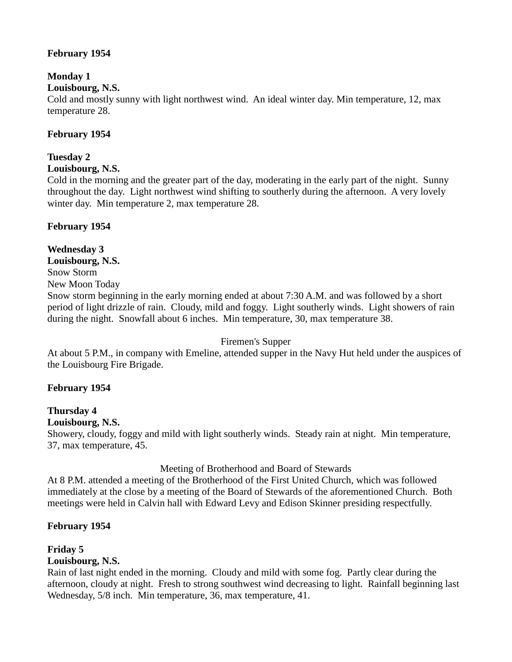## **February 1954**

## **Monday 1**

## **Louisbourg, N.S.**

Cold and mostly sunny with light northwest wind. An ideal winter day. Min temperature, 12, max temperature 28.

## **February 1954**

## **Tuesday 2**

**Louisbourg, N.S.**

Cold in the morning and the greater part of the day, moderating in the early part of the night. Sunny throughout the day. Light northwest wind shifting to southerly during the afternoon. A very lovely winter day. Min temperature 2, max temperature 28.

## **February 1954**

## **Wednesday 3**

#### **Louisbourg, N.S.**

Snow Storm

New Moon Today

Snow storm beginning in the early morning ended at about 7:30 A.M. and was followed by a short period of light drizzle of rain. Cloudy, mild and foggy. Light southerly winds. Light showers of rain during the night. Snowfall about 6 inches. Min temperature, 30, max temperature 38.

#### Firemen's Supper

At about 5 P.M., in company with Emeline, attended supper in the Navy Hut held under the auspices of the Louisbourg Fire Brigade.

## **February 1954**

#### **Thursday 4 Louisbourg, N.S.**

## Showery, cloudy, foggy and mild with light southerly winds. Steady rain at night. Min temperature, 37, max temperature, 45.

#### Meeting of Brotherhood and Board of Stewards

At 8 P.M. attended a meeting of the Brotherhood of the First United Church, which was followed immediately at the close by a meeting of the Board of Stewards of the aforementioned Church. Both meetings were held in Calvin hall with Edward Levy and Edison Skinner presiding respectfully.

## **February 1954**

# **Friday 5**

## **Louisbourg, N.S.**

Rain of last night ended in the morning. Cloudy and mild with some fog. Partly clear during the afternoon, cloudy at night. Fresh to strong southwest wind decreasing to light. Rainfall beginning last Wednesday, 5/8 inch. Min temperature, 36, max temperature, 41.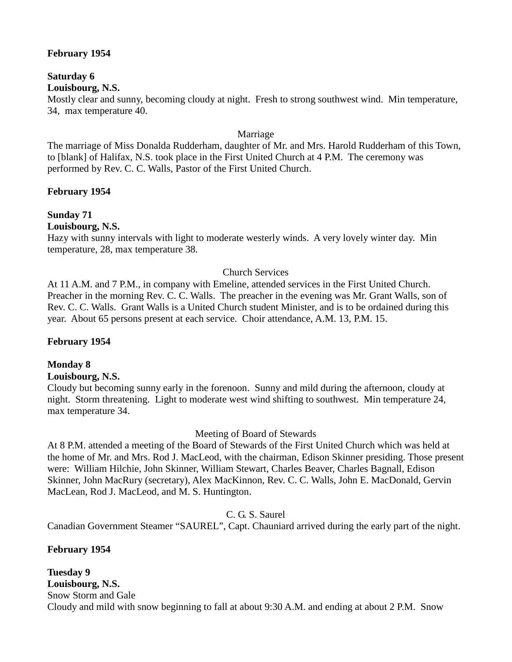#### **February 1954**

# **Saturday 6**

**Louisbourg, N.S.**

Mostly clear and sunny, becoming cloudy at night. Fresh to strong southwest wind. Min temperature, 34, max temperature 40.

#### Marriage

The marriage of Miss Donalda Rudderham, daughter of Mr. and Mrs. Harold Rudderham of this Town, to [blank] of Halifax, N.S. took place in the First United Church at 4 P.M. The ceremony was performed by Rev. C. C. Walls, Pastor of the First United Church.

#### **February 1954**

#### **Sunday 71**

**Louisbourg, N.S.**

Hazy with sunny intervals with light to moderate westerly winds. A very lovely winter day. Min temperature, 28, max temperature 38.

#### Church Services

At 11 A.M. and 7 P.M., in company with Emeline, attended services in the First United Church. Preacher in the morning Rev. C. C. Walls. The preacher in the evening was Mr. Grant Walls, son of Rev. C. C. Walls. Grant Walls is a United Church student Minister, and is to be ordained during this year. About 65 persons present at each service. Choir attendance, A.M. 13, P.M. 15.

#### **February 1954**

#### **Monday 8**

#### **Louisbourg, N.S.**

Cloudy but becoming sunny early in the forenoon. Sunny and mild during the afternoon, cloudy at night. Storm threatening. Light to moderate west wind shifting to southwest. Min temperature 24, max temperature 34.

Meeting of Board of Stewards

At 8 P.M. attended a meeting of the Board of Stewards of the First United Church which was held at the home of Mr. and Mrs. Rod J. MacLeod, with the chairman, Edison Skinner presiding. Those present were: William Hilchie, John Skinner, William Stewart, Charles Beaver, Charles Bagnall, Edison Skinner, John MacRury (secretary), Alex MacKinnon, Rev. C. C. Walls, John E. MacDonald, Gervin MacLean, Rod J. MacLeod, and M. S. Huntington.

C. G. S. Saurel

Canadian Government Steamer "SAUREL", Capt. Chauniard arrived during the early part of the night.

#### **February 1954**

**Tuesday 9 Louisbourg, N.S.** Snow Storm and Gale Cloudy and mild with snow beginning to fall at about 9:30 A.M. and ending at about 2 P.M. Snow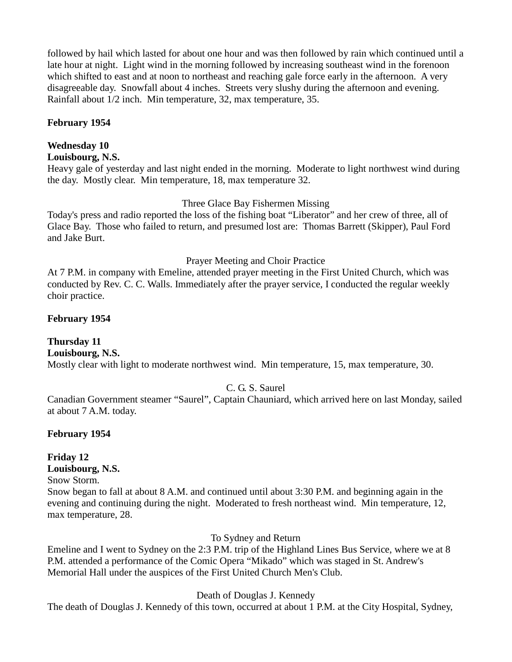followed by hail which lasted for about one hour and was then followed by rain which continued until a late hour at night. Light wind in the morning followed by increasing southeast wind in the forenoon which shifted to east and at noon to northeast and reaching gale force early in the afternoon. A very disagreeable day. Snowfall about 4 inches. Streets very slushy during the afternoon and evening. Rainfall about 1/2 inch. Min temperature, 32, max temperature, 35.

#### **February 1954**

#### **Wednesday 10**

#### **Louisbourg, N.S.**

Heavy gale of yesterday and last night ended in the morning. Moderate to light northwest wind during the day. Mostly clear. Min temperature, 18, max temperature 32.

#### Three Glace Bay Fishermen Missing

Today's press and radio reported the loss of the fishing boat "Liberator" and her crew of three, all of Glace Bay. Those who failed to return, and presumed lost are: Thomas Barrett (Skipper), Paul Ford and Jake Burt.

#### Prayer Meeting and Choir Practice

At 7 P.M. in company with Emeline, attended prayer meeting in the First United Church, which was conducted by Rev. C. C. Walls. Immediately after the prayer service, I conducted the regular weekly choir practice.

#### **February 1954**

#### **Thursday 11**

## **Louisbourg, N.S.**

Mostly clear with light to moderate northwest wind. Min temperature, 15, max temperature, 30.

#### C. G. S. Saurel

Canadian Government steamer "Saurel", Captain Chauniard, which arrived here on last Monday, sailed at about 7 A.M. today.

#### **February 1954**

# **Friday 12**

## **Louisbourg, N.S.**

#### Snow Storm.

Snow began to fall at about 8 A.M. and continued until about 3:30 P.M. and beginning again in the evening and continuing during the night. Moderated to fresh northeast wind. Min temperature, 12, max temperature, 28.

To Sydney and Return

Emeline and I went to Sydney on the 2:3 P.M. trip of the Highland Lines Bus Service, where we at 8 P.M. attended a performance of the Comic Opera "Mikado" which was staged in St. Andrew's Memorial Hall under the auspices of the First United Church Men's Club.

#### Death of Douglas J. Kennedy

The death of Douglas J. Kennedy of this town, occurred at about 1 P.M. at the City Hospital, Sydney,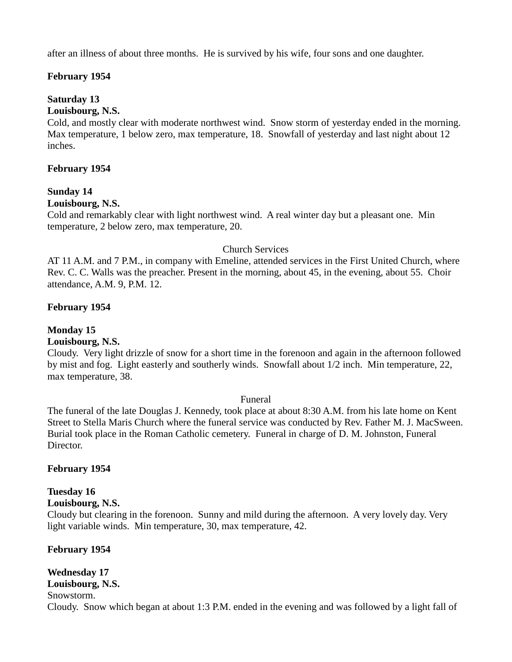after an illness of about three months. He is survived by his wife, four sons and one daughter.

#### **February 1954**

### **Saturday 13**

#### **Louisbourg, N.S.**

Cold, and mostly clear with moderate northwest wind. Snow storm of yesterday ended in the morning. Max temperature, 1 below zero, max temperature, 18. Snowfall of yesterday and last night about 12 inches.

#### **February 1954**

#### **Sunday 14**

#### **Louisbourg, N.S.**

Cold and remarkably clear with light northwest wind. A real winter day but a pleasant one. Min temperature, 2 below zero, max temperature, 20.

#### Church Services

AT 11 A.M. and 7 P.M., in company with Emeline, attended services in the First United Church, where Rev. C. C. Walls was the preacher. Present in the morning, about 45, in the evening, about 55. Choir attendance, A.M. 9, P.M. 12.

#### **February 1954**

## **Monday 15**

### **Louisbourg, N.S.**

Cloudy. Very light drizzle of snow for a short time in the forenoon and again in the afternoon followed by mist and fog. Light easterly and southerly winds. Snowfall about 1/2 inch. Min temperature, 22, max temperature, 38.

#### Funeral

The funeral of the late Douglas J. Kennedy, took place at about 8:30 A.M. from his late home on Kent Street to Stella Maris Church where the funeral service was conducted by Rev. Father M. J. MacSween. Burial took place in the Roman Catholic cemetery. Funeral in charge of D. M. Johnston, Funeral Director.

#### **February 1954**

## **Tuesday 16**

**Louisbourg, N.S.**

Cloudy but clearing in the forenoon. Sunny and mild during the afternoon. A very lovely day. Very light variable winds. Min temperature, 30, max temperature, 42.

#### **February 1954**

#### **Wednesday 17 Louisbourg, N.S.**

Snowstorm.

Cloudy. Snow which began at about 1:3 P.M. ended in the evening and was followed by a light fall of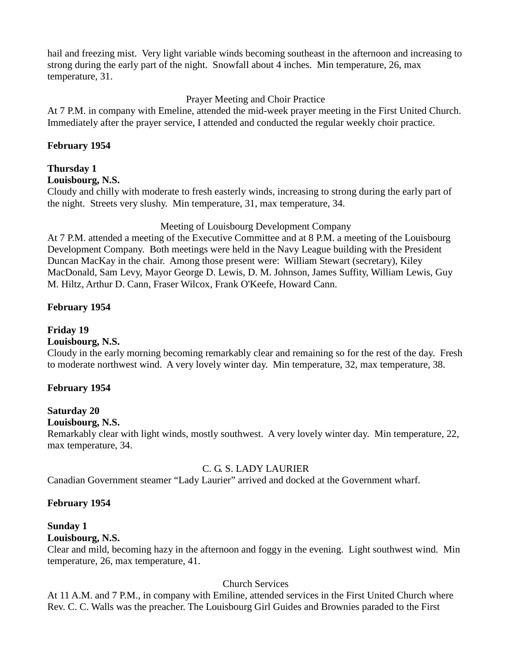hail and freezing mist. Very light variable winds becoming southeast in the afternoon and increasing to strong during the early part of the night. Snowfall about 4 inches. Min temperature, 26, max temperature, 31.

### Prayer Meeting and Choir Practice

At 7 P.M. in company with Emeline, attended the mid-week prayer meeting in the First United Church. Immediately after the prayer service, I attended and conducted the regular weekly choir practice.

#### **February 1954**

## **Thursday 1**

#### **Louisbourg, N.S.**

Cloudy and chilly with moderate to fresh easterly winds, increasing to strong during the early part of the night. Streets very slushy. Min temperature, 31, max temperature, 34.

#### Meeting of Louisbourg Development Company

At 7 P.M. attended a meeting of the Executive Committee and at 8 P.M. a meeting of the Louisbourg Development Company. Both meetings were held in the Navy League building with the President Duncan MacKay in the chair. Among those present were: William Stewart (secretary), Kiley MacDonald, Sam Levy, Mayor George D. Lewis, D. M. Johnson, James Suffity, William Lewis, Guy M. Hiltz, Arthur D. Cann, Fraser Wilcox, Frank O'Keefe, Howard Cann.

#### **February 1954**

## **Friday 19**

## **Louisbourg, N.S.**

Cloudy in the early morning becoming remarkably clear and remaining so for the rest of the day. Fresh to moderate northwest wind. A very lovely winter day. Min temperature, 32, max temperature, 38.

#### **February 1954**

## **Saturday 20**

#### **Louisbourg, N.S.**

Remarkably clear with light winds, mostly southwest. A very lovely winter day. Min temperature, 22, max temperature, 34.

#### C. G. S. LADY LAURIER

Canadian Government steamer "Lady Laurier" arrived and docked at the Government wharf.

#### **February 1954**

#### **Sunday 1**

## **Louisbourg, N.S.**

Clear and mild, becoming hazy in the afternoon and foggy in the evening. Light southwest wind. Min temperature, 26, max temperature, 41.

## Church Services

At 11 A.M. and 7 P.M., in company with Emiline, attended services in the First United Church where Rev. C. C. Walls was the preacher. The Louisbourg Girl Guides and Brownies paraded to the First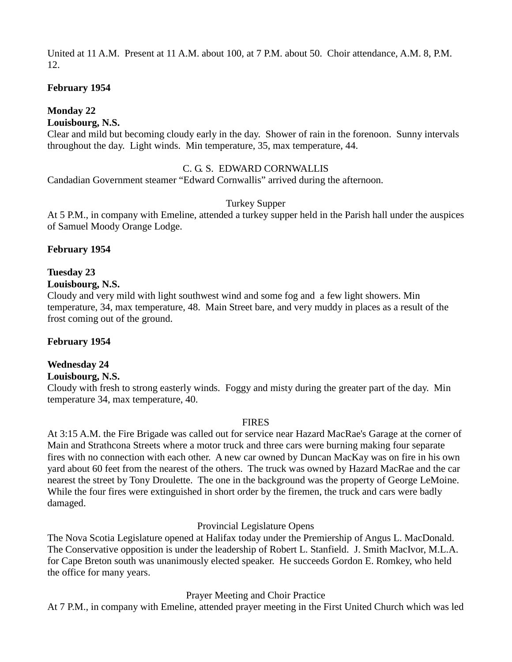United at 11 A.M. Present at 11 A.M. about 100, at 7 P.M. about 50. Choir attendance, A.M. 8, P.M. 12.

#### **February 1954**

### **Monday 22**

#### **Louisbourg, N.S.**

Clear and mild but becoming cloudy early in the day. Shower of rain in the forenoon. Sunny intervals throughout the day. Light winds. Min temperature, 35, max temperature, 44.

#### C. G. S. EDWARD CORNWALLIS

Candadian Government steamer "Edward Cornwallis" arrived during the afternoon.

#### Turkey Supper

At 5 P.M., in company with Emeline, attended a turkey supper held in the Parish hall under the auspices of Samuel Moody Orange Lodge.

#### **February 1954**

#### **Tuesday 23**

#### **Louisbourg, N.S.**

Cloudy and very mild with light southwest wind and some fog and a few light showers. Min temperature, 34, max temperature, 48. Main Street bare, and very muddy in places as a result of the frost coming out of the ground.

#### **February 1954**

#### **Wednesday 24**

#### **Louisbourg, N.S.**

Cloudy with fresh to strong easterly winds. Foggy and misty during the greater part of the day. Min temperature 34, max temperature, 40.

#### FIRES

At 3:15 A.M. the Fire Brigade was called out for service near Hazard MacRae's Garage at the corner of Main and Strathcona Streets where a motor truck and three cars were burning making four separate fires with no connection with each other. A new car owned by Duncan MacKay was on fire in his own yard about 60 feet from the nearest of the others. The truck was owned by Hazard MacRae and the car nearest the street by Tony Droulette. The one in the background was the property of George LeMoine. While the four fires were extinguished in short order by the firemen, the truck and cars were badly damaged.

#### Provincial Legislature Opens

The Nova Scotia Legislature opened at Halifax today under the Premiership of Angus L. MacDonald. The Conservative opposition is under the leadership of Robert L. Stanfield. J. Smith MacIvor, M.L.A. for Cape Breton south was unanimously elected speaker. He succeeds Gordon E. Romkey, who held the office for many years.

Prayer Meeting and Choir Practice

At 7 P.M., in company with Emeline, attended prayer meeting in the First United Church which was led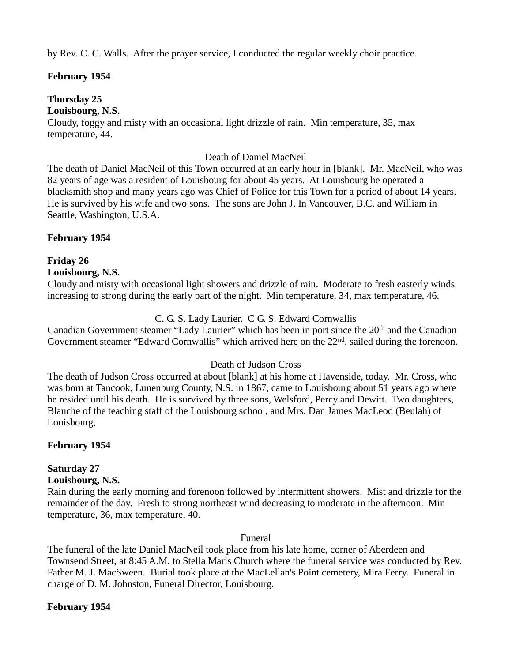by Rev. C. C. Walls. After the prayer service, I conducted the regular weekly choir practice.

#### **February 1954**

## **Thursday 25**

#### **Louisbourg, N.S.**

Cloudy, foggy and misty with an occasional light drizzle of rain. Min temperature, 35, max temperature, 44.

#### Death of Daniel MacNeil

The death of Daniel MacNeil of this Town occurred at an early hour in [blank]. Mr. MacNeil, who was 82 years of age was a resident of Louisbourg for about 45 years. At Louisbourg he operated a blacksmith shop and many years ago was Chief of Police for this Town for a period of about 14 years. He is survived by his wife and two sons. The sons are John J. In Vancouver, B.C. and William in Seattle, Washington, U.S.A.

#### **February 1954**

## **Friday 26**

**Louisbourg, N.S.**

Cloudy and misty with occasional light showers and drizzle of rain. Moderate to fresh easterly winds increasing to strong during the early part of the night. Min temperature, 34, max temperature, 46.

#### C. G. S. Lady Laurier. C G. S. Edward Cornwallis

Canadian Government steamer "Lady Laurier" which has been in port since the  $20<sup>th</sup>$  and the Canadian Government steamer "Edward Cornwallis" which arrived here on the 22<sup>nd</sup>, sailed during the forenoon.

#### Death of Judson Cross

The death of Judson Cross occurred at about [blank] at his home at Havenside, today. Mr. Cross, who was born at Tancook, Lunenburg County, N.S. in 1867, came to Louisbourg about 51 years ago where he resided until his death. He is survived by three sons, Welsford, Percy and Dewitt. Two daughters, Blanche of the teaching staff of the Louisbourg school, and Mrs. Dan James MacLeod (Beulah) of Louisbourg,

#### **February 1954**

# **Saturday 27**

## **Louisbourg, N.S.**

Rain during the early morning and forenoon followed by intermittent showers. Mist and drizzle for the remainder of the day. Fresh to strong northeast wind decreasing to moderate in the afternoon. Min temperature, 36, max temperature, 40.

#### Funeral

The funeral of the late Daniel MacNeil took place from his late home, corner of Aberdeen and Townsend Street, at 8:45 A.M. to Stella Maris Church where the funeral service was conducted by Rev. Father M. J. MacSween. Burial took place at the MacLellan's Point cemetery, Mira Ferry. Funeral in charge of D. M. Johnston, Funeral Director, Louisbourg.

#### **February 1954**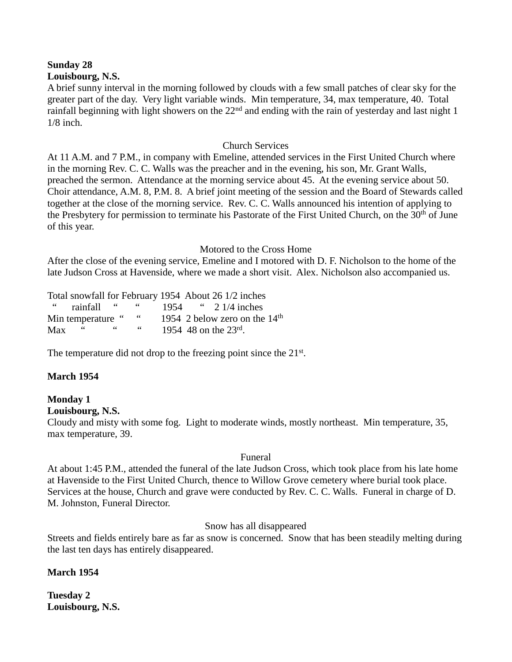#### **Sunday 28 Louisbourg, N.S.**

A brief sunny interval in the morning followed by clouds with a few small patches of clear sky for the greater part of the day. Very light variable winds. Min temperature, 34, max temperature, 40. Total rainfall beginning with light showers on the  $22<sup>nd</sup>$  and ending with the rain of vesterday and last night 1 1/8 inch.

#### Church Services

At 11 A.M. and 7 P.M., in company with Emeline, attended services in the First United Church where in the morning Rev. C. C. Walls was the preacher and in the evening, his son, Mr. Grant Walls, preached the sermon. Attendance at the morning service about 45. At the evening service about 50. Choir attendance, A.M. 8, P.M. 8. A brief joint meeting of the session and the Board of Stewards called together at the close of the morning service. Rev. C. C. Walls announced his intention of applying to the Presbytery for permission to terminate his Pastorate of the First United Church, on the 30<sup>th</sup> of June of this year.

#### Motored to the Cross Home

After the close of the evening service, Emeline and I motored with D. F. Nicholson to the home of the late Judson Cross at Havenside, where we made a short visit. Alex. Nicholson also accompanied us.

Total snowfall for February 1954 About 26 1/2 inches " rainfall " " 1954 " 2 1/4 inches Min temperature " " 1954 2 below zero on the 14<sup>th</sup> Max " " " 1954 48 on the 23<sup>rd</sup>.

The temperature did not drop to the freezing point since the 21<sup>st</sup>.

#### **March 1954**

#### **Monday 1**

**Louisbourg, N.S.**

Cloudy and misty with some fog. Light to moderate winds, mostly northeast. Min temperature, 35, max temperature, 39.

#### Funeral

At about 1:45 P.M., attended the funeral of the late Judson Cross, which took place from his late home at Havenside to the First United Church, thence to Willow Grove cemetery where burial took place. Services at the house, Church and grave were conducted by Rev. C. C. Walls. Funeral in charge of D. M. Johnston, Funeral Director.

#### Snow has all disappeared

Streets and fields entirely bare as far as snow is concerned. Snow that has been steadily melting during the last ten days has entirely disappeared.

#### **March 1954**

**Tuesday 2 Louisbourg, N.S.**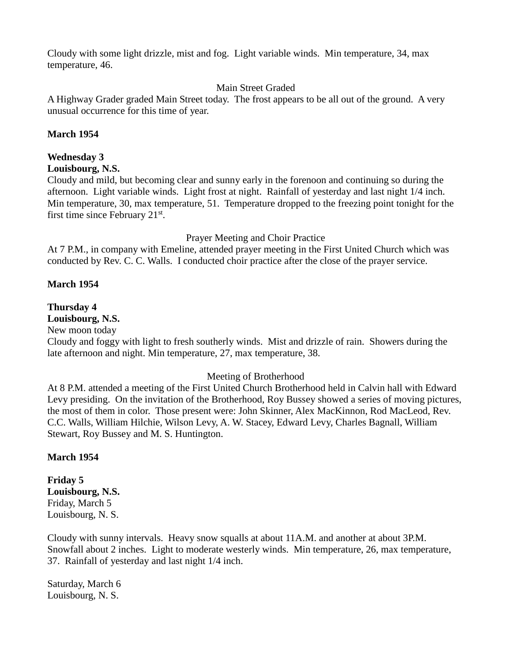Cloudy with some light drizzle, mist and fog. Light variable winds. Min temperature, 34, max temperature, 46.

#### Main Street Graded

A Highway Grader graded Main Street today. The frost appears to be all out of the ground. A very unusual occurrence for this time of year.

#### **March 1954**

#### **Wednesday 3**

#### **Louisbourg, N.S.**

Cloudy and mild, but becoming clear and sunny early in the forenoon and continuing so during the afternoon. Light variable winds. Light frost at night. Rainfall of yesterday and last night 1/4 inch. Min temperature, 30, max temperature, 51. Temperature dropped to the freezing point tonight for the first time since February  $21<sup>st</sup>$ .

#### Prayer Meeting and Choir Practice

At 7 P.M., in company with Emeline, attended prayer meeting in the First United Church which was conducted by Rev. C. C. Walls. I conducted choir practice after the close of the prayer service.

#### **March 1954**

#### **Thursday 4**

#### **Louisbourg, N.S.**

New moon today

Cloudy and foggy with light to fresh southerly winds. Mist and drizzle of rain. Showers during the late afternoon and night. Min temperature, 27, max temperature, 38.

#### Meeting of Brotherhood

At 8 P.M. attended a meeting of the First United Church Brotherhood held in Calvin hall with Edward Levy presiding. On the invitation of the Brotherhood, Roy Bussey showed a series of moving pictures, the most of them in color. Those present were: John Skinner, Alex MacKinnon, Rod MacLeod, Rev. C.C. Walls, William Hilchie, Wilson Levy, A. W. Stacey, Edward Levy, Charles Bagnall, William Stewart, Roy Bussey and M. S. Huntington.

#### **March 1954**

**Friday 5 Louisbourg, N.S.** Friday, March 5 Louisbourg, N. S.

Cloudy with sunny intervals. Heavy snow squalls at about 11A.M. and another at about 3P.M. Snowfall about 2 inches. Light to moderate westerly winds. Min temperature, 26, max temperature, 37. Rainfall of yesterday and last night 1/4 inch.

Saturday, March 6 Louisbourg, N. S.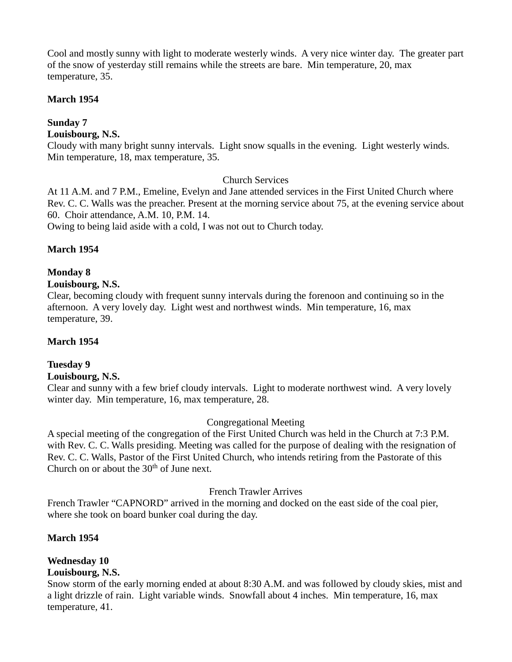Cool and mostly sunny with light to moderate westerly winds. A very nice winter day. The greater part of the snow of yesterday still remains while the streets are bare. Min temperature, 20, max temperature, 35.

#### **March 1954**

## **Sunday 7**

**Louisbourg, N.S.**

Cloudy with many bright sunny intervals. Light snow squalls in the evening. Light westerly winds. Min temperature, 18, max temperature, 35.

#### Church Services

At 11 A.M. and 7 P.M., Emeline, Evelyn and Jane attended services in the First United Church where Rev. C. C. Walls was the preacher. Present at the morning service about 75, at the evening service about 60. Choir attendance, A.M. 10, P.M. 14.

Owing to being laid aside with a cold, I was not out to Church today.

#### **March 1954**

## **Monday 8**

#### **Louisbourg, N.S.**

Clear, becoming cloudy with frequent sunny intervals during the forenoon and continuing so in the afternoon. A very lovely day. Light west and northwest winds. Min temperature, 16, max temperature, 39.

#### **March 1954**

#### **Tuesday 9**

#### **Louisbourg, N.S.**

Clear and sunny with a few brief cloudy intervals. Light to moderate northwest wind. A very lovely winter day. Min temperature, 16, max temperature, 28.

#### Congregational Meeting

A special meeting of the congregation of the First United Church was held in the Church at 7:3 P.M. with Rev. C. C. Walls presiding. Meeting was called for the purpose of dealing with the resignation of Rev. C. C. Walls, Pastor of the First United Church, who intends retiring from the Pastorate of this Church on or about the  $30<sup>th</sup>$  of June next.

#### French Trawler Arrives

French Trawler "CAPNORD" arrived in the morning and docked on the east side of the coal pier, where she took on board bunker coal during the day.

#### **March 1954**

# **Wednesday 10**

## **Louisbourg, N.S.**

Snow storm of the early morning ended at about 8:30 A.M. and was followed by cloudy skies, mist and a light drizzle of rain. Light variable winds. Snowfall about 4 inches. Min temperature, 16, max temperature, 41.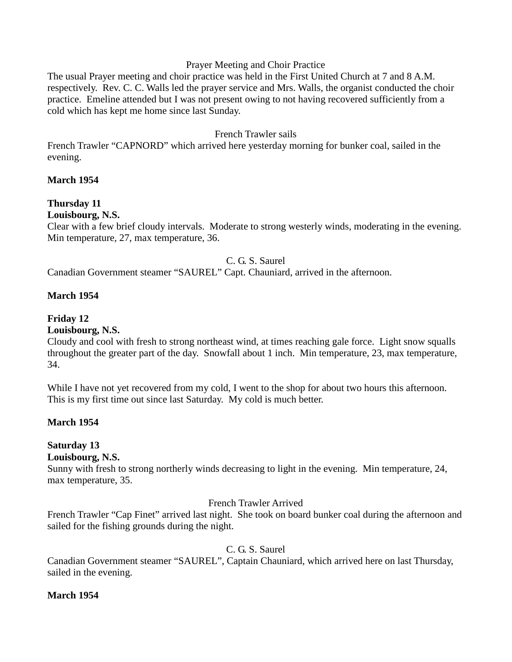#### Prayer Meeting and Choir Practice

The usual Prayer meeting and choir practice was held in the First United Church at 7 and 8 A.M. respectively. Rev. C. C. Walls led the prayer service and Mrs. Walls, the organist conducted the choir practice. Emeline attended but I was not present owing to not having recovered sufficiently from a cold which has kept me home since last Sunday.

#### French Trawler sails

French Trawler "CAPNORD" which arrived here yesterday morning for bunker coal, sailed in the evening.

#### **March 1954**

## **Thursday 11**

#### **Louisbourg, N.S.**

Clear with a few brief cloudy intervals. Moderate to strong westerly winds, moderating in the evening. Min temperature, 27, max temperature, 36.

#### C. G. S. Saurel

Canadian Government steamer "SAUREL" Capt. Chauniard, arrived in the afternoon.

#### **March 1954**

#### **Friday 12**

#### **Louisbourg, N.S.**

Cloudy and cool with fresh to strong northeast wind, at times reaching gale force. Light snow squalls throughout the greater part of the day. Snowfall about 1 inch. Min temperature, 23, max temperature, 34.

While I have not yet recovered from my cold, I went to the shop for about two hours this afternoon. This is my first time out since last Saturday. My cold is much better.

#### **March 1954**

## **Saturday 13**

#### **Louisbourg, N.S.**

Sunny with fresh to strong northerly winds decreasing to light in the evening. Min temperature, 24, max temperature, 35.

#### French Trawler Arrived

French Trawler "Cap Finet" arrived last night. She took on board bunker coal during the afternoon and sailed for the fishing grounds during the night.

#### C. G. S. Saurel

Canadian Government steamer "SAUREL", Captain Chauniard, which arrived here on last Thursday, sailed in the evening.

#### **March 1954**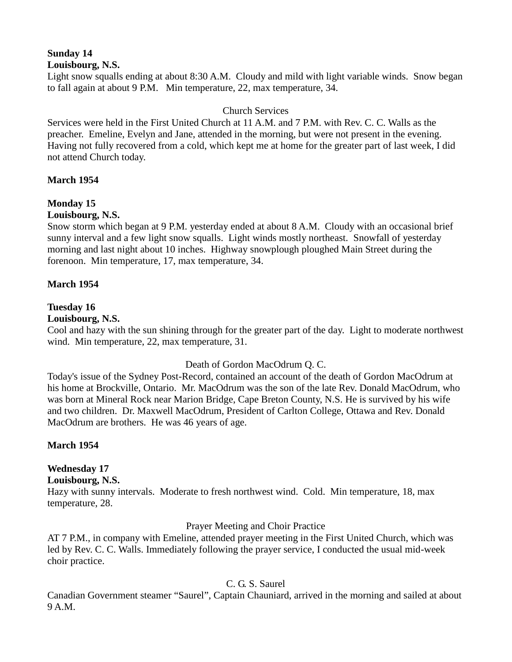#### **Sunday 14 Louisbourg, N.S.**

Light snow squalls ending at about 8:30 A.M. Cloudy and mild with light variable winds. Snow began to fall again at about 9 P.M. Min temperature, 22, max temperature, 34.

#### Church Services

Services were held in the First United Church at 11 A.M. and 7 P.M. with Rev. C. C. Walls as the preacher. Emeline, Evelyn and Jane, attended in the morning, but were not present in the evening. Having not fully recovered from a cold, which kept me at home for the greater part of last week, I did not attend Church today.

#### **March 1954**

## **Monday 15**

#### **Louisbourg, N.S.**

Snow storm which began at 9 P.M. yesterday ended at about 8 A.M. Cloudy with an occasional brief sunny interval and a few light snow squalls. Light winds mostly northeast. Snowfall of yesterday morning and last night about 10 inches. Highway snowplough ploughed Main Street during the forenoon. Min temperature, 17, max temperature, 34.

#### **March 1954**

#### **Tuesday 16**

#### **Louisbourg, N.S.**

Cool and hazy with the sun shining through for the greater part of the day. Light to moderate northwest wind. Min temperature, 22, max temperature, 31.

#### Death of Gordon MacOdrum Q. C.

Today's issue of the Sydney Post-Record, contained an account of the death of Gordon MacOdrum at his home at Brockville, Ontario. Mr. MacOdrum was the son of the late Rev. Donald MacOdrum, who was born at Mineral Rock near Marion Bridge, Cape Breton County, N.S. He is survived by his wife and two children. Dr. Maxwell MacOdrum, President of Carlton College, Ottawa and Rev. Donald MacOdrum are brothers. He was 46 years of age.

#### **March 1954**

## **Wednesday 17**

## **Louisbourg, N.S.**

Hazy with sunny intervals. Moderate to fresh northwest wind. Cold. Min temperature, 18, max temperature, 28.

#### Prayer Meeting and Choir Practice

AT 7 P.M., in company with Emeline, attended prayer meeting in the First United Church, which was led by Rev. C. C. Walls. Immediately following the prayer service, I conducted the usual mid-week choir practice.

#### C. G. S. Saurel

Canadian Government steamer "Saurel", Captain Chauniard, arrived in the morning and sailed at about 9 A.M.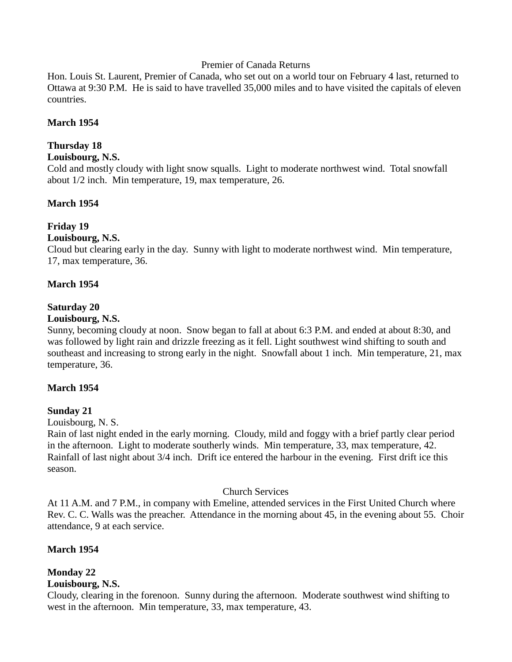#### Premier of Canada Returns

Hon. Louis St. Laurent, Premier of Canada, who set out on a world tour on February 4 last, returned to Ottawa at 9:30 P.M. He is said to have travelled 35,000 miles and to have visited the capitals of eleven countries.

#### **March 1954**

#### **Thursday 18**

#### **Louisbourg, N.S.**

Cold and mostly cloudy with light snow squalls. Light to moderate northwest wind. Total snowfall about 1/2 inch. Min temperature, 19, max temperature, 26.

#### **March 1954**

#### **Friday 19**

#### **Louisbourg, N.S.**

Cloud but clearing early in the day. Sunny with light to moderate northwest wind. Min temperature, 17, max temperature, 36.

#### **March 1954**

#### **Saturday 20**

#### **Louisbourg, N.S.**

Sunny, becoming cloudy at noon. Snow began to fall at about 6:3 P.M. and ended at about 8:30, and was followed by light rain and drizzle freezing as it fell. Light southwest wind shifting to south and southeast and increasing to strong early in the night. Snowfall about 1 inch. Min temperature, 21, max temperature, 36.

#### **March 1954**

#### **Sunday 21**

Louisbourg, N. S.

Rain of last night ended in the early morning. Cloudy, mild and foggy with a brief partly clear period in the afternoon. Light to moderate southerly winds. Min temperature, 33, max temperature, 42. Rainfall of last night about 3/4 inch. Drift ice entered the harbour in the evening. First drift ice this season.

#### Church Services

At 11 A.M. and 7 P.M., in company with Emeline, attended services in the First United Church where Rev. C. C. Walls was the preacher. Attendance in the morning about 45, in the evening about 55. Choir attendance, 9 at each service.

#### **March 1954**

## **Monday 22**

#### **Louisbourg, N.S.**

Cloudy, clearing in the forenoon. Sunny during the afternoon. Moderate southwest wind shifting to west in the afternoon. Min temperature, 33, max temperature, 43.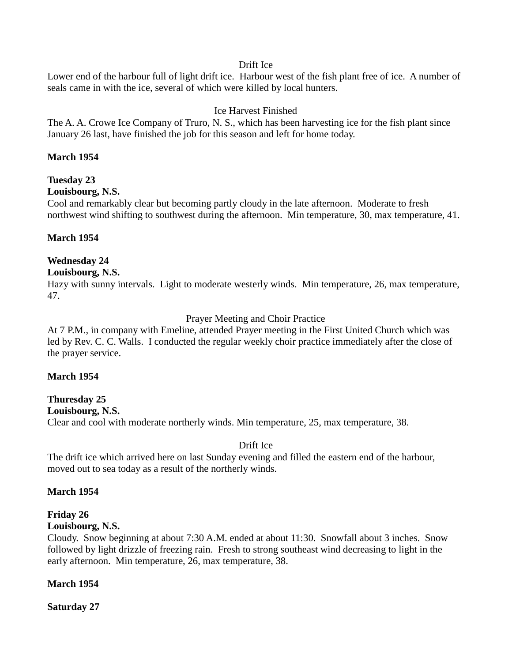#### Drift Ice

Lower end of the harbour full of light drift ice. Harbour west of the fish plant free of ice. A number of seals came in with the ice, several of which were killed by local hunters.

### Ice Harvest Finished

The A. A. Crowe Ice Company of Truro, N. S., which has been harvesting ice for the fish plant since January 26 last, have finished the job for this season and left for home today.

#### **March 1954**

## **Tuesday 23**

#### **Louisbourg, N.S.**

Cool and remarkably clear but becoming partly cloudy in the late afternoon. Moderate to fresh northwest wind shifting to southwest during the afternoon. Min temperature, 30, max temperature, 41.

#### **March 1954**

## **Wednesday 24**

#### **Louisbourg, N.S.**

Hazy with sunny intervals. Light to moderate westerly winds. Min temperature, 26, max temperature, 47.

#### Prayer Meeting and Choir Practice

At 7 P.M., in company with Emeline, attended Prayer meeting in the First United Church which was led by Rev. C. C. Walls. I conducted the regular weekly choir practice immediately after the close of the prayer service.

#### **March 1954**

#### **Thuresday 25 Louisbourg, N.S.** Clear and cool with moderate northerly winds. Min temperature, 25, max temperature, 38.

#### Drift Ice

The drift ice which arrived here on last Sunday evening and filled the eastern end of the harbour, moved out to sea today as a result of the northerly winds.

#### **March 1954**

# **Friday 26**

# **Louisbourg, N.S.**

Cloudy. Snow beginning at about 7:30 A.M. ended at about 11:30. Snowfall about 3 inches. Snow followed by light drizzle of freezing rain. Fresh to strong southeast wind decreasing to light in the early afternoon. Min temperature, 26, max temperature, 38.

#### **March 1954**

**Saturday 27**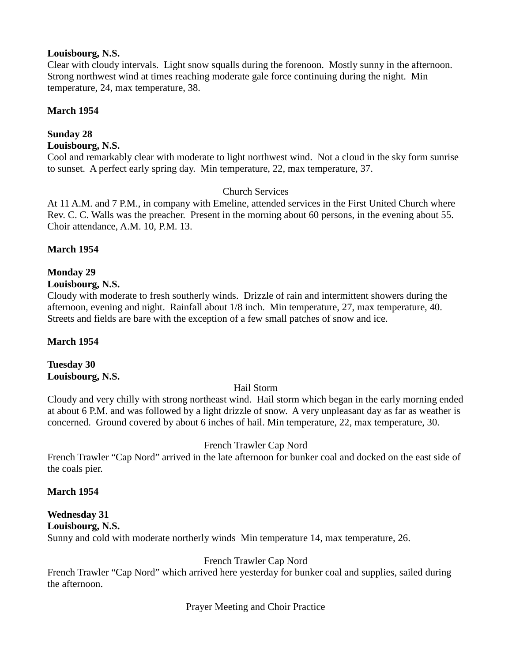## **Louisbourg, N.S.**

Clear with cloudy intervals. Light snow squalls during the forenoon. Mostly sunny in the afternoon. Strong northwest wind at times reaching moderate gale force continuing during the night. Min temperature, 24, max temperature, 38.

## **March 1954**

#### **Sunday 28 Louisbourg, N.S.**

Cool and remarkably clear with moderate to light northwest wind. Not a cloud in the sky form sunrise to sunset. A perfect early spring day. Min temperature, 22, max temperature, 37.

## Church Services

At 11 A.M. and 7 P.M., in company with Emeline, attended services in the First United Church where Rev. C. C. Walls was the preacher. Present in the morning about 60 persons, in the evening about 55. Choir attendance, A.M. 10, P.M. 13.

## **March 1954**

#### **Monday 29 Louisbourg, N.S.**

Cloudy with moderate to fresh southerly winds. Drizzle of rain and intermittent showers during the afternoon, evening and night. Rainfall about 1/8 inch. Min temperature, 27, max temperature, 40. Streets and fields are bare with the exception of a few small patches of snow and ice.

## **March 1954**

## **Tuesday 30 Louisbourg, N.S.**

## Hail Storm

Cloudy and very chilly with strong northeast wind. Hail storm which began in the early morning ended at about 6 P.M. and was followed by a light drizzle of snow. A very unpleasant day as far as weather is concerned. Ground covered by about 6 inches of hail. Min temperature, 22, max temperature, 30.

## French Trawler Cap Nord

French Trawler "Cap Nord" arrived in the late afternoon for bunker coal and docked on the east side of the coals pier.

#### **March 1954**

# **Wednesday 31**

### **Louisbourg, N.S.**

Sunny and cold with moderate northerly winds Min temperature 14, max temperature, 26.

## French Trawler Cap Nord

French Trawler "Cap Nord" which arrived here yesterday for bunker coal and supplies, sailed during the afternoon.

#### Prayer Meeting and Choir Practice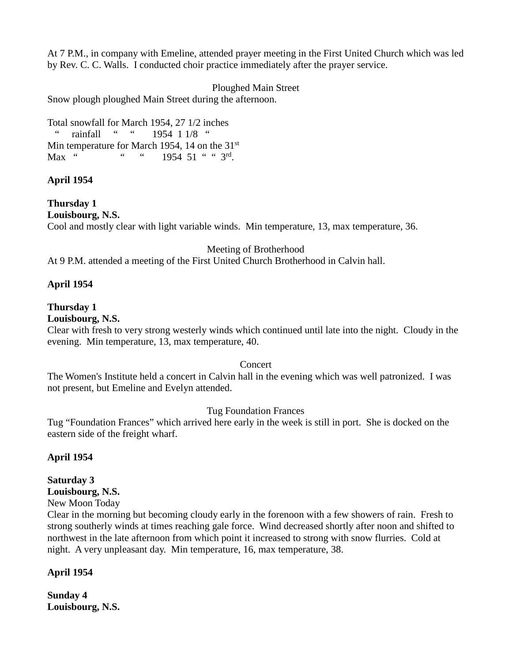At 7 P.M., in company with Emeline, attended prayer meeting in the First United Church which was led by Rev. C. C. Walls. I conducted choir practice immediately after the prayer service.

Ploughed Main Street

Snow plough ploughed Main Street during the afternoon.

Total snowfall for March 1954, 27 1/2 inches " rainfall " " 1954 1 1/8 " Min temperature for March 1954, 14 on the 31<sup>st</sup> Max " " " 1954 51 " " 3rd.

#### **April 1954**

**Thursday 1 Louisbourg, N.S.** Cool and mostly clear with light variable winds. Min temperature, 13, max temperature, 36.

Meeting of Brotherhood

At 9 P.M. attended a meeting of the First United Church Brotherhood in Calvin hall.

#### **April 1954**

#### **Thursday 1**

#### **Louisbourg, N.S.**

Clear with fresh to very strong westerly winds which continued until late into the night. Cloudy in the evening. Min temperature, 13, max temperature, 40.

#### Concert

The Women's Institute held a concert in Calvin hall in the evening which was well patronized. I was not present, but Emeline and Evelyn attended.

#### Tug Foundation Frances

Tug "Foundation Frances" which arrived here early in the week is still in port. She is docked on the eastern side of the freight wharf.

#### **April 1954**

#### **Saturday 3**

#### **Louisbourg, N.S.**

New Moon Today

Clear in the morning but becoming cloudy early in the forenoon with a few showers of rain. Fresh to strong southerly winds at times reaching gale force. Wind decreased shortly after noon and shifted to northwest in the late afternoon from which point it increased to strong with snow flurries. Cold at night. A very unpleasant day. Min temperature, 16, max temperature, 38.

#### **April 1954**

**Sunday 4 Louisbourg, N.S.**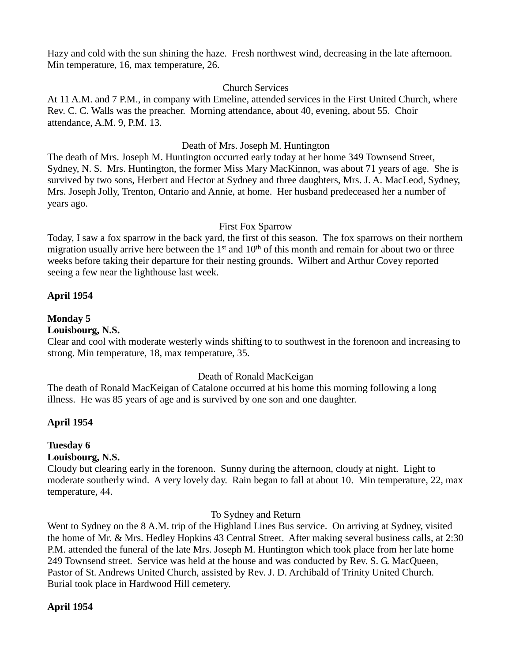Hazy and cold with the sun shining the haze. Fresh northwest wind, decreasing in the late afternoon. Min temperature, 16, max temperature, 26.

#### Church Services

At 11 A.M. and 7 P.M., in company with Emeline, attended services in the First United Church, where Rev. C. C. Walls was the preacher. Morning attendance, about 40, evening, about 55. Choir attendance, A.M. 9, P.M. 13.

#### Death of Mrs. Joseph M. Huntington

The death of Mrs. Joseph M. Huntington occurred early today at her home 349 Townsend Street, Sydney, N. S. Mrs. Huntington, the former Miss Mary MacKinnon, was about 71 years of age. She is survived by two sons, Herbert and Hector at Sydney and three daughters, Mrs. J. A. MacLeod, Sydney, Mrs. Joseph Jolly, Trenton, Ontario and Annie, at home. Her husband predeceased her a number of years ago.

#### First Fox Sparrow

Today, I saw a fox sparrow in the back yard, the first of this season. The fox sparrows on their northern migration usually arrive here between the  $1<sup>st</sup>$  and  $10<sup>th</sup>$  of this month and remain for about two or three weeks before taking their departure for their nesting grounds. Wilbert and Arthur Covey reported seeing a few near the lighthouse last week.

#### **April 1954**

#### **Monday 5**

#### **Louisbourg, N.S.**

Clear and cool with moderate westerly winds shifting to to southwest in the forenoon and increasing to strong. Min temperature, 18, max temperature, 35.

#### Death of Ronald MacKeigan

The death of Ronald MacKeigan of Catalone occurred at his home this morning following a long illness. He was 85 years of age and is survived by one son and one daughter.

#### **April 1954**

## **Tuesday 6**

#### **Louisbourg, N.S.**

Cloudy but clearing early in the forenoon. Sunny during the afternoon, cloudy at night. Light to moderate southerly wind. A very lovely day. Rain began to fall at about 10. Min temperature, 22, max temperature, 44.

#### To Sydney and Return

Went to Sydney on the 8 A.M. trip of the Highland Lines Bus service. On arriving at Sydney, visited the home of Mr. & Mrs. Hedley Hopkins 43 Central Street. After making several business calls, at 2:30 P.M. attended the funeral of the late Mrs. Joseph M. Huntington which took place from her late home 249 Townsend street. Service was held at the house and was conducted by Rev. S. G. MacQueen, Pastor of St. Andrews United Church, assisted by Rev. J. D. Archibald of Trinity United Church. Burial took place in Hardwood Hill cemetery.

#### **April 1954**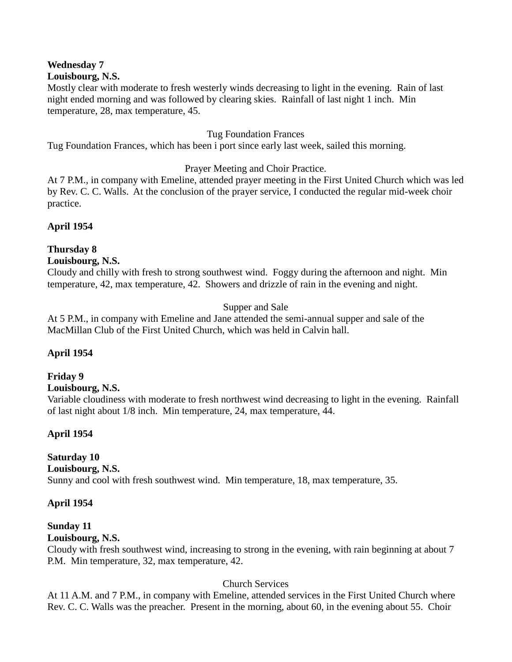# **Wednesday 7**

#### **Louisbourg, N.S.**

Mostly clear with moderate to fresh westerly winds decreasing to light in the evening. Rain of last night ended morning and was followed by clearing skies. Rainfall of last night 1 inch. Min temperature, 28, max temperature, 45.

### Tug Foundation Frances

Tug Foundation Frances, which has been i port since early last week, sailed this morning.

## Prayer Meeting and Choir Practice.

At 7 P.M., in company with Emeline, attended prayer meeting in the First United Church which was led by Rev. C. C. Walls. At the conclusion of the prayer service, I conducted the regular mid-week choir practice.

**April 1954**

## **Thursday 8**

#### **Louisbourg, N.S.**

Cloudy and chilly with fresh to strong southwest wind. Foggy during the afternoon and night. Min temperature, 42, max temperature, 42. Showers and drizzle of rain in the evening and night.

## Supper and Sale

At 5 P.M., in company with Emeline and Jane attended the semi-annual supper and sale of the MacMillan Club of the First United Church, which was held in Calvin hall.

#### **April 1954**

## **Friday 9**

#### **Louisbourg, N.S.**

Variable cloudiness with moderate to fresh northwest wind decreasing to light in the evening. Rainfall of last night about 1/8 inch. Min temperature, 24, max temperature, 44.

#### **April 1954**

## **Saturday 10**

#### **Louisbourg, N.S.**

Sunny and cool with fresh southwest wind. Min temperature, 18, max temperature, 35.

#### **April 1954**

# **Sunday 11**

## **Louisbourg, N.S.**

Cloudy with fresh southwest wind, increasing to strong in the evening, with rain beginning at about 7 P.M. Min temperature, 32, max temperature, 42.

## Church Services

At 11 A.M. and 7 P.M., in company with Emeline, attended services in the First United Church where Rev. C. C. Walls was the preacher. Present in the morning, about 60, in the evening about 55. Choir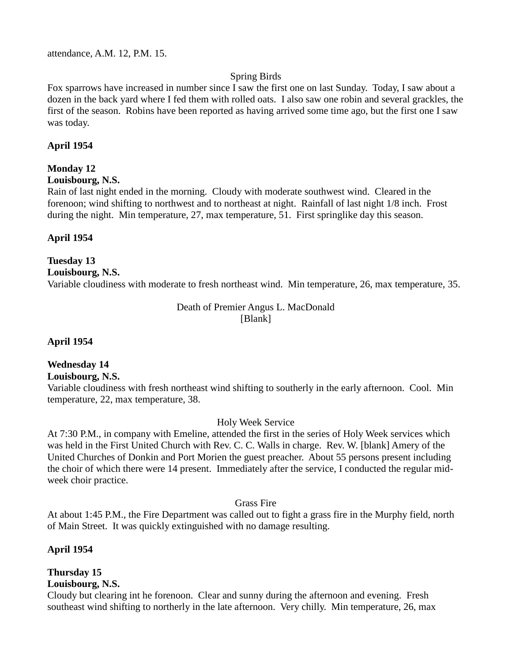attendance, A.M. 12, P.M. 15.

#### Spring Birds

Fox sparrows have increased in number since I saw the first one on last Sunday. Today, I saw about a dozen in the back yard where I fed them with rolled oats. I also saw one robin and several grackles, the first of the season. Robins have been reported as having arrived some time ago, but the first one I saw was today.

#### **April 1954**

#### **Monday 12**

**Louisbourg, N.S.**

Rain of last night ended in the morning. Cloudy with moderate southwest wind. Cleared in the forenoon; wind shifting to northwest and to northeast at night. Rainfall of last night 1/8 inch. Frost during the night. Min temperature, 27, max temperature, 51. First springlike day this season.

#### **April 1954**

## **Tuesday 13**

**Louisbourg, N.S.** Variable cloudiness with moderate to fresh northeast wind. Min temperature, 26, max temperature, 35.

#### Death of Premier Angus L. MacDonald [Blank]

**April 1954**

#### **Wednesday 14**

**Louisbourg, N.S.**

Variable cloudiness with fresh northeast wind shifting to southerly in the early afternoon. Cool. Min temperature, 22, max temperature, 38.

#### Holy Week Service

At 7:30 P.M., in company with Emeline, attended the first in the series of Holy Week services which was held in the First United Church with Rev. C. C. Walls in charge. Rev. W. [blank] Amery of the United Churches of Donkin and Port Morien the guest preacher. About 55 persons present including the choir of which there were 14 present. Immediately after the service, I conducted the regular midweek choir practice.

Grass Fire

At about 1:45 P.M., the Fire Department was called out to fight a grass fire in the Murphy field, north of Main Street. It was quickly extinguished with no damage resulting.

#### **April 1954**

#### **Thursday 15 Louisbourg, N.S.**

Cloudy but clearing int he forenoon. Clear and sunny during the afternoon and evening. Fresh southeast wind shifting to northerly in the late afternoon. Very chilly. Min temperature, 26, max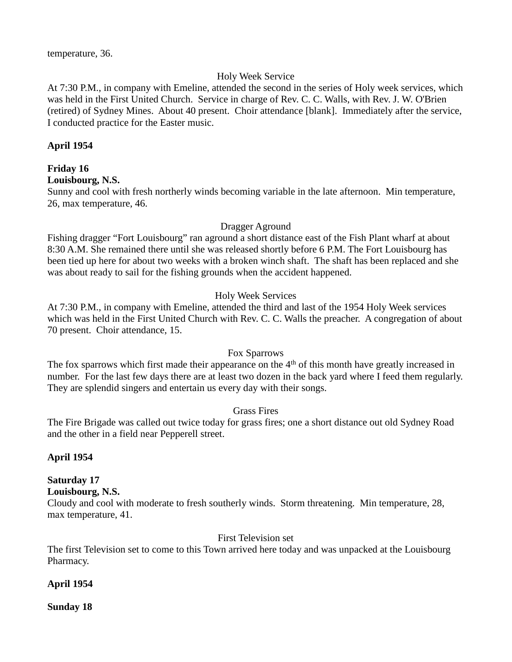## Holy Week Service

At 7:30 P.M., in company with Emeline, attended the second in the series of Holy week services, which was held in the First United Church. Service in charge of Rev. C. C. Walls, with Rev. J. W. O'Brien (retired) of Sydney Mines. About 40 present. Choir attendance [blank]. Immediately after the service, I conducted practice for the Easter music.

## **April 1954**

## **Friday 16**

#### **Louisbourg, N.S.**

Sunny and cool with fresh northerly winds becoming variable in the late afternoon. Min temperature, 26, max temperature, 46.

#### Dragger Aground

Fishing dragger "Fort Louisbourg" ran aground a short distance east of the Fish Plant wharf at about 8:30 A.M. She remained there until she was released shortly before 6 P.M. The Fort Louisbourg has been tied up here for about two weeks with a broken winch shaft. The shaft has been replaced and she was about ready to sail for the fishing grounds when the accident happened.

## Holy Week Services

At 7:30 P.M., in company with Emeline, attended the third and last of the 1954 Holy Week services which was held in the First United Church with Rev. C. C. Walls the preacher. A congregation of about 70 present. Choir attendance, 15.

#### Fox Sparrows

The fox sparrows which first made their appearance on the 4<sup>th</sup> of this month have greatly increased in number. For the last few days there are at least two dozen in the back yard where I feed them regularly. They are splendid singers and entertain us every day with their songs.

#### Grass Fires

The Fire Brigade was called out twice today for grass fires; one a short distance out old Sydney Road and the other in a field near Pepperell street.

#### **April 1954**

## **Saturday 17**

**Louisbourg, N.S.**

Cloudy and cool with moderate to fresh southerly winds. Storm threatening. Min temperature, 28, max temperature, 41.

### First Television set

The first Television set to come to this Town arrived here today and was unpacked at the Louisbourg Pharmacy.

## **April 1954**

**Sunday 18**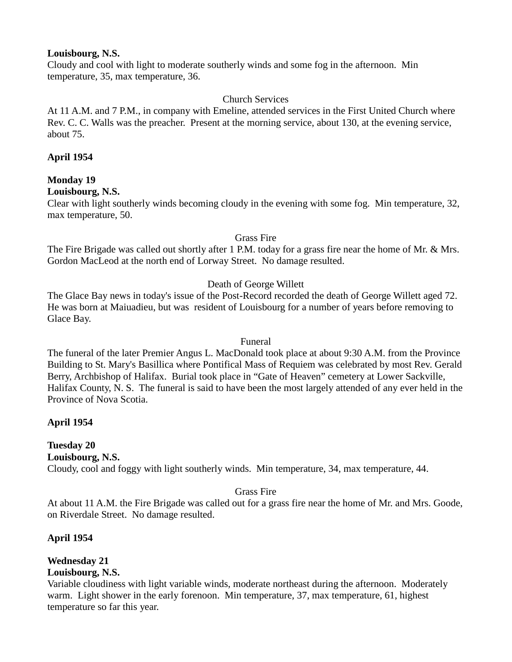#### **Louisbourg, N.S.**

Cloudy and cool with light to moderate southerly winds and some fog in the afternoon. Min temperature, 35, max temperature, 36.

#### Church Services

At 11 A.M. and 7 P.M., in company with Emeline, attended services in the First United Church where Rev. C. C. Walls was the preacher. Present at the morning service, about 130, at the evening service, about 75.

#### **April 1954**

## **Monday 19**

#### **Louisbourg, N.S.**

Clear with light southerly winds becoming cloudy in the evening with some fog. Min temperature, 32, max temperature, 50.

#### Grass Fire

The Fire Brigade was called out shortly after 1 P.M. today for a grass fire near the home of Mr. & Mrs. Gordon MacLeod at the north end of Lorway Street. No damage resulted.

#### Death of George Willett

The Glace Bay news in today's issue of the Post-Record recorded the death of George Willett aged 72. He was born at Maiuadieu, but was resident of Louisbourg for a number of years before removing to Glace Bay.

#### Funeral

The funeral of the later Premier Angus L. MacDonald took place at about 9:30 A.M. from the Province Building to St. Mary's Basillica where Pontifical Mass of Requiem was celebrated by most Rev. Gerald Berry, Archbishop of Halifax. Burial took place in "Gate of Heaven" cemetery at Lower Sackville, Halifax County, N. S. The funeral is said to have been the most largely attended of any ever held in the Province of Nova Scotia.

#### **April 1954**

# **Tuesday 20**

**Louisbourg, N.S.**

Cloudy, cool and foggy with light southerly winds. Min temperature, 34, max temperature, 44.

#### Grass Fire

At about 11 A.M. the Fire Brigade was called out for a grass fire near the home of Mr. and Mrs. Goode, on Riverdale Street. No damage resulted.

#### **April 1954**

#### **Wednesday 21 Louisbourg, N.S.**

Variable cloudiness with light variable winds, moderate northeast during the afternoon. Moderately warm. Light shower in the early forenoon. Min temperature, 37, max temperature, 61, highest temperature so far this year.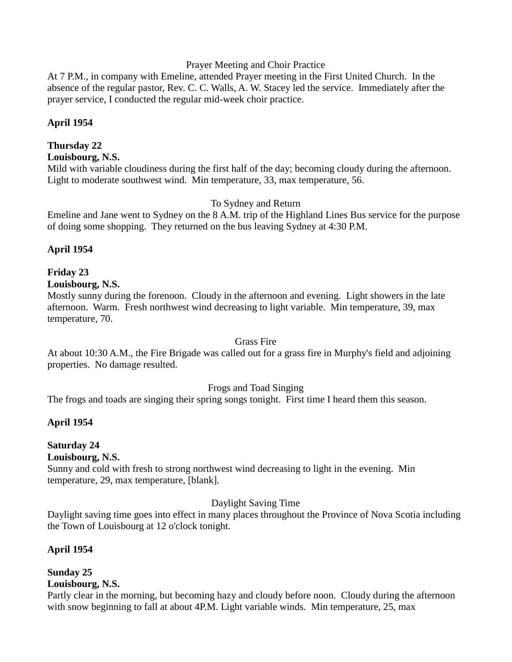#### Prayer Meeting and Choir Practice

At 7 P.M., in company with Emeline, attended Prayer meeting in the First United Church. In the absence of the regular pastor, Rev. C. C. Walls, A. W. Stacey led the service. Immediately after the prayer service, I conducted the regular mid-week choir practice.

#### **April 1954**

### **Thursday 22**

#### **Louisbourg, N.S.**

Mild with variable cloudiness during the first half of the day; becoming cloudy during the afternoon. Light to moderate southwest wind. Min temperature, 33, max temperature, 56.

#### To Sydney and Return

Emeline and Jane went to Sydney on the 8 A.M. trip of the Highland Lines Bus service for the purpose of doing some shopping. They returned on the bus leaving Sydney at 4:30 P.M.

#### **April 1954**

#### **Friday 23 Louisbourg, N.S.**

Mostly sunny during the forenoon. Cloudy in the afternoon and evening. Light showers in the late afternoon. Warm. Fresh northwest wind decreasing to light variable. Min temperature, 39, max temperature, 70.

#### Grass Fire

At about 10:30 A.M., the Fire Brigade was called out for a grass fire in Murphy's field and adjoining properties. No damage resulted.

#### Frogs and Toad Singing

The frogs and toads are singing their spring songs tonight. First time I heard them this season.

## **April 1954**

## **Saturday 24**

#### **Louisbourg, N.S.**

Sunny and cold with fresh to strong northwest wind decreasing to light in the evening. Min temperature, 29, max temperature, [blank].

#### Daylight Saving Time

Daylight saving time goes into effect in many places throughout the Province of Nova Scotia including the Town of Louisbourg at 12 o'clock tonight.

#### **April 1954**

# **Sunday 25**

## **Louisbourg, N.S.**

Partly clear in the morning, but becoming hazy and cloudy before noon. Cloudy during the afternoon with snow beginning to fall at about 4P.M. Light variable winds. Min temperature, 25, max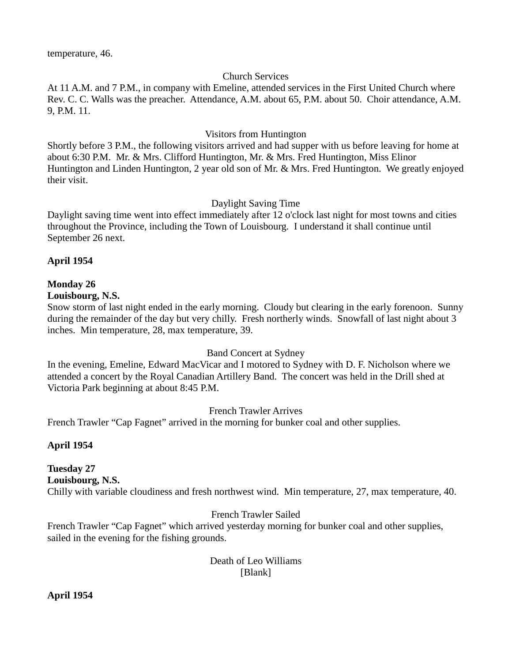### Church Services

At 11 A.M. and 7 P.M., in company with Emeline, attended services in the First United Church where Rev. C. C. Walls was the preacher. Attendance, A.M. about 65, P.M. about 50. Choir attendance, A.M. 9, P.M. 11.

#### Visitors from Huntington

Shortly before 3 P.M., the following visitors arrived and had supper with us before leaving for home at about 6:30 P.M. Mr. & Mrs. Clifford Huntington, Mr. & Mrs. Fred Huntington, Miss Elinor Huntington and Linden Huntington, 2 year old son of Mr. & Mrs. Fred Huntington. We greatly enjoyed their visit.

#### Daylight Saving Time

Daylight saving time went into effect immediately after 12 o'clock last night for most towns and cities throughout the Province, including the Town of Louisbourg. I understand it shall continue until September 26 next.

#### **April 1954**

#### **Monday 26**

#### **Louisbourg, N.S.**

Snow storm of last night ended in the early morning. Cloudy but clearing in the early forenoon. Sunny during the remainder of the day but very chilly. Fresh northerly winds. Snowfall of last night about 3 inches. Min temperature, 28, max temperature, 39.

#### Band Concert at Sydney

In the evening, Emeline, Edward MacVicar and I motored to Sydney with D. F. Nicholson where we attended a concert by the Royal Canadian Artillery Band. The concert was held in the Drill shed at Victoria Park beginning at about 8:45 P.M.

#### French Trawler Arrives

French Trawler "Cap Fagnet" arrived in the morning for bunker coal and other supplies.

#### **April 1954**

## **Tuesday 27 Louisbourg, N.S.**

Chilly with variable cloudiness and fresh northwest wind. Min temperature, 27, max temperature, 40.

## French Trawler Sailed

French Trawler "Cap Fagnet" which arrived yesterday morning for bunker coal and other supplies, sailed in the evening for the fishing grounds.

#### Death of Leo Williams [Blank]

**April 1954**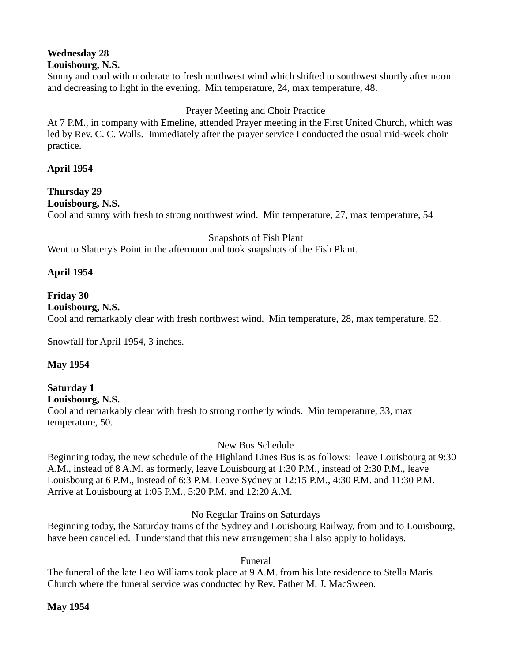# **Wednesday 28**

Sunny and cool with moderate to fresh northwest wind which shifted to southwest shortly after noon and decreasing to light in the evening. Min temperature, 24, max temperature, 48.

## Prayer Meeting and Choir Practice

At 7 P.M., in company with Emeline, attended Prayer meeting in the First United Church, which was led by Rev. C. C. Walls. Immediately after the prayer service I conducted the usual mid-week choir practice.

## **April 1954**

**Thursday 29 Louisbourg, N.S.** Cool and sunny with fresh to strong northwest wind. Min temperature, 27, max temperature, 54

Snapshots of Fish Plant

Went to Slattery's Point in the afternoon and took snapshots of the Fish Plant.

## **April 1954**

# **Friday 30**

**Louisbourg, N.S.**

Cool and remarkably clear with fresh northwest wind. Min temperature, 28, max temperature, 52.

Snowfall for April 1954, 3 inches.

#### **May 1954**

# **Saturday 1**

**Louisbourg, N.S.**

Cool and remarkably clear with fresh to strong northerly winds. Min temperature, 33, max temperature, 50.

#### New Bus Schedule

Beginning today, the new schedule of the Highland Lines Bus is as follows: leave Louisbourg at 9:30 A.M., instead of 8 A.M. as formerly, leave Louisbourg at 1:30 P.M., instead of 2:30 P.M., leave Louisbourg at 6 P.M., instead of 6:3 P.M. Leave Sydney at 12:15 P.M., 4:30 P.M. and 11:30 P.M. Arrive at Louisbourg at 1:05 P.M., 5:20 P.M. and 12:20 A.M.

No Regular Trains on Saturdays

Beginning today, the Saturday trains of the Sydney and Louisbourg Railway, from and to Louisbourg, have been cancelled. I understand that this new arrangement shall also apply to holidays.

Funeral

The funeral of the late Leo Williams took place at 9 A.M. from his late residence to Stella Maris Church where the funeral service was conducted by Rev. Father M. J. MacSween.

**May 1954**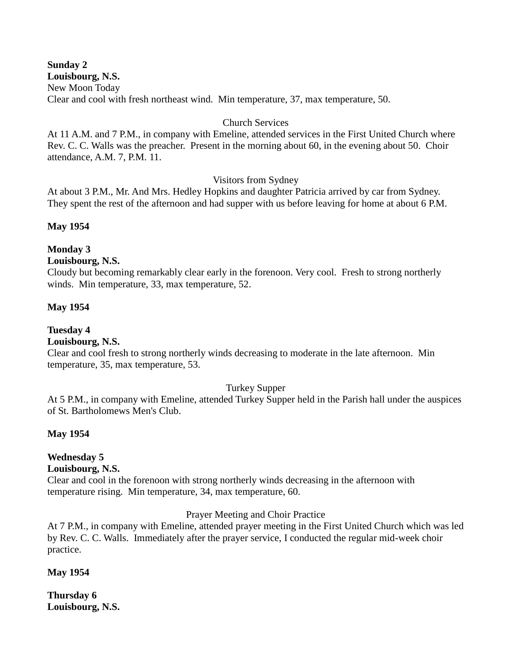**Sunday 2 Louisbourg, N.S.** New Moon Today Clear and cool with fresh northeast wind. Min temperature, 37, max temperature, 50.

#### Church Services

At 11 A.M. and 7 P.M., in company with Emeline, attended services in the First United Church where Rev. C. C. Walls was the preacher. Present in the morning about 60, in the evening about 50. Choir attendance, A.M. 7, P.M. 11.

#### Visitors from Sydney

At about 3 P.M., Mr. And Mrs. Hedley Hopkins and daughter Patricia arrived by car from Sydney. They spent the rest of the afternoon and had supper with us before leaving for home at about 6 P.M.

#### **May 1954**

#### **Monday 3**

#### **Louisbourg, N.S.**

Cloudy but becoming remarkably clear early in the forenoon. Very cool. Fresh to strong northerly winds. Min temperature, 33, max temperature, 52.

#### **May 1954**

## **Tuesday 4**

#### **Louisbourg, N.S.**

Clear and cool fresh to strong northerly winds decreasing to moderate in the late afternoon. Min temperature, 35, max temperature, 53.

#### Turkey Supper

At 5 P.M., in company with Emeline, attended Turkey Supper held in the Parish hall under the auspices of St. Bartholomews Men's Club.

#### **May 1954**

## **Wednesday 5**

#### **Louisbourg, N.S.**

Clear and cool in the forenoon with strong northerly winds decreasing in the afternoon with temperature rising. Min temperature, 34, max temperature, 60.

#### Prayer Meeting and Choir Practice

At 7 P.M., in company with Emeline, attended prayer meeting in the First United Church which was led by Rev. C. C. Walls. Immediately after the prayer service, I conducted the regular mid-week choir practice.

#### **May 1954**

**Thursday 6 Louisbourg, N.S.**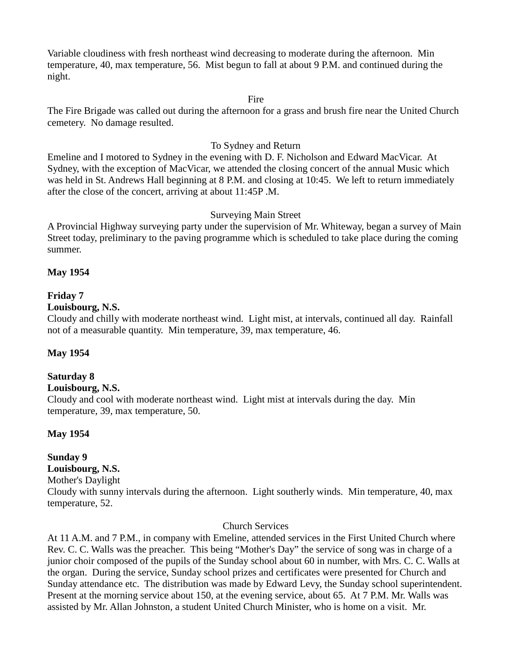Variable cloudiness with fresh northeast wind decreasing to moderate during the afternoon. Min temperature, 40, max temperature, 56. Mist begun to fall at about 9 P.M. and continued during the night.

#### Fire

The Fire Brigade was called out during the afternoon for a grass and brush fire near the United Church cemetery. No damage resulted.

#### To Sydney and Return

Emeline and I motored to Sydney in the evening with D. F. Nicholson and Edward MacVicar. At Sydney, with the exception of MacVicar, we attended the closing concert of the annual Music which was held in St. Andrews Hall beginning at 8 P.M. and closing at 10:45. We left to return immediately after the close of the concert, arriving at about 11:45P .M.

#### Surveying Main Street

A Provincial Highway surveying party under the supervision of Mr. Whiteway, began a survey of Main Street today, preliminary to the paving programme which is scheduled to take place during the coming summer.

#### **May 1954**

#### **Friday 7**

#### **Louisbourg, N.S.**

Cloudy and chilly with moderate northeast wind. Light mist, at intervals, continued all day. Rainfall not of a measurable quantity. Min temperature, 39, max temperature, 46.

#### **May 1954**

#### **Saturday 8**

#### **Louisbourg, N.S.**

Cloudy and cool with moderate northeast wind. Light mist at intervals during the day. Min temperature, 39, max temperature, 50.

#### **May 1954**

#### **Sunday 9 Louisbourg, N.S.**

## Mother's Daylight

Cloudy with sunny intervals during the afternoon. Light southerly winds. Min temperature, 40, max temperature, 52.

#### Church Services

At 11 A.M. and 7 P.M., in company with Emeline, attended services in the First United Church where Rev. C. C. Walls was the preacher. This being "Mother's Day" the service of song was in charge of a junior choir composed of the pupils of the Sunday school about 60 in number, with Mrs. C. C. Walls at the organ. During the service, Sunday school prizes and certificates were presented for Church and Sunday attendance etc. The distribution was made by Edward Levy, the Sunday school superintendent. Present at the morning service about 150, at the evening service, about 65. At 7 P.M. Mr. Walls was assisted by Mr. Allan Johnston, a student United Church Minister, who is home on a visit. Mr.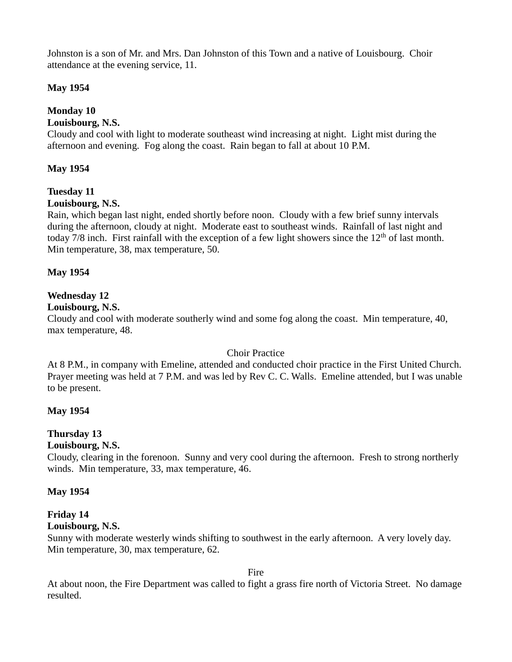Johnston is a son of Mr. and Mrs. Dan Johnston of this Town and a native of Louisbourg. Choir attendance at the evening service, 11.

### **May 1954**

## **Monday 10**

#### **Louisbourg, N.S.**

Cloudy and cool with light to moderate southeast wind increasing at night. Light mist during the afternoon and evening. Fog along the coast. Rain began to fall at about 10 P.M.

#### **May 1954**

## **Tuesday 11**

#### **Louisbourg, N.S.**

Rain, which began last night, ended shortly before noon. Cloudy with a few brief sunny intervals during the afternoon, cloudy at night. Moderate east to southeast winds. Rainfall of last night and today 7/8 inch. First rainfall with the exception of a few light showers since the  $12<sup>th</sup>$  of last month. Min temperature, 38, max temperature, 50.

#### **May 1954**

## **Wednesday 12**

#### **Louisbourg, N.S.**

Cloudy and cool with moderate southerly wind and some fog along the coast. Min temperature, 40, max temperature, 48.

#### Choir Practice

At 8 P.M., in company with Emeline, attended and conducted choir practice in the First United Church. Prayer meeting was held at 7 P.M. and was led by Rev C. C. Walls. Emeline attended, but I was unable to be present.

#### **May 1954**

## **Thursday 13**

#### **Louisbourg, N.S.**

Cloudy, clearing in the forenoon. Sunny and very cool during the afternoon. Fresh to strong northerly winds. Min temperature, 33, max temperature, 46.

#### **May 1954**

# **Friday 14**

## **Louisbourg, N.S.**

Sunny with moderate westerly winds shifting to southwest in the early afternoon. A very lovely day. Min temperature, 30, max temperature, 62.

Fire

At about noon, the Fire Department was called to fight a grass fire north of Victoria Street. No damage resulted.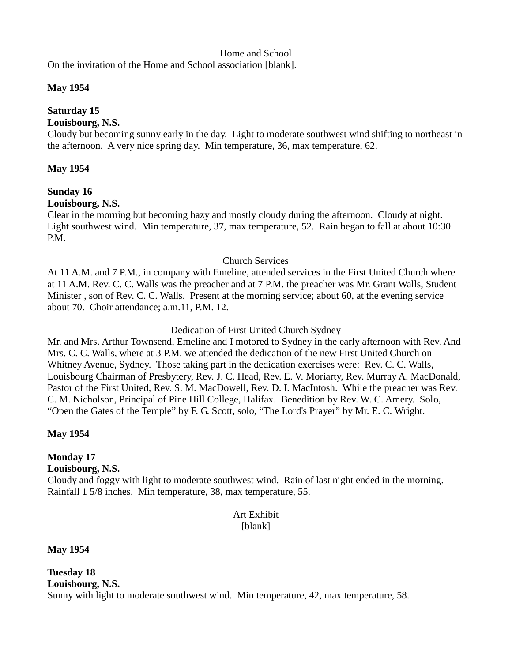#### Home and School

On the invitation of the Home and School association [blank].

#### **May 1954**

# **Saturday 15**

#### **Louisbourg, N.S.**

Cloudy but becoming sunny early in the day. Light to moderate southwest wind shifting to northeast in the afternoon. A very nice spring day. Min temperature, 36, max temperature, 62.

#### **May 1954**

# **Sunday 16**

#### **Louisbourg, N.S.**

Clear in the morning but becoming hazy and mostly cloudy during the afternoon. Cloudy at night. Light southwest wind. Min temperature, 37, max temperature, 52. Rain began to fall at about 10:30 P.M.

#### Church Services

At 11 A.M. and 7 P.M., in company with Emeline, attended services in the First United Church where at 11 A.M. Rev. C. C. Walls was the preacher and at 7 P.M. the preacher was Mr. Grant Walls, Student Minister , son of Rev. C. C. Walls. Present at the morning service; about 60, at the evening service about 70. Choir attendance; a.m.11, P.M. 12.

#### Dedication of First United Church Sydney

Mr. and Mrs. Arthur Townsend, Emeline and I motored to Sydney in the early afternoon with Rev. And Mrs. C. C. Walls, where at 3 P.M. we attended the dedication of the new First United Church on Whitney Avenue, Sydney. Those taking part in the dedication exercises were: Rev. C. C. Walls, Louisbourg Chairman of Presbytery, Rev. J. C. Head, Rev. E. V. Moriarty, Rev. Murray A. MacDonald, Pastor of the First United, Rev. S. M. MacDowell, Rev. D. I. MacIntosh. While the preacher was Rev. C. M. Nicholson, Principal of Pine Hill College, Halifax. Benedition by Rev. W. C. Amery. Solo, "Open the Gates of the Temple" by F. G. Scott, solo, "The Lord's Prayer" by Mr. E. C. Wright.

#### **May 1954**

# **Monday 17**

#### **Louisbourg, N.S.**

Cloudy and foggy with light to moderate southwest wind. Rain of last night ended in the morning. Rainfall 1 5/8 inches. Min temperature, 38, max temperature, 55.

### Art Exhibit [blank]

#### **May 1954**

**Tuesday 18 Louisbourg, N.S.** Sunny with light to moderate southwest wind. Min temperature, 42, max temperature, 58.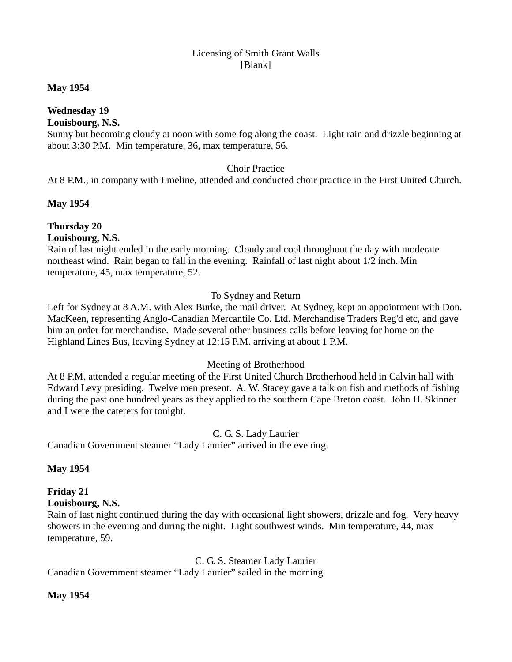#### Licensing of Smith Grant Walls [Blank]

#### **May 1954**

# **Wednesday 19**

### **Louisbourg, N.S.**

Sunny but becoming cloudy at noon with some fog along the coast. Light rain and drizzle beginning at about 3:30 P.M. Min temperature, 36, max temperature, 56.

### Choir Practice

At 8 P.M., in company with Emeline, attended and conducted choir practice in the First United Church.

### **May 1954**

# **Thursday 20**

**Louisbourg, N.S.**

Rain of last night ended in the early morning. Cloudy and cool throughout the day with moderate northeast wind. Rain began to fall in the evening. Rainfall of last night about 1/2 inch. Min temperature, 45, max temperature, 52.

### To Sydney and Return

Left for Sydney at 8 A.M. with Alex Burke, the mail driver. At Sydney, kept an appointment with Don. MacKeen, representing Anglo-Canadian Mercantile Co. Ltd. Merchandise Traders Reg'd etc, and gave him an order for merchandise. Made several other business calls before leaving for home on the Highland Lines Bus, leaving Sydney at 12:15 P.M. arriving at about 1 P.M.

# Meeting of Brotherhood

At 8 P.M. attended a regular meeting of the First United Church Brotherhood held in Calvin hall with Edward Levy presiding. Twelve men present. A. W. Stacey gave a talk on fish and methods of fishing during the past one hundred years as they applied to the southern Cape Breton coast. John H. Skinner and I were the caterers for tonight.

#### C. G. S. Lady Laurier

Canadian Government steamer "Lady Laurier" arrived in the evening.

# **May 1954**

#### **Friday 21 Louisbourg, N.S.**

Rain of last night continued during the day with occasional light showers, drizzle and fog. Very heavy showers in the evening and during the night. Light southwest winds. Min temperature, 44, max temperature, 59.

C. G. S. Steamer Lady Laurier

Canadian Government steamer "Lady Laurier" sailed in the morning.

# **May 1954**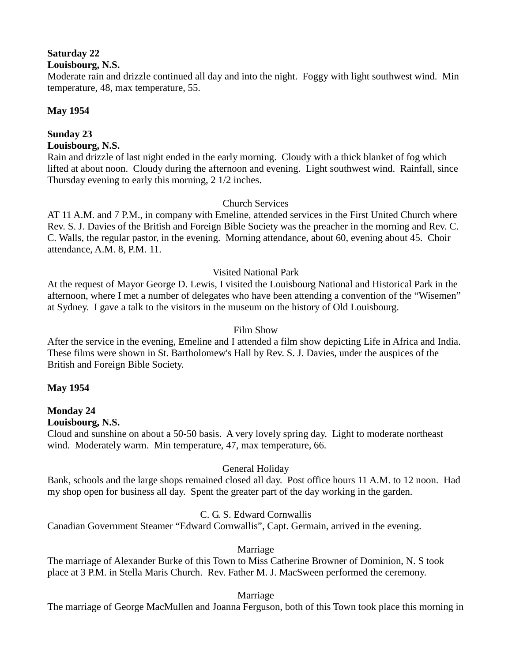# **Saturday 22**

#### **Louisbourg, N.S.**

Moderate rain and drizzle continued all day and into the night. Foggy with light southwest wind. Min temperature, 48, max temperature, 55.

### **May 1954**

#### **Sunday 23 Louisbourg, N.S.**

Rain and drizzle of last night ended in the early morning. Cloudy with a thick blanket of fog which lifted at about noon. Cloudy during the afternoon and evening. Light southwest wind. Rainfall, since Thursday evening to early this morning, 2 1/2 inches.

### Church Services

AT 11 A.M. and 7 P.M., in company with Emeline, attended services in the First United Church where Rev. S. J. Davies of the British and Foreign Bible Society was the preacher in the morning and Rev. C. C. Walls, the regular pastor, in the evening. Morning attendance, about 60, evening about 45. Choir attendance, A.M. 8, P.M. 11.

### Visited National Park

At the request of Mayor George D. Lewis, I visited the Louisbourg National and Historical Park in the afternoon, where I met a number of delegates who have been attending a convention of the "Wisemen" at Sydney. I gave a talk to the visitors in the museum on the history of Old Louisbourg.

#### Film Show

After the service in the evening, Emeline and I attended a film show depicting Life in Africa and India. These films were shown in St. Bartholomew's Hall by Rev. S. J. Davies, under the auspices of the British and Foreign Bible Society.

#### **May 1954**

#### **Monday 24 Louisbourg, N.S.**

Cloud and sunshine on about a 50-50 basis. A very lovely spring day. Light to moderate northeast wind. Moderately warm. Min temperature, 47, max temperature, 66.

#### General Holiday

Bank, schools and the large shops remained closed all day. Post office hours 11 A.M. to 12 noon. Had my shop open for business all day. Spent the greater part of the day working in the garden.

# C. G. S. Edward Cornwallis

Canadian Government Steamer "Edward Cornwallis", Capt. Germain, arrived in the evening.

#### Marriage

The marriage of Alexander Burke of this Town to Miss Catherine Browner of Dominion, N. S took place at 3 P.M. in Stella Maris Church. Rev. Father M. J. MacSween performed the ceremony.

#### Marriage

The marriage of George MacMullen and Joanna Ferguson, both of this Town took place this morning in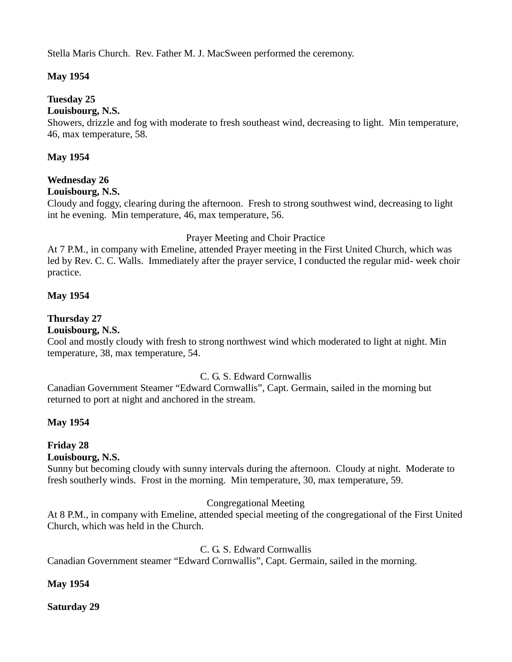Stella Maris Church. Rev. Father M. J. MacSween performed the ceremony.

# **May 1954**

### **Tuesday 25**

#### **Louisbourg, N.S.**

Showers, drizzle and fog with moderate to fresh southeast wind, decreasing to light. Min temperature, 46, max temperature, 58.

#### **May 1954**

### **Wednesday 26**

#### **Louisbourg, N.S.**

Cloudy and foggy, clearing during the afternoon. Fresh to strong southwest wind, decreasing to light int he evening. Min temperature, 46, max temperature, 56.

#### Prayer Meeting and Choir Practice

At 7 P.M., in company with Emeline, attended Prayer meeting in the First United Church, which was led by Rev. C. C. Walls. Immediately after the prayer service, I conducted the regular mid- week choir practice.

#### **May 1954**

#### **Thursday 27**

#### **Louisbourg, N.S.**

Cool and mostly cloudy with fresh to strong northwest wind which moderated to light at night. Min temperature, 38, max temperature, 54.

#### C. G. S. Edward Cornwallis

Canadian Government Steamer "Edward Cornwallis", Capt. Germain, sailed in the morning but returned to port at night and anchored in the stream.

#### **May 1954**

# **Friday 28**

#### **Louisbourg, N.S.**

Sunny but becoming cloudy with sunny intervals during the afternoon. Cloudy at night. Moderate to fresh southerly winds. Frost in the morning. Min temperature, 30, max temperature, 59.

#### Congregational Meeting

At 8 P.M., in company with Emeline, attended special meeting of the congregational of the First United Church, which was held in the Church.

#### C. G. S. Edward Cornwallis

Canadian Government steamer "Edward Cornwallis", Capt. Germain, sailed in the morning.

#### **May 1954**

**Saturday 29**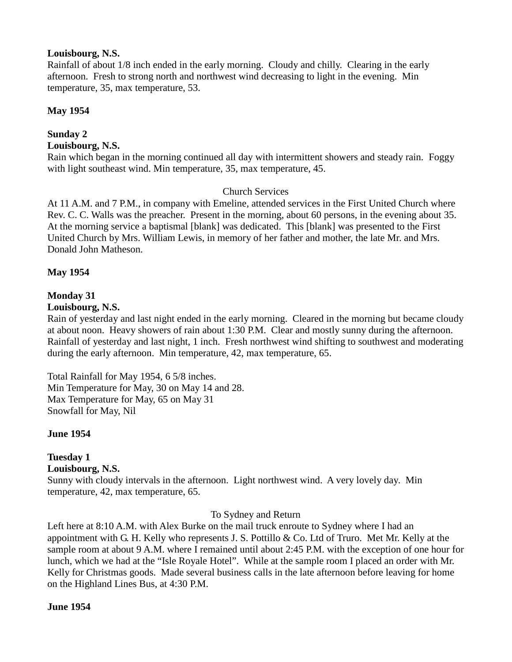#### **Louisbourg, N.S.**

Rainfall of about 1/8 inch ended in the early morning. Cloudy and chilly. Clearing in the early afternoon. Fresh to strong north and northwest wind decreasing to light in the evening. Min temperature, 35, max temperature, 53.

### **May 1954**

#### **Sunday 2 Louisbourg, N.S.**

Rain which began in the morning continued all day with intermittent showers and steady rain. Foggy with light southeast wind. Min temperature, 35, max temperature, 45.

### Church Services

At 11 A.M. and 7 P.M., in company with Emeline, attended services in the First United Church where Rev. C. C. Walls was the preacher. Present in the morning, about 60 persons, in the evening about 35. At the morning service a baptismal [blank] was dedicated. This [blank] was presented to the First United Church by Mrs. William Lewis, in memory of her father and mother, the late Mr. and Mrs. Donald John Matheson.

### **May 1954**

# **Monday 31**

#### **Louisbourg, N.S.**

Rain of yesterday and last night ended in the early morning. Cleared in the morning but became cloudy at about noon. Heavy showers of rain about 1:30 P.M. Clear and mostly sunny during the afternoon. Rainfall of yesterday and last night, 1 inch. Fresh northwest wind shifting to southwest and moderating during the early afternoon. Min temperature, 42, max temperature, 65.

Total Rainfall for May 1954, 6 5/8 inches. Min Temperature for May, 30 on May 14 and 28. Max Temperature for May, 65 on May 31 Snowfall for May, Nil

#### **June 1954**

#### **Tuesday 1 Louisbourg, N.S.**

Sunny with cloudy intervals in the afternoon. Light northwest wind. A very lovely day. Min temperature, 42, max temperature, 65.

#### To Sydney and Return

Left here at 8:10 A.M. with Alex Burke on the mail truck enroute to Sydney where I had an appointment with G. H. Kelly who represents J. S. Pottillo & Co. Ltd of Truro. Met Mr. Kelly at the sample room at about 9 A.M. where I remained until about 2:45 P.M. with the exception of one hour for lunch, which we had at the "Isle Royale Hotel". While at the sample room I placed an order with Mr. Kelly for Christmas goods. Made several business calls in the late afternoon before leaving for home on the Highland Lines Bus, at 4:30 P.M.

#### **June 1954**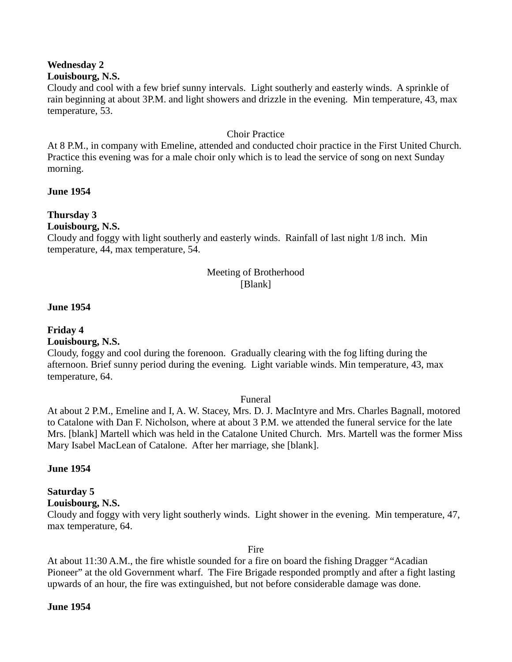# **Wednesday 2**

#### **Louisbourg, N.S.**

Cloudy and cool with a few brief sunny intervals. Light southerly and easterly winds. A sprinkle of rain beginning at about 3P.M. and light showers and drizzle in the evening. Min temperature, 43, max temperature, 53.

#### Choir Practice

At 8 P.M., in company with Emeline, attended and conducted choir practice in the First United Church. Practice this evening was for a male choir only which is to lead the service of song on next Sunday morning.

#### **June 1954**

### **Thursday 3**

#### **Louisbourg, N.S.**

Cloudy and foggy with light southerly and easterly winds. Rainfall of last night 1/8 inch. Min temperature, 44, max temperature, 54.

#### Meeting of Brotherhood [Blank]

#### **June 1954**

# **Friday 4**

**Louisbourg, N.S.**

Cloudy, foggy and cool during the forenoon. Gradually clearing with the fog lifting during the afternoon. Brief sunny period during the evening. Light variable winds. Min temperature, 43, max temperature, 64.

#### Funeral

At about 2 P.M., Emeline and I, A. W. Stacey, Mrs. D. J. MacIntyre and Mrs. Charles Bagnall, motored to Catalone with Dan F. Nicholson, where at about 3 P.M. we attended the funeral service for the late Mrs. [blank] Martell which was held in the Catalone United Church. Mrs. Martell was the former Miss Mary Isabel MacLean of Catalone. After her marriage, she [blank].

#### **June 1954**

# **Saturday 5**

#### **Louisbourg, N.S.**

Cloudy and foggy with very light southerly winds. Light shower in the evening. Min temperature, 47, max temperature, 64.

Fire

At about 11:30 A.M., the fire whistle sounded for a fire on board the fishing Dragger "Acadian Pioneer" at the old Government wharf. The Fire Brigade responded promptly and after a fight lasting upwards of an hour, the fire was extinguished, but not before considerable damage was done.

#### **June 1954**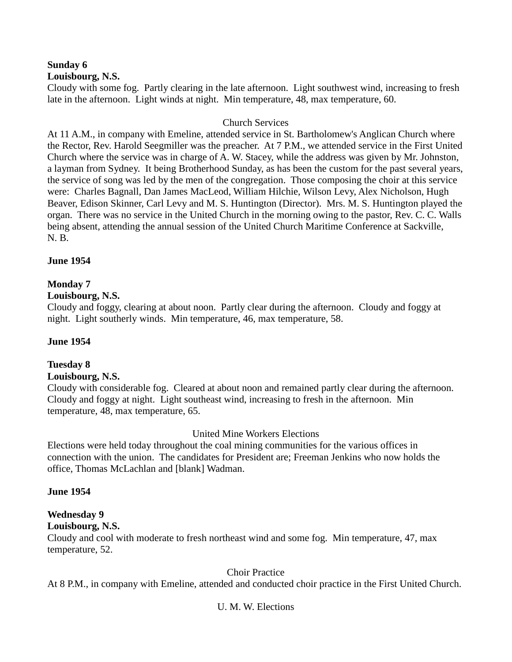#### **Sunday 6 Louisbourg, N.S.**

Cloudy with some fog. Partly clearing in the late afternoon. Light southwest wind, increasing to fresh late in the afternoon. Light winds at night. Min temperature, 48, max temperature, 60.

#### Church Services

At 11 A.M., in company with Emeline, attended service in St. Bartholomew's Anglican Church where the Rector, Rev. Harold Seegmiller was the preacher. At 7 P.M., we attended service in the First United Church where the service was in charge of A. W. Stacey, while the address was given by Mr. Johnston, a layman from Sydney. It being Brotherhood Sunday, as has been the custom for the past several years, the service of song was led by the men of the congregation. Those composing the choir at this service were: Charles Bagnall, Dan James MacLeod, William Hilchie, Wilson Levy, Alex Nicholson, Hugh Beaver, Edison Skinner, Carl Levy and M. S. Huntington (Director). Mrs. M. S. Huntington played the organ. There was no service in the United Church in the morning owing to the pastor, Rev. C. C. Walls being absent, attending the annual session of the United Church Maritime Conference at Sackville, N. B.

#### **June 1954**

#### **Monday 7**

#### **Louisbourg, N.S.**

Cloudy and foggy, clearing at about noon. Partly clear during the afternoon. Cloudy and foggy at night. Light southerly winds. Min temperature, 46, max temperature, 58.

#### **June 1954**

# **Tuesday 8**

#### **Louisbourg, N.S.**

Cloudy with considerable fog. Cleared at about noon and remained partly clear during the afternoon. Cloudy and foggy at night. Light southeast wind, increasing to fresh in the afternoon. Min temperature, 48, max temperature, 65.

#### United Mine Workers Elections

Elections were held today throughout the coal mining communities for the various offices in connection with the union. The candidates for President are; Freeman Jenkins who now holds the office, Thomas McLachlan and [blank] Wadman.

#### **June 1954**

# **Wednesday 9**

#### **Louisbourg, N.S.**

Cloudy and cool with moderate to fresh northeast wind and some fog. Min temperature, 47, max temperature, 52.

#### Choir Practice

At 8 P.M., in company with Emeline, attended and conducted choir practice in the First United Church.

#### U. M. W. Elections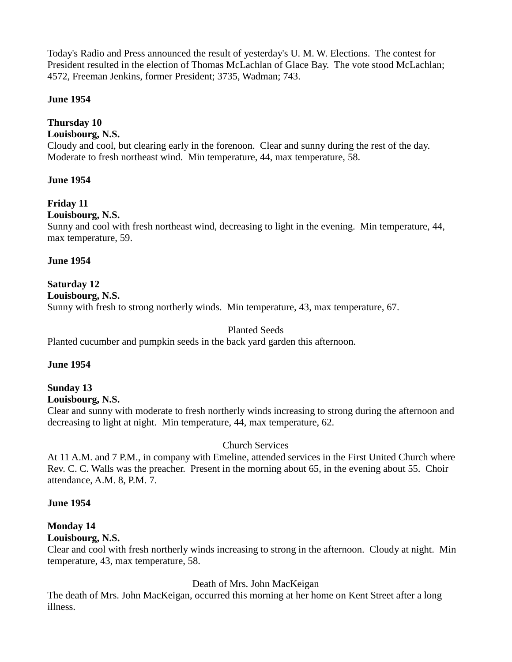Today's Radio and Press announced the result of yesterday's U. M. W. Elections. The contest for President resulted in the election of Thomas McLachlan of Glace Bay. The vote stood McLachlan; 4572, Freeman Jenkins, former President; 3735, Wadman; 743.

#### **June 1954**

### **Thursday 10**

#### **Louisbourg, N.S.**

Cloudy and cool, but clearing early in the forenoon. Clear and sunny during the rest of the day. Moderate to fresh northeast wind. Min temperature, 44, max temperature, 58.

#### **June 1954**

# **Friday 11**

#### **Louisbourg, N.S.**

Sunny and cool with fresh northeast wind, decreasing to light in the evening. Min temperature, 44, max temperature, 59.

#### **June 1954**

# **Saturday 12**

#### **Louisbourg, N.S.**

Sunny with fresh to strong northerly winds. Min temperature, 43, max temperature, 67.

#### Planted Seeds

Planted cucumber and pumpkin seeds in the back yard garden this afternoon.

#### **June 1954**

# **Sunday 13**

# **Louisbourg, N.S.**

Clear and sunny with moderate to fresh northerly winds increasing to strong during the afternoon and decreasing to light at night. Min temperature, 44, max temperature, 62.

#### Church Services

At 11 A.M. and 7 P.M., in company with Emeline, attended services in the First United Church where Rev. C. C. Walls was the preacher. Present in the morning about 65, in the evening about 55. Choir attendance, A.M. 8, P.M. 7.

#### **June 1954**

# **Monday 14**

#### **Louisbourg, N.S.**

Clear and cool with fresh northerly winds increasing to strong in the afternoon. Cloudy at night. Min temperature, 43, max temperature, 58.

#### Death of Mrs. John MacKeigan

The death of Mrs. John MacKeigan, occurred this morning at her home on Kent Street after a long illness.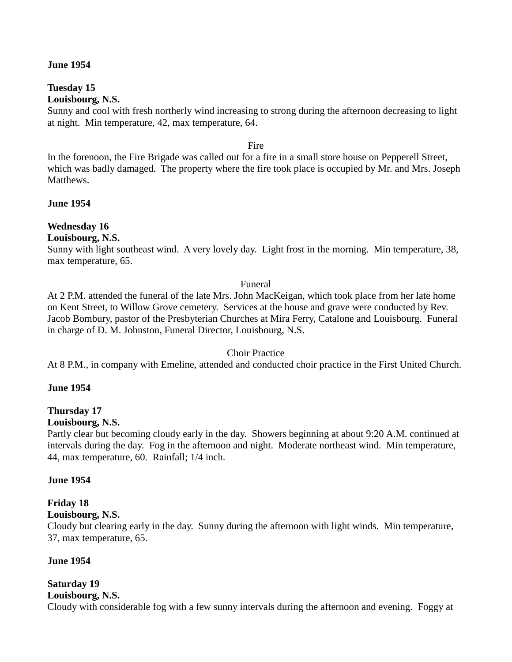#### **June 1954**

# **Tuesday 15**

# **Louisbourg, N.S.**

Sunny and cool with fresh northerly wind increasing to strong during the afternoon decreasing to light at night. Min temperature, 42, max temperature, 64.

Fire

In the forenoon, the Fire Brigade was called out for a fire in a small store house on Pepperell Street, which was badly damaged. The property where the fire took place is occupied by Mr. and Mrs. Joseph Matthews.

**June 1954**

### **Wednesday 16**

#### **Louisbourg, N.S.**

Sunny with light southeast wind. A very lovely day. Light frost in the morning. Min temperature, 38, max temperature, 65.

#### Funeral

At 2 P.M. attended the funeral of the late Mrs. John MacKeigan, which took place from her late home on Kent Street, to Willow Grove cemetery. Services at the house and grave were conducted by Rev. Jacob Bombury, pastor of the Presbyterian Churches at Mira Ferry, Catalone and Louisbourg. Funeral in charge of D. M. Johnston, Funeral Director, Louisbourg, N.S.

#### Choir Practice

At 8 P.M., in company with Emeline, attended and conducted choir practice in the First United Church.

#### **June 1954**

# **Thursday 17**

#### **Louisbourg, N.S.**

Partly clear but becoming cloudy early in the day. Showers beginning at about 9:20 A.M. continued at intervals during the day. Fog in the afternoon and night. Moderate northeast wind. Min temperature, 44, max temperature, 60. Rainfall; 1/4 inch.

#### **June 1954**

# **Friday 18**

#### **Louisbourg, N.S.**

Cloudy but clearing early in the day. Sunny during the afternoon with light winds. Min temperature, 37, max temperature, 65.

#### **June 1954**

# **Saturday 19**

#### **Louisbourg, N.S.**

Cloudy with considerable fog with a few sunny intervals during the afternoon and evening. Foggy at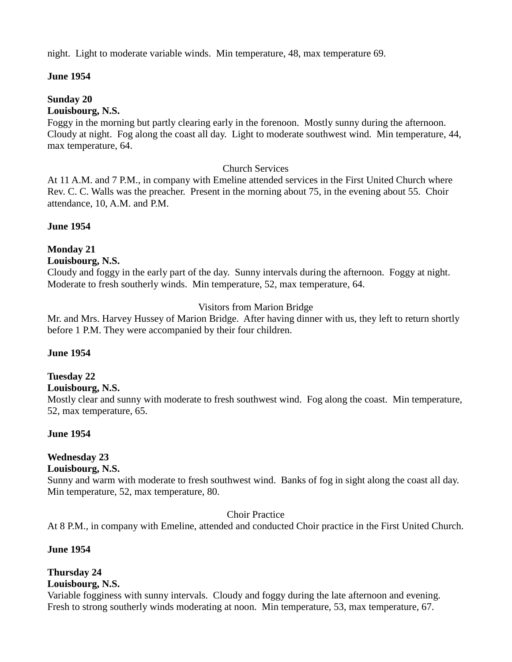night. Light to moderate variable winds. Min temperature, 48, max temperature 69.

#### **June 1954**

#### **Sunday 20**

**Louisbourg, N.S.**

Foggy in the morning but partly clearing early in the forenoon. Mostly sunny during the afternoon. Cloudy at night. Fog along the coast all day. Light to moderate southwest wind. Min temperature, 44, max temperature, 64.

#### Church Services

At 11 A.M. and 7 P.M., in company with Emeline attended services in the First United Church where Rev. C. C. Walls was the preacher. Present in the morning about 75, in the evening about 55. Choir attendance, 10, A.M. and P.M.

#### **June 1954**

# **Monday 21**

#### **Louisbourg, N.S.**

Cloudy and foggy in the early part of the day. Sunny intervals during the afternoon. Foggy at night. Moderate to fresh southerly winds. Min temperature, 52, max temperature, 64.

### Visitors from Marion Bridge

Mr. and Mrs. Harvey Hussey of Marion Bridge. After having dinner with us, they left to return shortly before 1 P.M. They were accompanied by their four children.

#### **June 1954**

# **Tuesday 22**

#### **Louisbourg, N.S.**

Mostly clear and sunny with moderate to fresh southwest wind. Fog along the coast. Min temperature, 52, max temperature, 65.

#### **June 1954**

# **Wednesday 23**

#### **Louisbourg, N.S.**

Sunny and warm with moderate to fresh southwest wind. Banks of fog in sight along the coast all day. Min temperature, 52, max temperature, 80.

Choir Practice

At 8 P.M., in company with Emeline, attended and conducted Choir practice in the First United Church.

#### **June 1954**

# **Thursday 24**

### **Louisbourg, N.S.**

Variable fogginess with sunny intervals. Cloudy and foggy during the late afternoon and evening. Fresh to strong southerly winds moderating at noon. Min temperature, 53, max temperature, 67.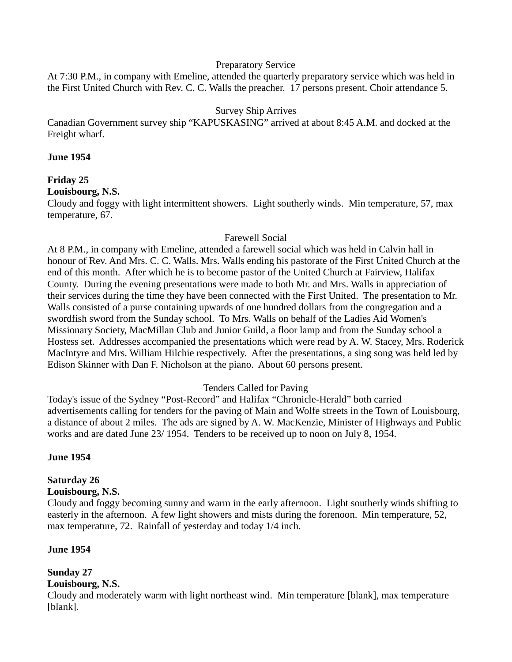#### Preparatory Service

At 7:30 P.M., in company with Emeline, attended the quarterly preparatory service which was held in the First United Church with Rev. C. C. Walls the preacher. 17 persons present. Choir attendance 5.

#### Survey Ship Arrives

Canadian Government survey ship "KAPUSKASING" arrived at about 8:45 A.M. and docked at the Freight wharf.

#### **June 1954**

### **Friday 25**

#### **Louisbourg, N.S.**

Cloudy and foggy with light intermittent showers. Light southerly winds. Min temperature, 57, max temperature, 67.

#### Farewell Social

At 8 P.M., in company with Emeline, attended a farewell social which was held in Calvin hall in honour of Rev. And Mrs. C. C. Walls. Mrs. Walls ending his pastorate of the First United Church at the end of this month. After which he is to become pastor of the United Church at Fairview, Halifax County. During the evening presentations were made to both Mr. and Mrs. Walls in appreciation of their services during the time they have been connected with the First United. The presentation to Mr. Walls consisted of a purse containing upwards of one hundred dollars from the congregation and a swordfish sword from the Sunday school. To Mrs. Walls on behalf of the Ladies Aid Women's Missionary Society, MacMillan Club and Junior Guild, a floor lamp and from the Sunday school a Hostess set. Addresses accompanied the presentations which were read by A. W. Stacey, Mrs. Roderick MacIntyre and Mrs. William Hilchie respectively. After the presentations, a sing song was held led by Edison Skinner with Dan F. Nicholson at the piano. About 60 persons present.

#### Tenders Called for Paving

Today's issue of the Sydney "Post-Record" and Halifax "Chronicle-Herald" both carried advertisements calling for tenders for the paving of Main and Wolfe streets in the Town of Louisbourg, a distance of about 2 miles. The ads are signed by A. W. MacKenzie, Minister of Highways and Public works and are dated June 23/ 1954. Tenders to be received up to noon on July 8, 1954.

#### **June 1954**

#### **Saturday 26**

#### **Louisbourg, N.S.**

Cloudy and foggy becoming sunny and warm in the early afternoon. Light southerly winds shifting to easterly in the afternoon. A few light showers and mists during the forenoon. Min temperature, 52, max temperature, 72. Rainfall of yesterday and today 1/4 inch.

#### **June 1954**

# **Sunday 27**

#### **Louisbourg, N.S.**

Cloudy and moderately warm with light northeast wind. Min temperature [blank], max temperature [blank].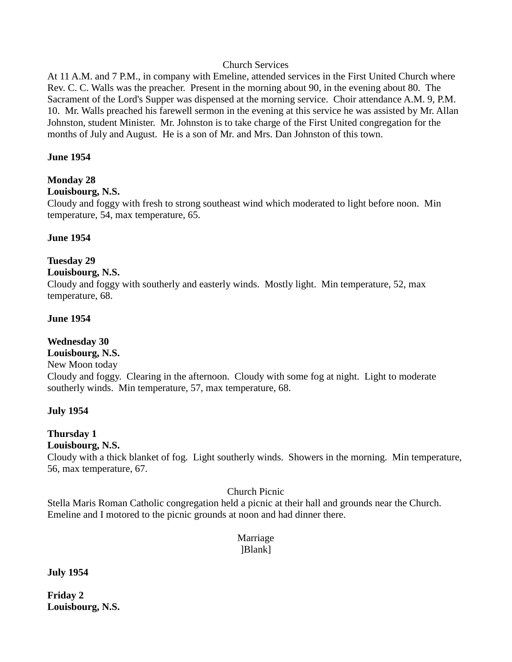#### Church Services

At 11 A.M. and 7 P.M., in company with Emeline, attended services in the First United Church where Rev. C. C. Walls was the preacher. Present in the morning about 90, in the evening about 80. The Sacrament of the Lord's Supper was dispensed at the morning service. Choir attendance A.M. 9, P.M. 10. Mr. Walls preached his farewell sermon in the evening at this service he was assisted by Mr. Allan Johnston, student Minister. Mr. Johnston is to take charge of the First United congregation for the months of July and August. He is a son of Mr. and Mrs. Dan Johnston of this town.

#### **June 1954**

### **Monday 28**

#### **Louisbourg, N.S.**

Cloudy and foggy with fresh to strong southeast wind which moderated to light before noon. Min temperature, 54, max temperature, 65.

#### **June 1954**

### **Tuesday 29**

#### **Louisbourg, N.S.**

Cloudy and foggy with southerly and easterly winds. Mostly light. Min temperature, 52, max temperature, 68.

#### **June 1954**

#### **Wednesday 30**

# **Louisbourg, N.S.**

New Moon today

Cloudy and foggy. Clearing in the afternoon. Cloudy with some fog at night. Light to moderate southerly winds. Min temperature, 57, max temperature, 68.

#### **July 1954**

# **Thursday 1**

# **Louisbourg, N.S.**

Cloudy with a thick blanket of fog. Light southerly winds. Showers in the morning. Min temperature, 56, max temperature, 67.

#### Church Picnic

Stella Maris Roman Catholic congregation held a picnic at their hall and grounds near the Church. Emeline and I motored to the picnic grounds at noon and had dinner there.

#### Marriage ]Blank]

#### **July 1954**

**Friday 2 Louisbourg, N.S.**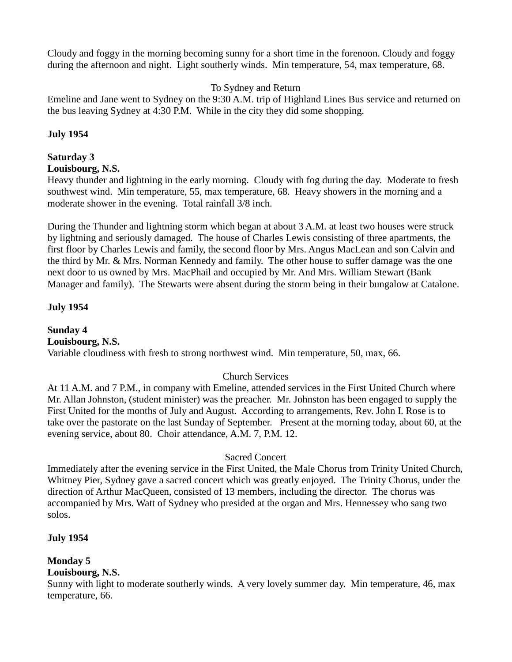Cloudy and foggy in the morning becoming sunny for a short time in the forenoon. Cloudy and foggy during the afternoon and night. Light southerly winds. Min temperature, 54, max temperature, 68.

### To Sydney and Return

Emeline and Jane went to Sydney on the 9:30 A.M. trip of Highland Lines Bus service and returned on the bus leaving Sydney at 4:30 P.M. While in the city they did some shopping.

### **July 1954**

# **Saturday 3**

#### **Louisbourg, N.S.**

Heavy thunder and lightning in the early morning. Cloudy with fog during the day. Moderate to fresh southwest wind. Min temperature, 55, max temperature, 68. Heavy showers in the morning and a moderate shower in the evening. Total rainfall 3/8 inch.

During the Thunder and lightning storm which began at about 3 A.M. at least two houses were struck by lightning and seriously damaged. The house of Charles Lewis consisting of three apartments, the first floor by Charles Lewis and family, the second floor by Mrs. Angus MacLean and son Calvin and the third by Mr. & Mrs. Norman Kennedy and family. The other house to suffer damage was the one next door to us owned by Mrs. MacPhail and occupied by Mr. And Mrs. William Stewart (Bank Manager and family). The Stewarts were absent during the storm being in their bungalow at Catalone.

### **July 1954**

**Sunday 4 Louisbourg, N.S.** Variable cloudiness with fresh to strong northwest wind. Min temperature, 50, max, 66.

# Church Services

At 11 A.M. and 7 P.M., in company with Emeline, attended services in the First United Church where Mr. Allan Johnston, (student minister) was the preacher. Mr. Johnston has been engaged to supply the First United for the months of July and August. According to arrangements, Rev. John I. Rose is to take over the pastorate on the last Sunday of September. Present at the morning today, about 60, at the evening service, about 80. Choir attendance, A.M. 7, P.M. 12.

#### Sacred Concert

Immediately after the evening service in the First United, the Male Chorus from Trinity United Church, Whitney Pier, Sydney gave a sacred concert which was greatly enjoyed. The Trinity Chorus, under the direction of Arthur MacQueen, consisted of 13 members, including the director. The chorus was accompanied by Mrs. Watt of Sydney who presided at the organ and Mrs. Hennessey who sang two solos.

# **July 1954**

# **Monday 5**

# **Louisbourg, N.S.**

Sunny with light to moderate southerly winds. A very lovely summer day. Min temperature, 46, max temperature, 66.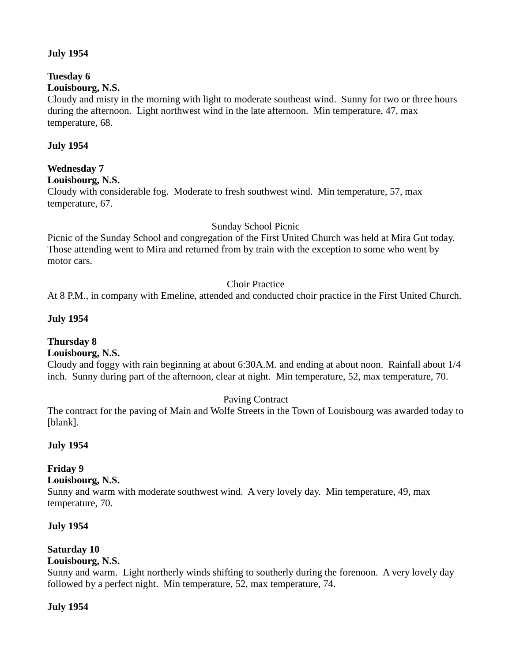#### **July 1954**

# **Tuesday 6**

# **Louisbourg, N.S.**

Cloudy and misty in the morning with light to moderate southeast wind. Sunny for two or three hours during the afternoon. Light northwest wind in the late afternoon. Min temperature, 47, max temperature, 68.

#### **July 1954**

#### **Wednesday 7**

**Louisbourg, N.S.**

Cloudy with considerable fog. Moderate to fresh southwest wind. Min temperature, 57, max temperature, 67.

#### Sunday School Picnic

Picnic of the Sunday School and congregation of the First United Church was held at Mira Gut today. Those attending went to Mira and returned from by train with the exception to some who went by motor cars.

#### Choir Practice

At 8 P.M., in company with Emeline, attended and conducted choir practice in the First United Church.

#### **July 1954**

#### **Thursday 8**

#### **Louisbourg, N.S.**

Cloudy and foggy with rain beginning at about 6:30A.M. and ending at about noon. Rainfall about 1/4 inch. Sunny during part of the afternoon, clear at night. Min temperature, 52, max temperature, 70.

#### Paving Contract

The contract for the paving of Main and Wolfe Streets in the Town of Louisbourg was awarded today to [blank].

#### **July 1954**

# **Friday 9**

#### **Louisbourg, N.S.**

Sunny and warm with moderate southwest wind. A very lovely day. Min temperature, 49, max temperature, 70.

#### **July 1954**

# **Saturday 10**

#### **Louisbourg, N.S.**

Sunny and warm. Light northerly winds shifting to southerly during the forenoon. A very lovely day followed by a perfect night. Min temperature, 52, max temperature, 74.

#### **July 1954**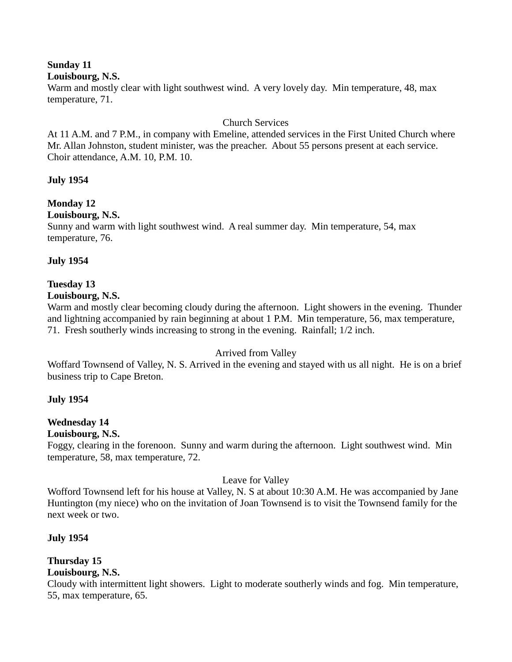# **Sunday 11**

#### **Louisbourg, N.S.**

Warm and mostly clear with light southwest wind. A very lovely day. Min temperature, 48, max temperature, 71.

#### Church Services

At 11 A.M. and 7 P.M., in company with Emeline, attended services in the First United Church where Mr. Allan Johnston, student minister, was the preacher. About 55 persons present at each service. Choir attendance, A.M. 10, P.M. 10.

### **July 1954**

# **Monday 12**

### **Louisbourg, N.S.**

Sunny and warm with light southwest wind. A real summer day. Min temperature, 54, max temperature, 76.

#### **July 1954**

### **Tuesday 13**

#### **Louisbourg, N.S.**

Warm and mostly clear becoming cloudy during the afternoon. Light showers in the evening. Thunder and lightning accompanied by rain beginning at about 1 P.M. Min temperature, 56, max temperature, 71. Fresh southerly winds increasing to strong in the evening. Rainfall; 1/2 inch.

#### Arrived from Valley

Woffard Townsend of Valley, N. S. Arrived in the evening and stayed with us all night. He is on a brief business trip to Cape Breton.

#### **July 1954**

# **Wednesday 14**

#### **Louisbourg, N.S.**

Foggy, clearing in the forenoon. Sunny and warm during the afternoon. Light southwest wind. Min temperature, 58, max temperature, 72.

#### Leave for Valley

Wofford Townsend left for his house at Valley, N. S at about 10:30 A.M. He was accompanied by Jane Huntington (my niece) who on the invitation of Joan Townsend is to visit the Townsend family for the next week or two.

#### **July 1954**

# **Thursday 15**

# **Louisbourg, N.S.**

Cloudy with intermittent light showers. Light to moderate southerly winds and fog. Min temperature, 55, max temperature, 65.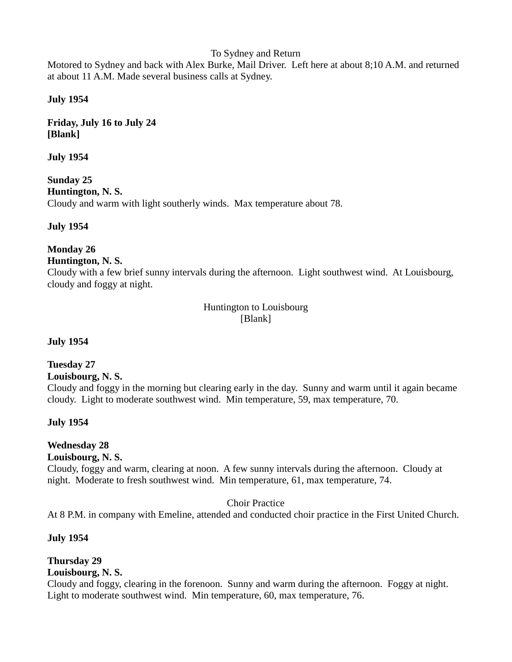#### To Sydney and Return

Motored to Sydney and back with Alex Burke, Mail Driver. Left here at about 8;10 A.M. and returned at about 11 A.M. Made several business calls at Sydney.

#### **July 1954**

**Friday, July 16 to July 24 [Blank]**

**July 1954**

**Sunday 25 Huntington, N. S.**  Cloudy and warm with light southerly winds. Max temperature about 78.

**July 1954**

**Monday 26**

**Huntington, N. S.** 

Cloudy with a few brief sunny intervals during the afternoon. Light southwest wind. At Louisbourg, cloudy and foggy at night.

> Huntington to Louisbourg [Blank]

**July 1954**

#### **Tuesday 27**

**Louisbourg, N. S.** 

Cloudy and foggy in the morning but clearing early in the day. Sunny and warm until it again became cloudy. Light to moderate southwest wind. Min temperature, 59, max temperature, 70.

#### **July 1954**

#### **Wednesday 28**

#### **Louisbourg, N. S.**

Cloudy, foggy and warm, clearing at noon. A few sunny intervals during the afternoon. Cloudy at night. Moderate to fresh southwest wind. Min temperature, 61, max temperature, 74.

Choir Practice

At 8 P.M. in company with Emeline, attended and conducted choir practice in the First United Church.

#### **July 1954**

# **Thursday 29**

# **Louisbourg, N. S.**

Cloudy and foggy, clearing in the forenoon. Sunny and warm during the afternoon. Foggy at night. Light to moderate southwest wind. Min temperature, 60, max temperature, 76.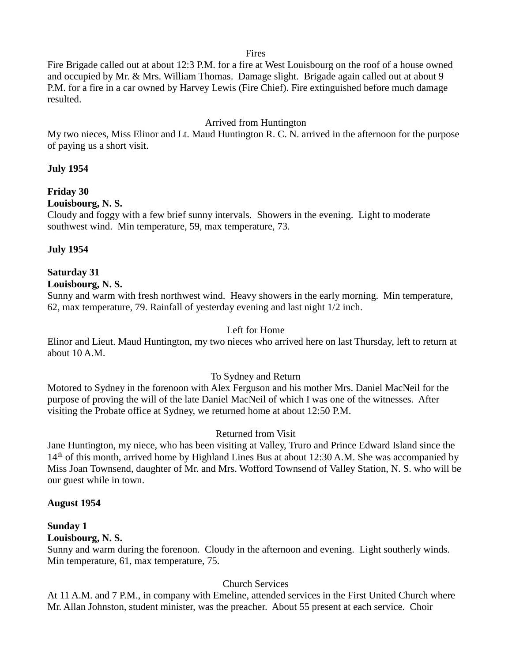Fires

Fire Brigade called out at about 12:3 P.M. for a fire at West Louisbourg on the roof of a house owned and occupied by Mr. & Mrs. William Thomas. Damage slight. Brigade again called out at about 9 P.M. for a fire in a car owned by Harvey Lewis (Fire Chief). Fire extinguished before much damage resulted.

#### Arrived from Huntington

My two nieces, Miss Elinor and Lt. Maud Huntington R. C. N. arrived in the afternoon for the purpose of paying us a short visit.

#### **July 1954**

# **Friday 30**

#### **Louisbourg, N. S.**

Cloudy and foggy with a few brief sunny intervals. Showers in the evening. Light to moderate southwest wind. Min temperature, 59, max temperature, 73.

### **July 1954**

# **Saturday 31**

#### **Louisbourg, N. S.**

Sunny and warm with fresh northwest wind. Heavy showers in the early morning. Min temperature, 62, max temperature, 79. Rainfall of yesterday evening and last night 1/2 inch.

#### Left for Home

Elinor and Lieut. Maud Huntington, my two nieces who arrived here on last Thursday, left to return at about 10 A.M.

#### To Sydney and Return

Motored to Sydney in the forenoon with Alex Ferguson and his mother Mrs. Daniel MacNeil for the purpose of proving the will of the late Daniel MacNeil of which I was one of the witnesses. After visiting the Probate office at Sydney, we returned home at about 12:50 P.M.

# Returned from Visit

Jane Huntington, my niece, who has been visiting at Valley, Truro and Prince Edward Island since the  $14<sup>th</sup>$  of this month, arrived home by Highland Lines Bus at about 12:30 A.M. She was accompanied by Miss Joan Townsend, daughter of Mr. and Mrs. Wofford Townsend of Valley Station, N. S. who will be our guest while in town.

#### **August 1954**

# **Sunday 1**

#### **Louisbourg, N. S.**

Sunny and warm during the forenoon. Cloudy in the afternoon and evening. Light southerly winds. Min temperature, 61, max temperature, 75.

# Church Services

At 11 A.M. and 7 P.M., in company with Emeline, attended services in the First United Church where Mr. Allan Johnston, student minister, was the preacher. About 55 present at each service. Choir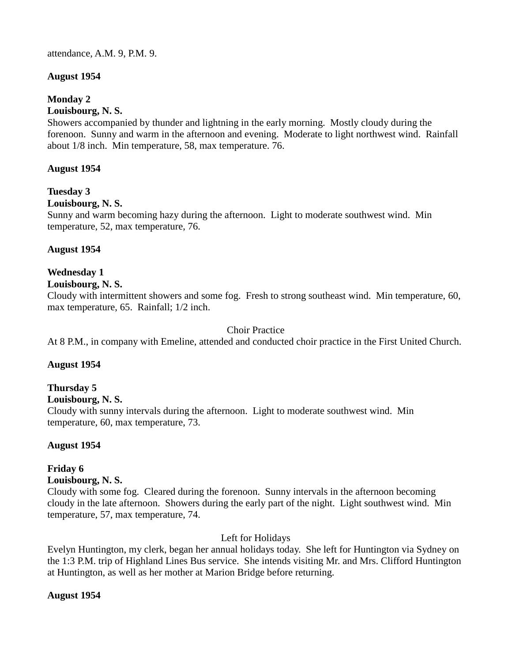attendance, A.M. 9, P.M. 9.

### **August 1954**

### **Monday 2**

#### **Louisbourg, N. S.**

Showers accompanied by thunder and lightning in the early morning. Mostly cloudy during the forenoon. Sunny and warm in the afternoon and evening. Moderate to light northwest wind. Rainfall about 1/8 inch. Min temperature, 58, max temperature. 76.

#### **August 1954**

# **Tuesday 3**

#### **Louisbourg, N. S.**

Sunny and warm becoming hazy during the afternoon. Light to moderate southwest wind. Min temperature, 52, max temperature, 76.

### **August 1954**

# **Wednesday 1**

**Louisbourg, N. S.** 

Cloudy with intermittent showers and some fog. Fresh to strong southeast wind. Min temperature, 60, max temperature, 65. Rainfall; 1/2 inch.

### Choir Practice

At 8 P.M., in company with Emeline, attended and conducted choir practice in the First United Church.

#### **August 1954**

# **Thursday 5**

#### **Louisbourg, N. S.**

Cloudy with sunny intervals during the afternoon. Light to moderate southwest wind. Min temperature, 60, max temperature, 73.

# **August 1954**

# **Friday 6**

#### **Louisbourg, N. S.**

Cloudy with some fog. Cleared during the forenoon. Sunny intervals in the afternoon becoming cloudy in the late afternoon. Showers during the early part of the night. Light southwest wind. Min temperature, 57, max temperature, 74.

# Left for Holidays

Evelyn Huntington, my clerk, began her annual holidays today. She left for Huntington via Sydney on the 1:3 P.M. trip of Highland Lines Bus service. She intends visiting Mr. and Mrs. Clifford Huntington at Huntington, as well as her mother at Marion Bridge before returning.

#### **August 1954**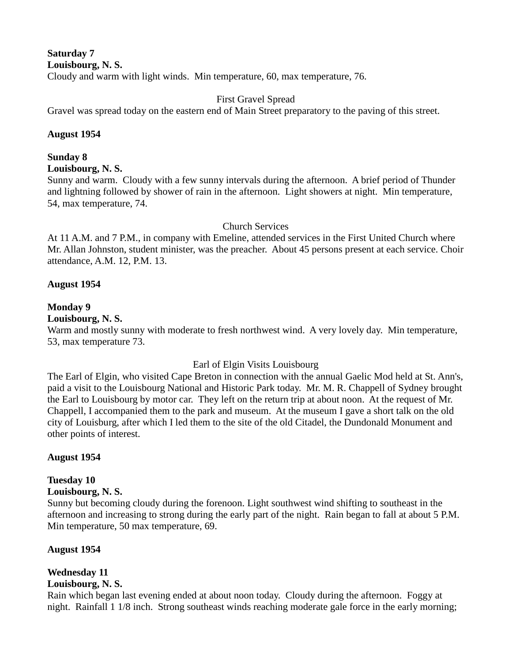#### **Saturday 7 Louisbourg, N. S.**  Cloudy and warm with light winds. Min temperature, 60, max temperature, 76.

#### First Gravel Spread

Gravel was spread today on the eastern end of Main Street preparatory to the paving of this street.

#### **August 1954**

# **Sunday 8**

**Louisbourg, N. S.** 

Sunny and warm. Cloudy with a few sunny intervals during the afternoon. A brief period of Thunder and lightning followed by shower of rain in the afternoon. Light showers at night. Min temperature, 54, max temperature, 74.

# Church Services

At 11 A.M. and 7 P.M., in company with Emeline, attended services in the First United Church where Mr. Allan Johnston, student minister, was the preacher. About 45 persons present at each service. Choir attendance, A.M. 12, P.M. 13.

### **August 1954**

### **Monday 9**

### **Louisbourg, N. S.**

Warm and mostly sunny with moderate to fresh northwest wind. A very lovely day. Min temperature, 53, max temperature 73.

# Earl of Elgin Visits Louisbourg

The Earl of Elgin, who visited Cape Breton in connection with the annual Gaelic Mod held at St. Ann's, paid a visit to the Louisbourg National and Historic Park today. Mr. M. R. Chappell of Sydney brought the Earl to Louisbourg by motor car. They left on the return trip at about noon. At the request of Mr. Chappell, I accompanied them to the park and museum. At the museum I gave a short talk on the old city of Louisburg, after which I led them to the site of the old Citadel, the Dundonald Monument and other points of interest.

# **August 1954**

# **Tuesday 10**

#### **Louisbourg, N. S.**

Sunny but becoming cloudy during the forenoon. Light southwest wind shifting to southeast in the afternoon and increasing to strong during the early part of the night. Rain began to fall at about 5 P.M. Min temperature, 50 max temperature, 69.

# **August 1954**

# **Wednesday 11**

# **Louisbourg, N. S.**

Rain which began last evening ended at about noon today. Cloudy during the afternoon. Foggy at night. Rainfall 1 1/8 inch. Strong southeast winds reaching moderate gale force in the early morning;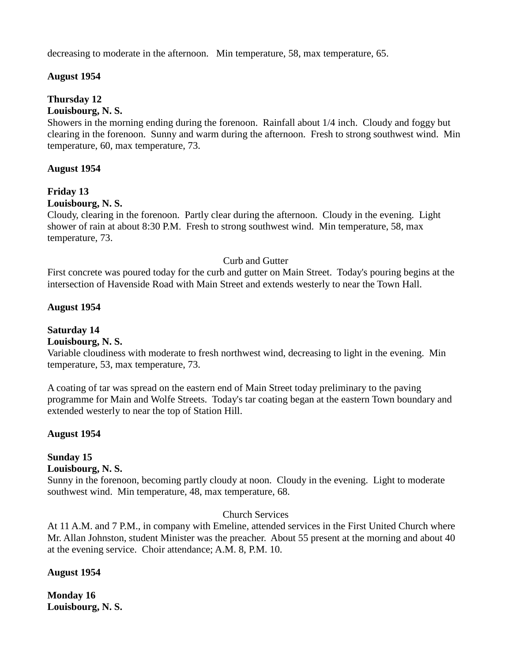decreasing to moderate in the afternoon. Min temperature, 58, max temperature, 65.

#### **August 1954**

### **Thursday 12**

#### **Louisbourg, N. S.**

Showers in the morning ending during the forenoon. Rainfall about 1/4 inch. Cloudy and foggy but clearing in the forenoon. Sunny and warm during the afternoon. Fresh to strong southwest wind. Min temperature, 60, max temperature, 73.

#### **August 1954**

# **Friday 13**

#### **Louisbourg, N. S.**

Cloudy, clearing in the forenoon. Partly clear during the afternoon. Cloudy in the evening. Light shower of rain at about 8:30 P.M. Fresh to strong southwest wind. Min temperature, 58, max temperature, 73.

#### Curb and Gutter

First concrete was poured today for the curb and gutter on Main Street. Today's pouring begins at the intersection of Havenside Road with Main Street and extends westerly to near the Town Hall.

#### **August 1954**

# **Saturday 14**

#### **Louisbourg, N. S.**

Variable cloudiness with moderate to fresh northwest wind, decreasing to light in the evening. Min temperature, 53, max temperature, 73.

A coating of tar was spread on the eastern end of Main Street today preliminary to the paving programme for Main and Wolfe Streets. Today's tar coating began at the eastern Town boundary and extended westerly to near the top of Station Hill.

#### **August 1954**

# **Sunday 15**

### **Louisbourg, N. S.**

Sunny in the forenoon, becoming partly cloudy at noon. Cloudy in the evening. Light to moderate southwest wind. Min temperature, 48, max temperature, 68.

# Church Services

At 11 A.M. and 7 P.M., in company with Emeline, attended services in the First United Church where Mr. Allan Johnston, student Minister was the preacher. About 55 present at the morning and about 40 at the evening service. Choir attendance; A.M. 8, P.M. 10.

#### **August 1954**

**Monday 16 Louisbourg, N. S.**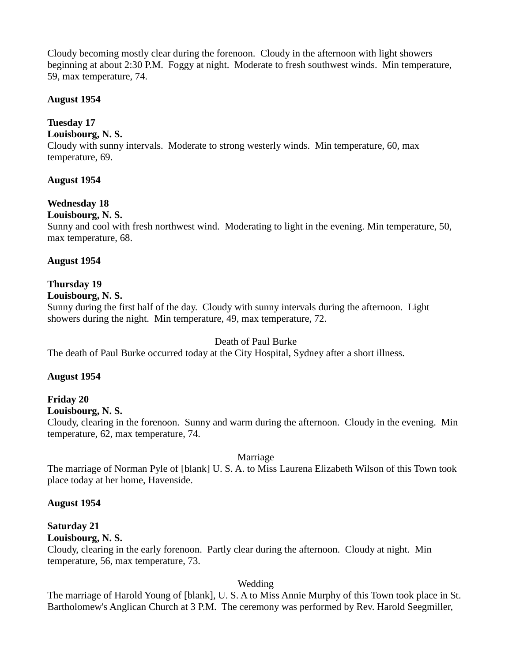Cloudy becoming mostly clear during the forenoon. Cloudy in the afternoon with light showers beginning at about 2:30 P.M. Foggy at night. Moderate to fresh southwest winds. Min temperature, 59, max temperature, 74.

#### **August 1954**

#### **Tuesday 17**

#### **Louisbourg, N. S.**

Cloudy with sunny intervals. Moderate to strong westerly winds. Min temperature, 60, max temperature, 69.

#### **August 1954**

### **Wednesday 18**

#### **Louisbourg, N. S.**

Sunny and cool with fresh northwest wind. Moderating to light in the evening. Min temperature, 50, max temperature, 68.

#### **August 1954**

#### **Thursday 19**

#### **Louisbourg, N. S.**

Sunny during the first half of the day. Cloudy with sunny intervals during the afternoon. Light showers during the night. Min temperature, 49, max temperature, 72.

#### Death of Paul Burke

The death of Paul Burke occurred today at the City Hospital, Sydney after a short illness.

#### **August 1954**

#### **Friday 20**

#### **Louisbourg, N. S.**

Cloudy, clearing in the forenoon. Sunny and warm during the afternoon. Cloudy in the evening. Min temperature, 62, max temperature, 74.

#### Marriage

The marriage of Norman Pyle of [blank] U. S. A. to Miss Laurena Elizabeth Wilson of this Town took place today at her home, Havenside.

#### **August 1954**

# **Saturday 21**

# **Louisbourg, N. S.**

Cloudy, clearing in the early forenoon. Partly clear during the afternoon. Cloudy at night. Min temperature, 56, max temperature, 73.

#### Wedding

The marriage of Harold Young of [blank], U. S. A to Miss Annie Murphy of this Town took place in St. Bartholomew's Anglican Church at 3 P.M. The ceremony was performed by Rev. Harold Seegmiller,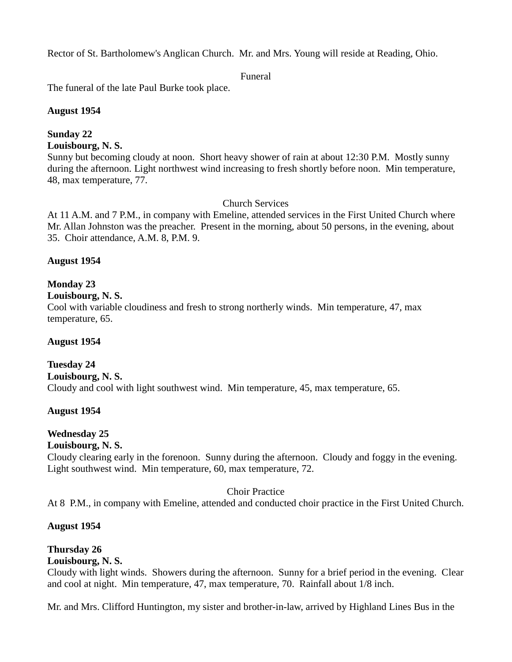Rector of St. Bartholomew's Anglican Church. Mr. and Mrs. Young will reside at Reading, Ohio.

#### Funeral

The funeral of the late Paul Burke took place.

### **August 1954**

# **Sunday 22**

**Louisbourg, N. S.** 

Sunny but becoming cloudy at noon. Short heavy shower of rain at about 12:30 P.M. Mostly sunny during the afternoon. Light northwest wind increasing to fresh shortly before noon. Min temperature, 48, max temperature, 77.

# Church Services

At 11 A.M. and 7 P.M., in company with Emeline, attended services in the First United Church where Mr. Allan Johnston was the preacher. Present in the morning, about 50 persons, in the evening, about 35. Choir attendance, A.M. 8, P.M. 9.

### **August 1954**

### **Monday 23**

### **Louisbourg, N. S.**

Cool with variable cloudiness and fresh to strong northerly winds. Min temperature, 47, max temperature, 65.

#### **August 1954**

**Tuesday 24 Louisbourg, N. S.**  Cloudy and cool with light southwest wind. Min temperature, 45, max temperature, 65.

# **August 1954**

# **Wednesday 25**

### **Louisbourg, N. S.**

Cloudy clearing early in the forenoon. Sunny during the afternoon. Cloudy and foggy in the evening. Light southwest wind. Min temperature, 60, max temperature, 72.

#### Choir Practice

At 8 P.M., in company with Emeline, attended and conducted choir practice in the First United Church.

# **August 1954**

# **Thursday 26**

# **Louisbourg, N. S.**

Cloudy with light winds. Showers during the afternoon. Sunny for a brief period in the evening. Clear and cool at night. Min temperature, 47, max temperature, 70. Rainfall about 1/8 inch.

Mr. and Mrs. Clifford Huntington, my sister and brother-in-law, arrived by Highland Lines Bus in the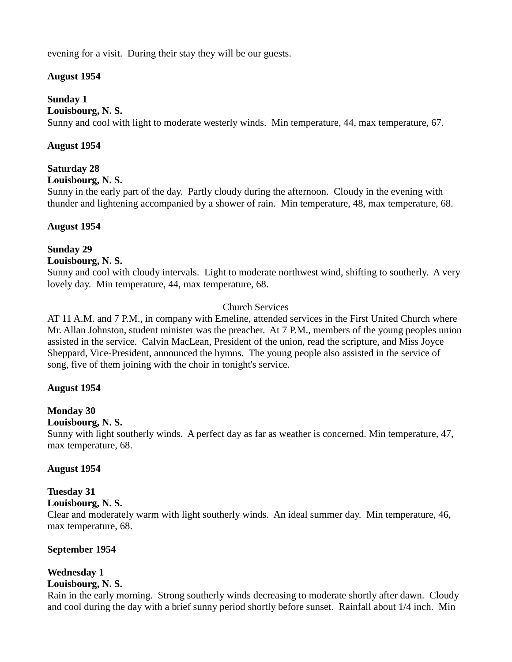evening for a visit. During their stay they will be our guests.

#### **August 1954**

#### **Sunday 1**

#### **Louisbourg, N. S.**

Sunny and cool with light to moderate westerly winds. Min temperature, 44, max temperature, 67.

#### **August 1954**

#### **Saturday 28**

#### **Louisbourg, N. S.**

Sunny in the early part of the day. Partly cloudy during the afternoon. Cloudy in the evening with thunder and lightening accompanied by a shower of rain. Min temperature, 48, max temperature, 68.

#### **August 1954**

### **Sunday 29**

#### **Louisbourg, N. S.**

Sunny and cool with cloudy intervals. Light to moderate northwest wind, shifting to southerly. A very lovely day. Min temperature, 44, max temperature, 68.

### Church Services

AT 11 A.M. and 7 P.M., in company with Emeline, attended services in the First United Church where Mr. Allan Johnston, student minister was the preacher. At 7 P.M., members of the young peoples union assisted in the service. Calvin MacLean, President of the union, read the scripture, and Miss Joyce Sheppard, Vice-President, announced the hymns. The young people also assisted in the service of song, five of them joining with the choir in tonight's service.

#### **August 1954**

# **Monday 30**

#### **Louisbourg, N. S.**

Sunny with light southerly winds. A perfect day as far as weather is concerned. Min temperature, 47, max temperature, 68.

#### **August 1954**

# **Tuesday 31**

# **Louisbourg, N. S.**

Clear and moderately warm with light southerly winds. An ideal summer day. Min temperature, 46, max temperature, 68.

#### **September 1954**

# **Wednesday 1**

#### **Louisbourg, N. S.**

Rain in the early morning. Strong southerly winds decreasing to moderate shortly after dawn. Cloudy and cool during the day with a brief sunny period shortly before sunset. Rainfall about 1/4 inch. Min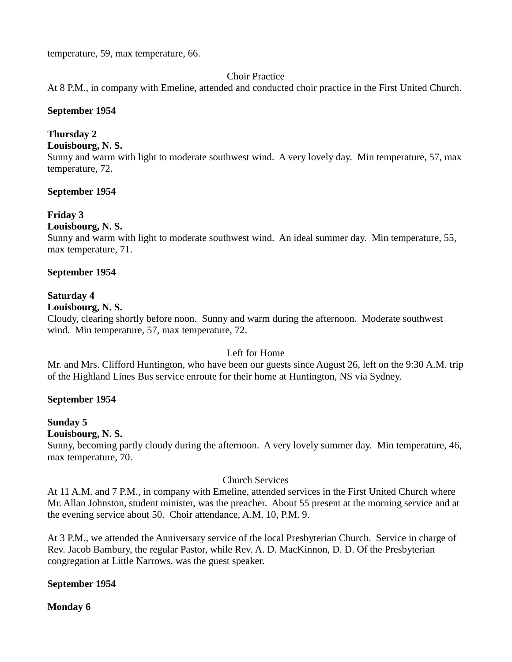temperature, 59, max temperature, 66.

#### Choir Practice

At 8 P.M., in company with Emeline, attended and conducted choir practice in the First United Church.

#### **September 1954**

#### **Thursday 2**

**Louisbourg, N. S.** 

Sunny and warm with light to moderate southwest wind. A very lovely day. Min temperature, 57, max temperature, 72.

#### **September 1954**

#### **Friday 3**

#### **Louisbourg, N. S.**

Sunny and warm with light to moderate southwest wind. An ideal summer day. Min temperature, 55, max temperature, 71.

#### **September 1954**

#### **Saturday 4**

#### **Louisbourg, N. S.**

Cloudy, clearing shortly before noon. Sunny and warm during the afternoon. Moderate southwest wind. Min temperature, 57, max temperature, 72.

#### Left for Home

Mr. and Mrs. Clifford Huntington, who have been our guests since August 26, left on the 9:30 A.M. trip of the Highland Lines Bus service enroute for their home at Huntington, NS via Sydney.

#### **September 1954**

#### **Sunday 5**

#### **Louisbourg, N. S.**

Sunny, becoming partly cloudy during the afternoon. A very lovely summer day. Min temperature, 46, max temperature, 70.

#### Church Services

At 11 A.M. and 7 P.M., in company with Emeline, attended services in the First United Church where Mr. Allan Johnston, student minister, was the preacher. About 55 present at the morning service and at the evening service about 50. Choir attendance, A.M. 10, P.M. 9.

At 3 P.M., we attended the Anniversary service of the local Presbyterian Church. Service in charge of Rev. Jacob Bambury, the regular Pastor, while Rev. A. D. MacKinnon, D. D. Of the Presbyterian congregation at Little Narrows, was the guest speaker.

#### **September 1954**

**Monday 6**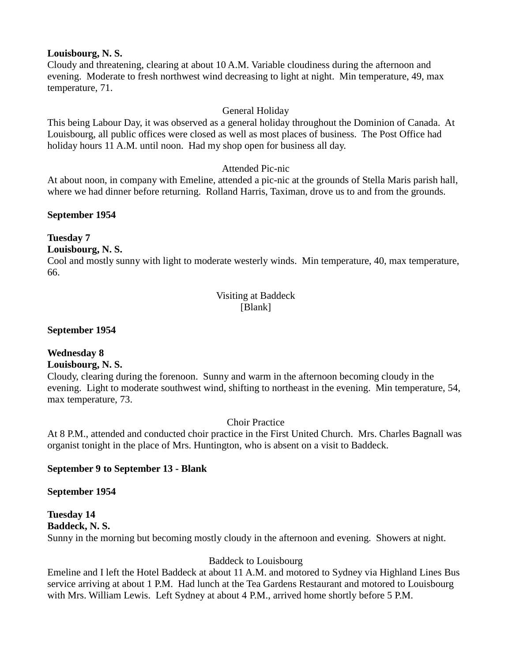#### **Louisbourg, N. S.**

Cloudy and threatening, clearing at about 10 A.M. Variable cloudiness during the afternoon and evening. Moderate to fresh northwest wind decreasing to light at night. Min temperature, 49, max temperature, 71.

#### General Holiday

This being Labour Day, it was observed as a general holiday throughout the Dominion of Canada. At Louisbourg, all public offices were closed as well as most places of business. The Post Office had holiday hours 11 A.M. until noon. Had my shop open for business all day.

#### Attended Pic-nic

At about noon, in company with Emeline, attended a pic-nic at the grounds of Stella Maris parish hall, where we had dinner before returning. Rolland Harris, Taximan, drove us to and from the grounds.

#### **September 1954**

#### **Tuesday 7**

#### **Louisbourg, N. S.**

Cool and mostly sunny with light to moderate westerly winds. Min temperature, 40, max temperature, 66.

#### Visiting at Baddeck [Blank]

#### **September 1954**

# **Wednesday 8**

#### **Louisbourg, N. S.**

Cloudy, clearing during the forenoon. Sunny and warm in the afternoon becoming cloudy in the evening. Light to moderate southwest wind, shifting to northeast in the evening. Min temperature, 54, max temperature, 73.

Choir Practice

At 8 P.M., attended and conducted choir practice in the First United Church. Mrs. Charles Bagnall was organist tonight in the place of Mrs. Huntington, who is absent on a visit to Baddeck.

#### **September 9 to September 13 - Blank**

#### **September 1954**

#### **Tuesday 14 Baddeck, N. S.**  Sunny in the morning but becoming mostly cloudy in the afternoon and evening. Showers at night.

#### Baddeck to Louisbourg

Emeline and I left the Hotel Baddeck at about 11 A.M. and motored to Sydney via Highland Lines Bus service arriving at about 1 P.M. Had lunch at the Tea Gardens Restaurant and motored to Louisbourg with Mrs. William Lewis. Left Sydney at about 4 P.M., arrived home shortly before 5 P.M.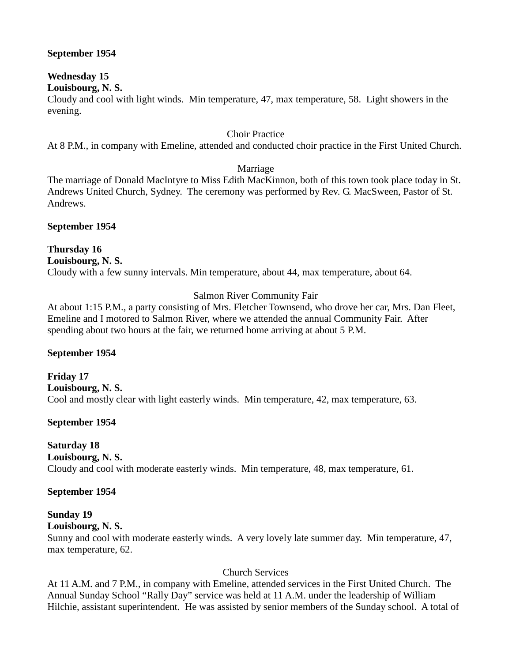#### **September 1954**

# **Wednesday 15**

#### **Louisbourg, N. S.**

Cloudy and cool with light winds. Min temperature, 47, max temperature, 58. Light showers in the evening.

#### Choir Practice

At 8 P.M., in company with Emeline, attended and conducted choir practice in the First United Church.

#### Marriage

The marriage of Donald MacIntyre to Miss Edith MacKinnon, both of this town took place today in St. Andrews United Church, Sydney. The ceremony was performed by Rev. G. MacSween, Pastor of St. Andrews.

#### **September 1954**

#### **Thursday 16 Louisbourg, N. S.**  Cloudy with a few sunny intervals. Min temperature, about 44, max temperature, about 64.

### Salmon River Community Fair

At about 1:15 P.M., a party consisting of Mrs. Fletcher Townsend, who drove her car, Mrs. Dan Fleet, Emeline and I motored to Salmon River, where we attended the annual Community Fair. After spending about two hours at the fair, we returned home arriving at about 5 P.M.

#### **September 1954**

**Friday 17 Louisbourg, N. S.**  Cool and mostly clear with light easterly winds. Min temperature, 42, max temperature, 63.

#### **September 1954**

# **Saturday 18**

**Louisbourg, N. S.** 

Cloudy and cool with moderate easterly winds. Min temperature, 48, max temperature, 61.

#### **September 1954**

# **Sunday 19**

**Louisbourg, N. S.** 

Sunny and cool with moderate easterly winds. A very lovely late summer day. Min temperature, 47, max temperature, 62.

#### Church Services

At 11 A.M. and 7 P.M., in company with Emeline, attended services in the First United Church. The Annual Sunday School "Rally Day" service was held at 11 A.M. under the leadership of William Hilchie, assistant superintendent. He was assisted by senior members of the Sunday school. A total of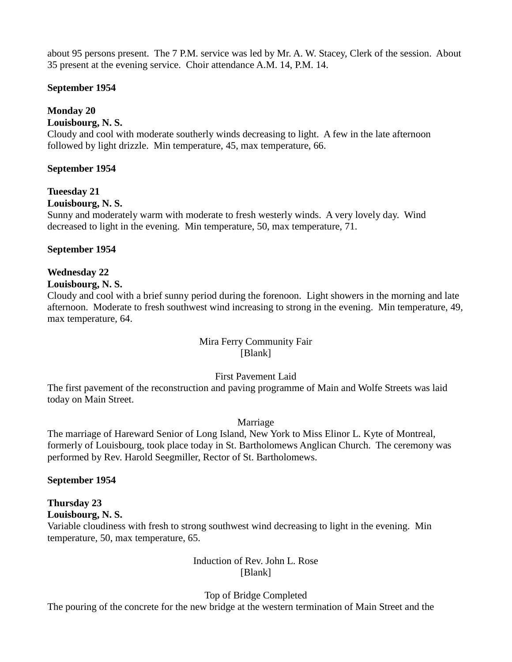about 95 persons present. The 7 P.M. service was led by Mr. A. W. Stacey, Clerk of the session. About 35 present at the evening service. Choir attendance A.M. 14, P.M. 14.

#### **September 1954**

### **Monday 20**

#### **Louisbourg, N. S.**

Cloudy and cool with moderate southerly winds decreasing to light. A few in the late afternoon followed by light drizzle. Min temperature, 45, max temperature, 66.

#### **September 1954**

#### **Tueesday 21**

#### **Louisbourg, N. S.**

Sunny and moderately warm with moderate to fresh westerly winds. A very lovely day. Wind decreased to light in the evening. Min temperature, 50, max temperature, 71.

#### **September 1954**

# **Wednesday 22**

#### **Louisbourg, N. S.**

Cloudy and cool with a brief sunny period during the forenoon. Light showers in the morning and late afternoon. Moderate to fresh southwest wind increasing to strong in the evening. Min temperature, 49, max temperature, 64.

#### Mira Ferry Community Fair [Blank]

#### First Pavement Laid

The first pavement of the reconstruction and paving programme of Main and Wolfe Streets was laid today on Main Street.

#### Marriage

The marriage of Hareward Senior of Long Island, New York to Miss Elinor L. Kyte of Montreal, formerly of Louisbourg, took place today in St. Bartholomews Anglican Church. The ceremony was performed by Rev. Harold Seegmiller, Rector of St. Bartholomews.

#### **September 1954**

#### **Thursday 23 Louisbourg, N. S.**

Variable cloudiness with fresh to strong southwest wind decreasing to light in the evening. Min temperature, 50, max temperature, 65.

#### Induction of Rev. John L. Rose [Blank]

Top of Bridge Completed

The pouring of the concrete for the new bridge at the western termination of Main Street and the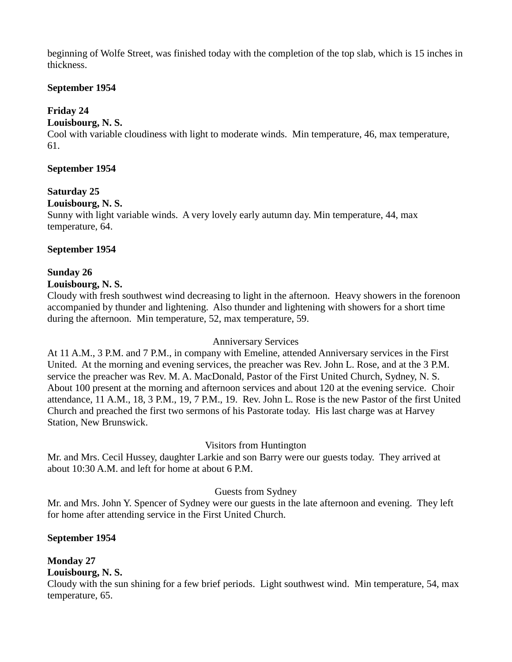beginning of Wolfe Street, was finished today with the completion of the top slab, which is 15 inches in thickness.

#### **September 1954**

# **Friday 24**

### **Louisbourg, N. S.**

Cool with variable cloudiness with light to moderate winds. Min temperature, 46, max temperature, 61.

#### **September 1954**

# **Saturday 25**

#### **Louisbourg, N. S.**

Sunny with light variable winds. A very lovely early autumn day. Min temperature, 44, max temperature, 64.

### **September 1954**

### **Sunday 26**

#### **Louisbourg, N. S.**

Cloudy with fresh southwest wind decreasing to light in the afternoon. Heavy showers in the forenoon accompanied by thunder and lightening. Also thunder and lightening with showers for a short time during the afternoon. Min temperature, 52, max temperature, 59.

#### Anniversary Services

At 11 A.M., 3 P.M. and 7 P.M., in company with Emeline, attended Anniversary services in the First United. At the morning and evening services, the preacher was Rev. John L. Rose, and at the 3 P.M. service the preacher was Rev. M. A. MacDonald, Pastor of the First United Church, Sydney, N. S. About 100 present at the morning and afternoon services and about 120 at the evening service. Choir attendance, 11 A.M., 18, 3 P.M., 19, 7 P.M., 19. Rev. John L. Rose is the new Pastor of the first United Church and preached the first two sermons of his Pastorate today. His last charge was at Harvey Station, New Brunswick.

# Visitors from Huntington

Mr. and Mrs. Cecil Hussey, daughter Larkie and son Barry were our guests today. They arrived at about 10:30 A.M. and left for home at about 6 P.M.

#### Guests from Sydney

Mr. and Mrs. John Y. Spencer of Sydney were our guests in the late afternoon and evening. They left for home after attending service in the First United Church.

# **September 1954**

# **Monday 27**

#### **Louisbourg, N. S.**

Cloudy with the sun shining for a few brief periods. Light southwest wind. Min temperature, 54, max temperature, 65.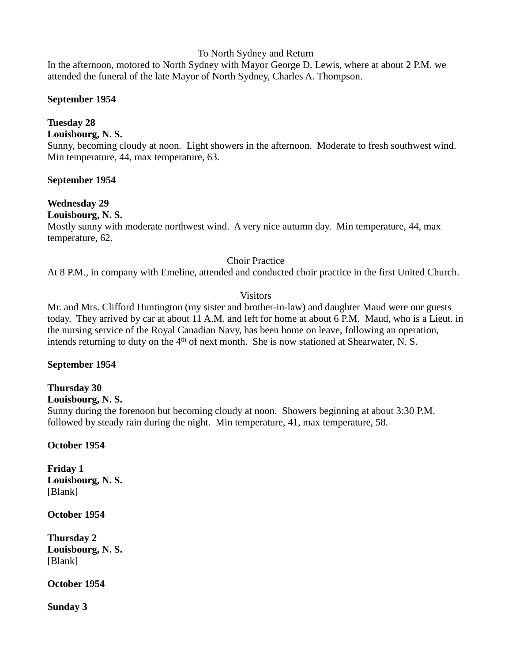#### To North Sydney and Return

In the afternoon, motored to North Sydney with Mayor George D. Lewis, where at about 2 P.M. we attended the funeral of the late Mayor of North Sydney, Charles A. Thompson.

#### **September 1954**

# **Tuesday 28**

**Louisbourg, N. S.** 

Sunny, becoming cloudy at noon. Light showers in the afternoon. Moderate to fresh southwest wind. Min temperature, 44, max temperature, 63.

#### **September 1954**

### **Wednesday 29**

#### **Louisbourg, N. S.**

Mostly sunny with moderate northwest wind. A very nice autumn day. Min temperature, 44, max temperature, 62.

#### Choir Practice

At 8 P.M., in company with Emeline, attended and conducted choir practice in the first United Church.

#### Visitors

Mr. and Mrs. Clifford Huntington (my sister and brother-in-law) and daughter Maud were our guests today. They arrived by car at about 11 A.M. and left for home at about 6 P.M. Maud, who is a Lieut. in the nursing service of the Royal Canadian Navy, has been home on leave, following an operation, intends returning to duty on the  $4<sup>th</sup>$  of next month. She is now stationed at Shearwater, N. S.

#### **September 1954**

# **Thursday 30**

#### **Louisbourg, N. S.**

Sunny during the forenoon but becoming cloudy at noon. Showers beginning at about 3:30 P.M. followed by steady rain during the night. Min temperature, 41, max temperature, 58.

#### **October 1954**

**Friday 1 Louisbourg, N. S.**  [Blank]

**October 1954**

**Thursday 2 Louisbourg, N. S.**  [Blank]

**October 1954**

**Sunday 3**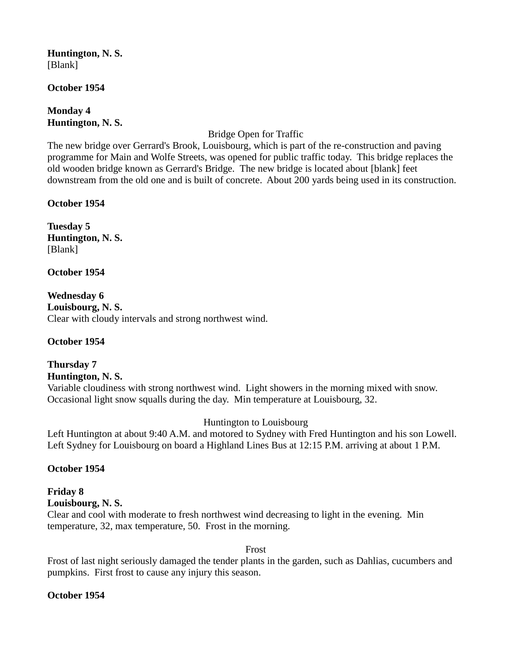**Huntington, N. S.**  [Blank]

#### **October 1954**

**Monday 4 Huntington, N. S.** 

Bridge Open for Traffic

The new bridge over Gerrard's Brook, Louisbourg, which is part of the re-construction and paving programme for Main and Wolfe Streets, was opened for public traffic today. This bridge replaces the old wooden bridge known as Gerrard's Bridge. The new bridge is located about [blank] feet downstream from the old one and is built of concrete. About 200 yards being used in its construction.

**October 1954**

**Tuesday 5 Huntington, N. S.**  [Blank]

**October 1954**

**Wednesday 6 Louisbourg, N. S.**  Clear with cloudy intervals and strong northwest wind.

#### **October 1954**

**Thursday 7 Huntington, N. S.**  Variable cloudiness with strong northwest wind. Light showers in the morning mixed with snow. Occasional light snow squalls during the day. Min temperature at Louisbourg, 32.

#### Huntington to Louisbourg

Left Huntington at about 9:40 A.M. and motored to Sydney with Fred Huntington and his son Lowell. Left Sydney for Louisbourg on board a Highland Lines Bus at 12:15 P.M. arriving at about 1 P.M.

#### **October 1954**

# **Friday 8 Louisbourg, N. S.**

Clear and cool with moderate to fresh northwest wind decreasing to light in the evening. Min temperature, 32, max temperature, 50. Frost in the morning.

Frost

Frost of last night seriously damaged the tender plants in the garden, such as Dahlias, cucumbers and pumpkins. First frost to cause any injury this season.

#### **October 1954**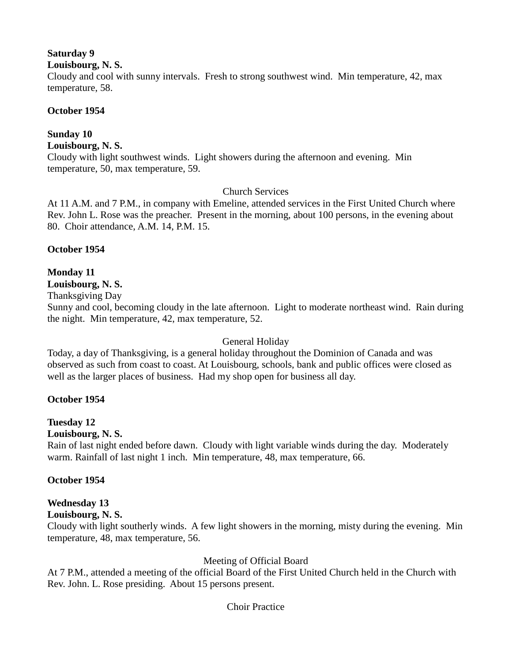# **Saturday 9**

**Louisbourg, N. S.** 

Cloudy and cool with sunny intervals. Fresh to strong southwest wind. Min temperature, 42, max temperature, 58.

### **October 1954**

# **Sunday 10**

**Louisbourg, N. S.** 

Cloudy with light southwest winds. Light showers during the afternoon and evening. Min temperature, 50, max temperature, 59.

### Church Services

At 11 A.M. and 7 P.M., in company with Emeline, attended services in the First United Church where Rev. John L. Rose was the preacher. Present in the morning, about 100 persons, in the evening about 80. Choir attendance, A.M. 14, P.M. 15.

### **October 1954**

# **Monday 11**

**Louisbourg, N. S.** 

Thanksgiving Day

Sunny and cool, becoming cloudy in the late afternoon. Light to moderate northeast wind. Rain during the night. Min temperature, 42, max temperature, 52.

#### General Holiday

Today, a day of Thanksgiving, is a general holiday throughout the Dominion of Canada and was observed as such from coast to coast. At Louisbourg, schools, bank and public offices were closed as well as the larger places of business. Had my shop open for business all day.

#### **October 1954**

# **Tuesday 12**

#### **Louisbourg, N. S.**

Rain of last night ended before dawn. Cloudy with light variable winds during the day. Moderately warm. Rainfall of last night 1 inch. Min temperature, 48, max temperature, 66.

# **October 1954**

# **Wednesday 13**

**Louisbourg, N. S.** 

Cloudy with light southerly winds. A few light showers in the morning, misty during the evening. Min temperature, 48, max temperature, 56.

# Meeting of Official Board

At 7 P.M., attended a meeting of the official Board of the First United Church held in the Church with Rev. John. L. Rose presiding. About 15 persons present.

#### Choir Practice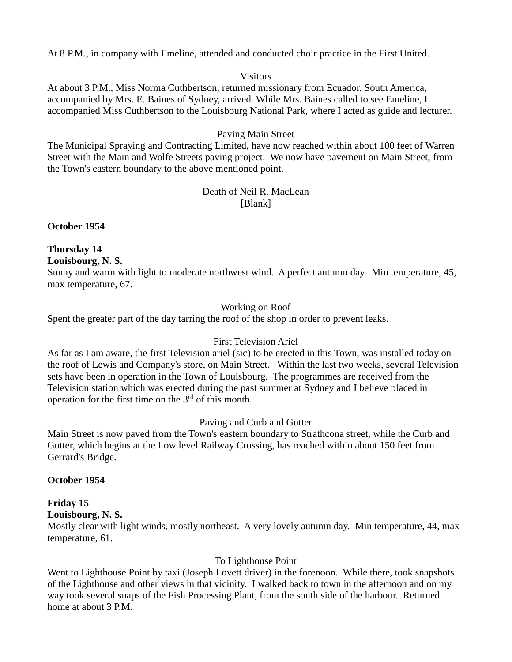At 8 P.M., in company with Emeline, attended and conducted choir practice in the First United.

#### **Visitors**

At about 3 P.M., Miss Norma Cuthbertson, returned missionary from Ecuador, South America, accompanied by Mrs. E. Baines of Sydney, arrived. While Mrs. Baines called to see Emeline, I accompanied Miss Cuthbertson to the Louisbourg National Park, where I acted as guide and lecturer.

#### Paving Main Street

The Municipal Spraying and Contracting Limited, have now reached within about 100 feet of Warren Street with the Main and Wolfe Streets paving project. We now have pavement on Main Street, from the Town's eastern boundary to the above mentioned point.

#### Death of Neil R. MacLean [Blank]

**October 1954**

#### **Thursday 14**

**Louisbourg, N. S.** 

Sunny and warm with light to moderate northwest wind. A perfect autumn day. Min temperature, 45, max temperature, 67.

#### Working on Roof

Spent the greater part of the day tarring the roof of the shop in order to prevent leaks.

#### First Television Ariel

As far as I am aware, the first Television ariel (sic) to be erected in this Town, was installed today on the roof of Lewis and Company's store, on Main Street. Within the last two weeks, several Television sets have been in operation in the Town of Louisbourg. The programmes are received from the Television station which was erected during the past summer at Sydney and I believe placed in operation for the first time on the  $3<sup>rd</sup>$  of this month.

#### Paving and Curb and Gutter

Main Street is now paved from the Town's eastern boundary to Strathcona street, while the Curb and Gutter, which begins at the Low level Railway Crossing, has reached within about 150 feet from Gerrard's Bridge.

#### **October 1954**

# **Friday 15**

**Louisbourg, N. S.** 

Mostly clear with light winds, mostly northeast. A very lovely autumn day. Min temperature, 44, max temperature, 61.

#### To Lighthouse Point

Went to Lighthouse Point by taxi (Joseph Lovett driver) in the forenoon. While there, took snapshots of the Lighthouse and other views in that vicinity. I walked back to town in the afternoon and on my way took several snaps of the Fish Processing Plant, from the south side of the harbour. Returned home at about 3 P.M.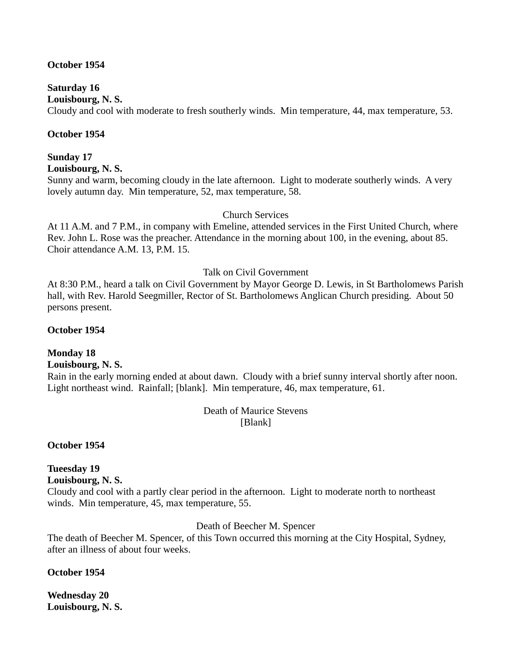#### **October 1954**

### **Saturday 16**

**Louisbourg, N. S.** 

Cloudy and cool with moderate to fresh southerly winds. Min temperature, 44, max temperature, 53.

#### **October 1954**

# **Sunday 17**

**Louisbourg, N. S.** 

Sunny and warm, becoming cloudy in the late afternoon. Light to moderate southerly winds. A very lovely autumn day. Min temperature, 52, max temperature, 58.

#### Church Services

At 11 A.M. and 7 P.M., in company with Emeline, attended services in the First United Church, where Rev. John L. Rose was the preacher. Attendance in the morning about 100, in the evening, about 85. Choir attendance A.M. 13, P.M. 15.

#### Talk on Civil Government

At 8:30 P.M., heard a talk on Civil Government by Mayor George D. Lewis, in St Bartholomews Parish hall, with Rev. Harold Seegmiller, Rector of St. Bartholomews Anglican Church presiding. About 50 persons present.

#### **October 1954**

#### **Monday 18**

#### **Louisbourg, N. S.**

Rain in the early morning ended at about dawn. Cloudy with a brief sunny interval shortly after noon. Light northeast wind. Rainfall; [blank]. Min temperature, 46, max temperature, 61.

> Death of Maurice Stevens [Blank]

#### **October 1954**

# **Tueesday 19**

**Louisbourg, N. S.** 

Cloudy and cool with a partly clear period in the afternoon. Light to moderate north to northeast winds. Min temperature, 45, max temperature, 55.

#### Death of Beecher M. Spencer

The death of Beecher M. Spencer, of this Town occurred this morning at the City Hospital, Sydney, after an illness of about four weeks.

#### **October 1954**

**Wednesday 20 Louisbourg, N. S.**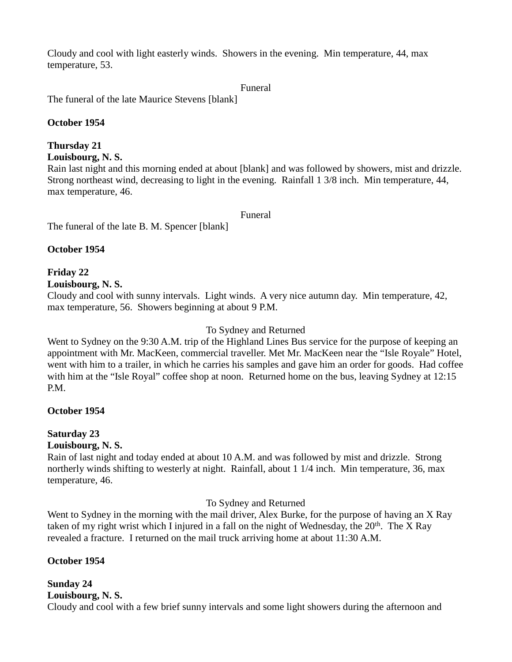Cloudy and cool with light easterly winds. Showers in the evening. Min temperature, 44, max temperature, 53.

Funeral

The funeral of the late Maurice Stevens [blank]

### **October 1954**

# **Thursday 21**

**Louisbourg, N. S.** 

Rain last night and this morning ended at about [blank] and was followed by showers, mist and drizzle. Strong northeast wind, decreasing to light in the evening. Rainfall 1 3/8 inch. Min temperature, 44, max temperature, 46.

Funeral

The funeral of the late B. M. Spencer [blank]

### **October 1954**

# **Friday 22**

**Louisbourg, N. S.** 

Cloudy and cool with sunny intervals. Light winds. A very nice autumn day. Min temperature, 42, max temperature, 56. Showers beginning at about 9 P.M.

### To Sydney and Returned

Went to Sydney on the 9:30 A.M. trip of the Highland Lines Bus service for the purpose of keeping an appointment with Mr. MacKeen, commercial traveller. Met Mr. MacKeen near the "Isle Royale" Hotel, went with him to a trailer, in which he carries his samples and gave him an order for goods. Had coffee with him at the "Isle Royal" coffee shop at noon. Returned home on the bus, leaving Sydney at 12:15 P.M.

# **October 1954**

# **Saturday 23**

#### **Louisbourg, N. S.**

Rain of last night and today ended at about 10 A.M. and was followed by mist and drizzle. Strong northerly winds shifting to westerly at night. Rainfall, about 1 1/4 inch. Min temperature, 36, max temperature, 46.

#### To Sydney and Returned

Went to Sydney in the morning with the mail driver, Alex Burke, for the purpose of having an X Ray taken of my right wrist which I injured in a fall on the night of Wednesday, the  $20<sup>th</sup>$ . The X Ray revealed a fracture. I returned on the mail truck arriving home at about 11:30 A.M.

# **October 1954**

#### **Sunday 24 Louisbourg, N. S.**

Cloudy and cool with a few brief sunny intervals and some light showers during the afternoon and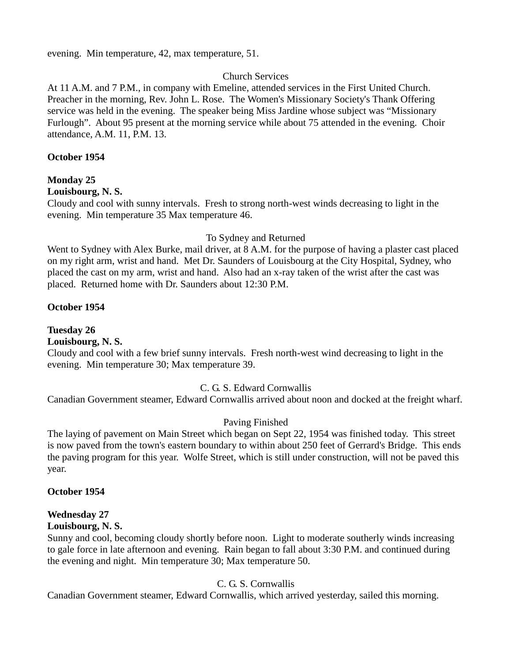evening. Min temperature, 42, max temperature, 51.

#### Church Services

At 11 A.M. and 7 P.M., in company with Emeline, attended services in the First United Church. Preacher in the morning, Rev. John L. Rose. The Women's Missionary Society's Thank Offering service was held in the evening. The speaker being Miss Jardine whose subject was "Missionary Furlough". About 95 present at the morning service while about 75 attended in the evening. Choir attendance, A.M. 11, P.M. 13.

#### **October 1954**

#### **Monday 25**

#### **Louisbourg, N. S.**

Cloudy and cool with sunny intervals. Fresh to strong north-west winds decreasing to light in the evening. Min temperature 35 Max temperature 46.

#### To Sydney and Returned

Went to Sydney with Alex Burke, mail driver, at 8 A.M. for the purpose of having a plaster cast placed on my right arm, wrist and hand. Met Dr. Saunders of Louisbourg at the City Hospital, Sydney, who placed the cast on my arm, wrist and hand. Also had an x-ray taken of the wrist after the cast was placed. Returned home with Dr. Saunders about 12:30 P.M.

#### **October 1954**

# **Tuesday 26**

### **Louisbourg, N. S.**

Cloudy and cool with a few brief sunny intervals. Fresh north-west wind decreasing to light in the evening. Min temperature 30; Max temperature 39.

#### C. G. S. Edward Cornwallis

Canadian Government steamer, Edward Cornwallis arrived about noon and docked at the freight wharf.

#### Paving Finished

The laying of pavement on Main Street which began on Sept 22, 1954 was finished today. This street is now paved from the town's eastern boundary to within about 250 feet of Gerrard's Bridge. This ends the paving program for this year. Wolfe Street, which is still under construction, will not be paved this year.

#### **October 1954**

#### **Wednesday 27**

#### **Louisbourg, N. S.**

Sunny and cool, becoming cloudy shortly before noon. Light to moderate southerly winds increasing to gale force in late afternoon and evening. Rain began to fall about 3:30 P.M. and continued during the evening and night. Min temperature 30; Max temperature 50.

#### C. G. S. Cornwallis

Canadian Government steamer, Edward Cornwallis, which arrived yesterday, sailed this morning.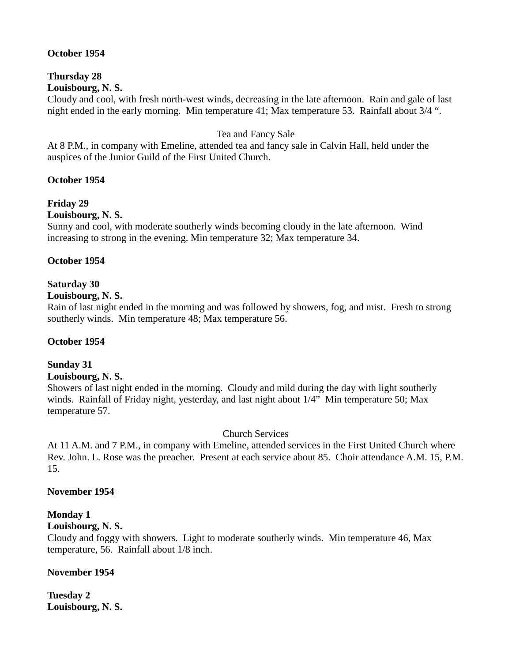#### **October 1954**

#### **Thursday 28 Louisbourg, N. S.**

Cloudy and cool, with fresh north-west winds, decreasing in the late afternoon. Rain and gale of last night ended in the early morning. Min temperature 41; Max temperature 53. Rainfall about 3/4 ".

#### Tea and Fancy Sale

At 8 P.M., in company with Emeline, attended tea and fancy sale in Calvin Hall, held under the auspices of the Junior Guild of the First United Church.

#### **October 1954**

### **Friday 29**

#### **Louisbourg, N. S.**

Sunny and cool, with moderate southerly winds becoming cloudy in the late afternoon. Wind increasing to strong in the evening. Min temperature 32; Max temperature 34.

#### **October 1954**

#### **Saturday 30**

#### **Louisbourg, N. S.**

Rain of last night ended in the morning and was followed by showers, fog, and mist. Fresh to strong southerly winds. Min temperature 48; Max temperature 56.

#### **October 1954**

#### **Sunday 31**

#### **Louisbourg, N. S.**

Showers of last night ended in the morning. Cloudy and mild during the day with light southerly winds. Rainfall of Friday night, yesterday, and last night about 1/4" Min temperature 50; Max temperature 57.

#### Church Services

At 11 A.M. and 7 P.M., in company with Emeline, attended services in the First United Church where Rev. John. L. Rose was the preacher. Present at each service about 85. Choir attendance A.M. 15, P.M. 15.

#### **November 1954**

#### **Monday 1**

#### **Louisbourg, N. S.**

Cloudy and foggy with showers. Light to moderate southerly winds. Min temperature 46, Max temperature, 56. Rainfall about 1/8 inch.

#### **November 1954**

**Tuesday 2 Louisbourg, N. S.**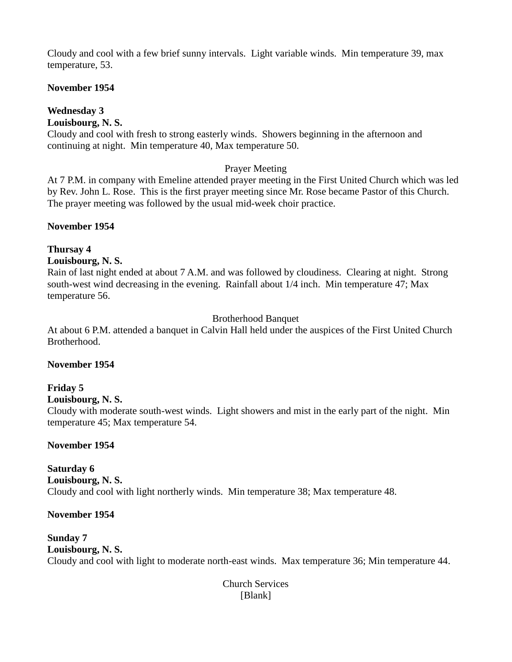Cloudy and cool with a few brief sunny intervals. Light variable winds. Min temperature 39, max temperature, 53.

# **November 1954**

# **Wednesday 3**

# **Louisbourg, N. S.**

Cloudy and cool with fresh to strong easterly winds. Showers beginning in the afternoon and continuing at night. Min temperature 40, Max temperature 50.

# Prayer Meeting

At 7 P.M. in company with Emeline attended prayer meeting in the First United Church which was led by Rev. John L. Rose. This is the first prayer meeting since Mr. Rose became Pastor of this Church. The prayer meeting was followed by the usual mid-week choir practice.

# **November 1954**

# **Thursay 4**

# **Louisbourg, N. S.**

Rain of last night ended at about 7 A.M. and was followed by cloudiness. Clearing at night. Strong south-west wind decreasing in the evening. Rainfall about 1/4 inch. Min temperature 47; Max temperature 56.

# Brotherhood Banquet

At about 6 P.M. attended a banquet in Calvin Hall held under the auspices of the First United Church Brotherhood.

# **November 1954**

# **Friday 5**

**Louisbourg, N. S.** 

Cloudy with moderate south-west winds. Light showers and mist in the early part of the night. Min temperature 45; Max temperature 54.

# **November 1954**

**Saturday 6 Louisbourg, N. S.**  Cloudy and cool with light northerly winds. Min temperature 38; Max temperature 48.

# **November 1954**

**Sunday 7 Louisbourg, N. S.**  Cloudy and cool with light to moderate north-east winds. Max temperature 36; Min temperature 44.

> Church Services [Blank]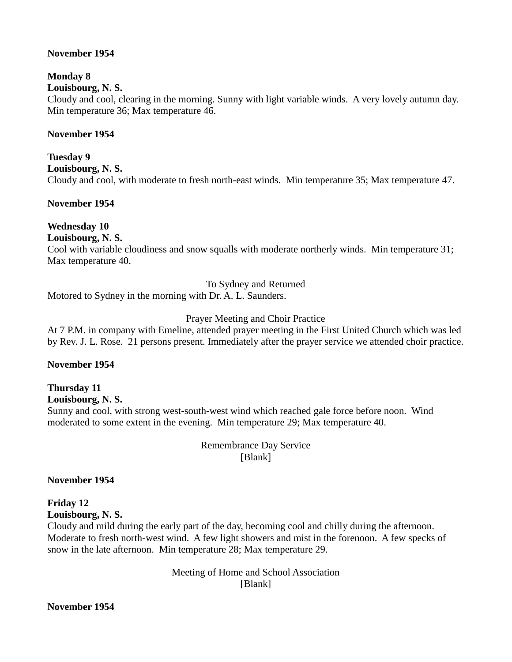#### **November 1954**

# **Monday 8**

# **Louisbourg, N. S.**

Cloudy and cool, clearing in the morning. Sunny with light variable winds. A very lovely autumn day. Min temperature 36; Max temperature 46.

#### **November 1954**

**Tuesday 9 Louisbourg, N. S.**  Cloudy and cool, with moderate to fresh north-east winds. Min temperature 35; Max temperature 47.

#### **November 1954**

# **Wednesday 10**

**Louisbourg, N. S.** 

Cool with variable cloudiness and snow squalls with moderate northerly winds. Min temperature 31; Max temperature 40.

To Sydney and Returned

Motored to Sydney in the morning with Dr. A. L. Saunders.

# Prayer Meeting and Choir Practice

At 7 P.M. in company with Emeline, attended prayer meeting in the First United Church which was led by Rev. J. L. Rose. 21 persons present. Immediately after the prayer service we attended choir practice.

# **November 1954**

#### **Thursday 11 Louisbourg, N. S.**

Sunny and cool, with strong west-south-west wind which reached gale force before noon. Wind moderated to some extent in the evening. Min temperature 29; Max temperature 40.

> Remembrance Day Service [Blank]

**November 1954**

**Friday 12 Louisbourg, N. S.** 

Cloudy and mild during the early part of the day, becoming cool and chilly during the afternoon. Moderate to fresh north-west wind. A few light showers and mist in the forenoon. A few specks of snow in the late afternoon. Min temperature 28; Max temperature 29.

> Meeting of Home and School Association [Blank]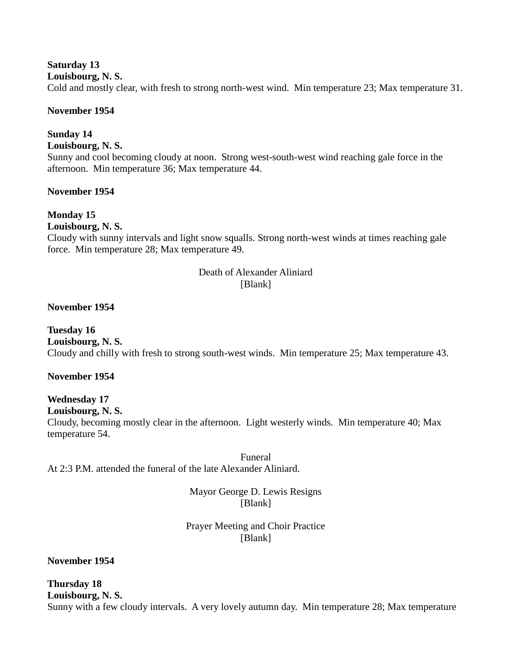## **Saturday 13**

**Louisbourg, N. S.** 

Cold and mostly clear, with fresh to strong north-west wind. Min temperature 23; Max temperature 31.

# **November 1954**

# **Sunday 14**

**Louisbourg, N. S.** 

Sunny and cool becoming cloudy at noon. Strong west-south-west wind reaching gale force in the afternoon. Min temperature 36; Max temperature 44.

# **November 1954**

# **Monday 15**

# **Louisbourg, N. S.**

Cloudy with sunny intervals and light snow squalls. Strong north-west winds at times reaching gale force. Min temperature 28; Max temperature 49.

#### Death of Alexander Aliniard [Blank]

# **November 1954**

**Tuesday 16 Louisbourg, N. S.**  Cloudy and chilly with fresh to strong south-west winds. Min temperature 25; Max temperature 43.

# **November 1954**

## **Wednesday 17 Louisbourg, N. S.**  Cloudy, becoming mostly clear in the afternoon. Light westerly winds. Min temperature 40; Max temperature 54.

Funeral At 2:3 P.M. attended the funeral of the late Alexander Aliniard.

> Mayor George D. Lewis Resigns [Blank]

# Prayer Meeting and Choir Practice [Blank]

**November 1954**

# **Thursday 18**

**Louisbourg, N. S.** 

Sunny with a few cloudy intervals. A very lovely autumn day. Min temperature 28; Max temperature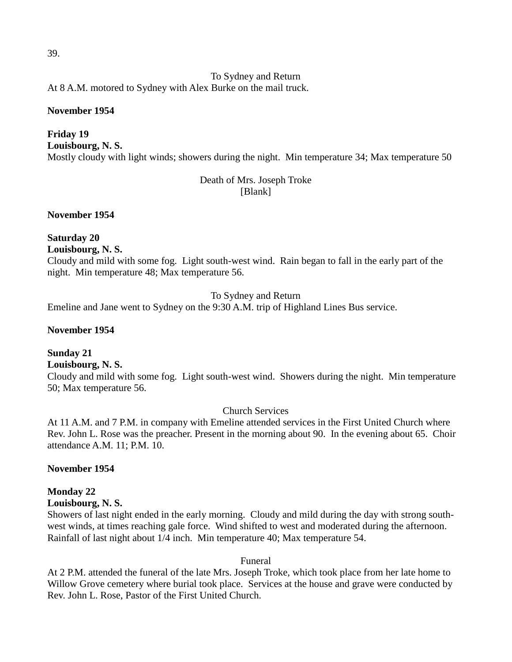To Sydney and Return At 8 A.M. motored to Sydney with Alex Burke on the mail truck.

#### **November 1954**

# **Friday 19**

**Louisbourg, N. S.**  Mostly cloudy with light winds; showers during the night. Min temperature 34; Max temperature 50

# Death of Mrs. Joseph Troke [Blank]

**November 1954**

**Saturday 20 Louisbourg, N. S.** 

Cloudy and mild with some fog. Light south-west wind. Rain began to fall in the early part of the night. Min temperature 48; Max temperature 56.

To Sydney and Return

Emeline and Jane went to Sydney on the 9:30 A.M. trip of Highland Lines Bus service.

## **November 1954**

# **Sunday 21**

**Louisbourg, N. S.** 

Cloudy and mild with some fog. Light south-west wind. Showers during the night. Min temperature 50; Max temperature 56.

Church Services

At 11 A.M. and 7 P.M. in company with Emeline attended services in the First United Church where Rev. John L. Rose was the preacher. Present in the morning about 90. In the evening about 65. Choir attendance A.M. 11; P.M. 10.

# **November 1954**

# **Monday 22**

# **Louisbourg, N. S.**

Showers of last night ended in the early morning. Cloudy and mild during the day with strong southwest winds, at times reaching gale force. Wind shifted to west and moderated during the afternoon. Rainfall of last night about 1/4 inch. Min temperature 40; Max temperature 54.

# Funeral

At 2 P.M. attended the funeral of the late Mrs. Joseph Troke, which took place from her late home to Willow Grove cemetery where burial took place. Services at the house and grave were conducted by Rev. John L. Rose, Pastor of the First United Church.

39.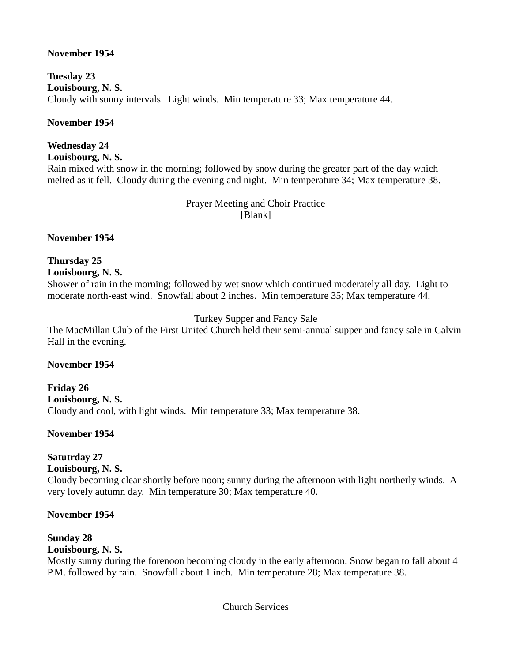# **November 1954**

**Tuesday 23 Louisbourg, N. S.**  Cloudy with sunny intervals. Light winds. Min temperature 33; Max temperature 44.

## **November 1954**

# **Wednesday 24**

**Louisbourg, N. S.** 

Rain mixed with snow in the morning; followed by snow during the greater part of the day which melted as it fell. Cloudy during the evening and night. Min temperature 34; Max temperature 38.

# Prayer Meeting and Choir Practice [Blank]

**November 1954**

# **Thursday 25**

**Louisbourg, N. S.** 

Shower of rain in the morning; followed by wet snow which continued moderately all day. Light to moderate north-east wind. Snowfall about 2 inches. Min temperature 35; Max temperature 44.

# Turkey Supper and Fancy Sale

The MacMillan Club of the First United Church held their semi-annual supper and fancy sale in Calvin Hall in the evening.

# **November 1954**

**Friday 26 Louisbourg, N. S.**  Cloudy and cool, with light winds. Min temperature 33; Max temperature 38.

# **November 1954**

# **Satutrday 27**

# **Louisbourg, N. S.**

Cloudy becoming clear shortly before noon; sunny during the afternoon with light northerly winds. A very lovely autumn day. Min temperature 30; Max temperature 40.

# **November 1954**

# **Sunday 28**

# **Louisbourg, N. S.**

Mostly sunny during the forenoon becoming cloudy in the early afternoon. Snow began to fall about 4 P.M. followed by rain. Snowfall about 1 inch. Min temperature 28; Max temperature 38.

Church Services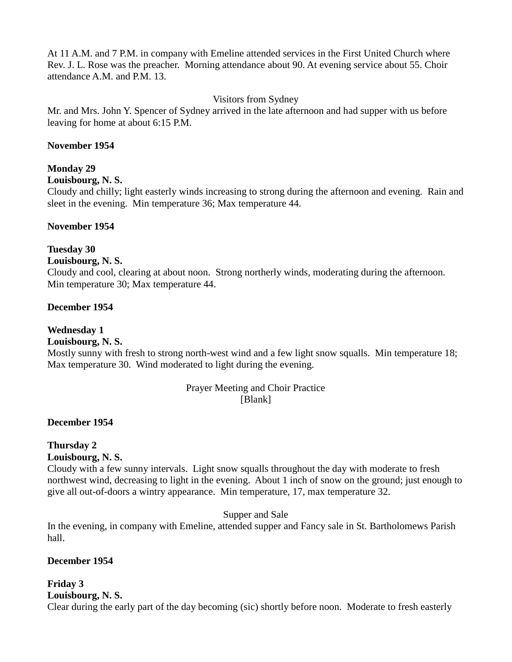At 11 A.M. and 7 P.M. in company with Emeline attended services in the First United Church where Rev. J. L. Rose was the preacher. Morning attendance about 90. At evening service about 55. Choir attendance A.M. and P.M. 13.

# Visitors from Sydney

Mr. and Mrs. John Y. Spencer of Sydney arrived in the late afternoon and had supper with us before leaving for home at about 6:15 P.M.

## **November 1954**

### **Monday 29**

#### **Louisbourg, N. S.**

Cloudy and chilly; light easterly winds increasing to strong during the afternoon and evening. Rain and sleet in the evening. Min temperature 36; Max temperature 44.

#### **November 1954**

#### **Tuesday 30**

#### **Louisbourg, N. S.**

Cloudy and cool, clearing at about noon. Strong northerly winds, moderating during the afternoon. Min temperature 30; Max temperature 44.

#### **December 1954**

# **Wednesday 1**

# **Louisbourg, N. S.**

Mostly sunny with fresh to strong north-west wind and a few light snow squalls. Min temperature 18; Max temperature 30. Wind moderated to light during the evening.

#### Prayer Meeting and Choir Practice [Blank]

# **December 1954**

# **Thursday 2**

#### **Louisbourg, N. S.**

Cloudy with a few sunny intervals. Light snow squalls throughout the day with moderate to fresh northwest wind, decreasing to light in the evening. About 1 inch of snow on the ground; just enough to give all out-of-doors a wintry appearance. Min temperature, 17, max temperature 32.

Supper and Sale

In the evening, in company with Emeline, attended supper and Fancy sale in St. Bartholomews Parish hall.

# **December 1954**

# **Friday 3**

**Louisbourg, N. S.** 

Clear during the early part of the day becoming (sic) shortly before noon. Moderate to fresh easterly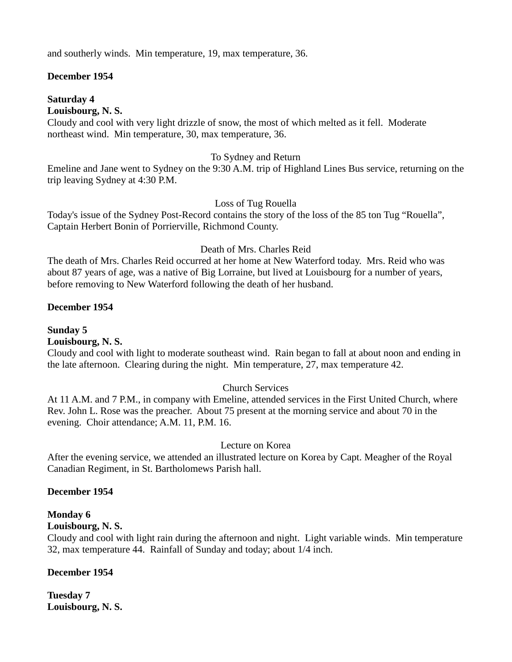and southerly winds. Min temperature, 19, max temperature, 36.

### **December 1954**

#### **Saturday 4**

#### **Louisbourg, N. S.**

Cloudy and cool with very light drizzle of snow, the most of which melted as it fell. Moderate northeast wind. Min temperature, 30, max temperature, 36.

#### To Sydney and Return

Emeline and Jane went to Sydney on the 9:30 A.M. trip of Highland Lines Bus service, returning on the trip leaving Sydney at 4:30 P.M.

#### Loss of Tug Rouella

Today's issue of the Sydney Post-Record contains the story of the loss of the 85 ton Tug "Rouella", Captain Herbert Bonin of Porrierville, Richmond County.

# Death of Mrs. Charles Reid

The death of Mrs. Charles Reid occurred at her home at New Waterford today. Mrs. Reid who was about 87 years of age, was a native of Big Lorraine, but lived at Louisbourg for a number of years, before removing to New Waterford following the death of her husband.

#### **December 1954**

**Sunday 5**

**Louisbourg, N. S.** 

Cloudy and cool with light to moderate southeast wind. Rain began to fall at about noon and ending in the late afternoon. Clearing during the night. Min temperature, 27, max temperature 42.

# Church Services

At 11 A.M. and 7 P.M., in company with Emeline, attended services in the First United Church, where Rev. John L. Rose was the preacher. About 75 present at the morning service and about 70 in the evening. Choir attendance; A.M. 11, P.M. 16.

# Lecture on Korea

After the evening service, we attended an illustrated lecture on Korea by Capt. Meagher of the Royal Canadian Regiment, in St. Bartholomews Parish hall.

# **December 1954**

# **Monday 6**

#### **Louisbourg, N. S.**

Cloudy and cool with light rain during the afternoon and night. Light variable winds. Min temperature 32, max temperature 44. Rainfall of Sunday and today; about 1/4 inch.

# **December 1954**

**Tuesday 7 Louisbourg, N. S.**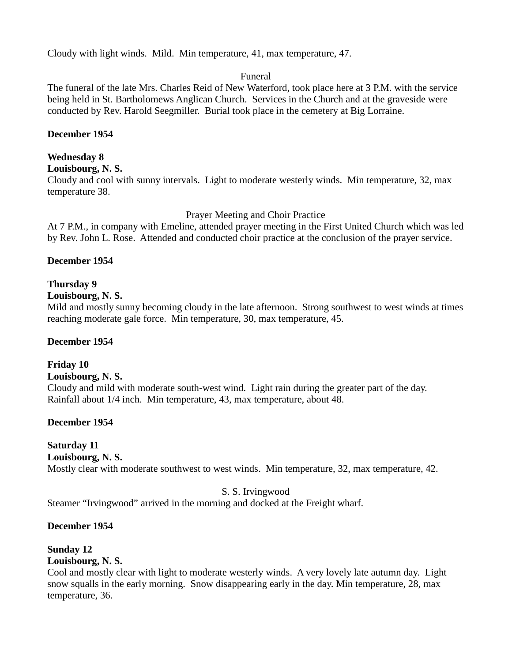Cloudy with light winds. Mild. Min temperature, 41, max temperature, 47.

# Funeral

The funeral of the late Mrs. Charles Reid of New Waterford, took place here at 3 P.M. with the service being held in St. Bartholomews Anglican Church. Services in the Church and at the graveside were conducted by Rev. Harold Seegmiller. Burial took place in the cemetery at Big Lorraine.

## **December 1954**

#### **Wednesday 8**

**Louisbourg, N. S.** 

Cloudy and cool with sunny intervals. Light to moderate westerly winds. Min temperature, 32, max temperature 38.

#### Prayer Meeting and Choir Practice

At 7 P.M., in company with Emeline, attended prayer meeting in the First United Church which was led by Rev. John L. Rose. Attended and conducted choir practice at the conclusion of the prayer service.

#### **December 1954**

#### **Thursday 9**

#### **Louisbourg, N. S.**

Mild and mostly sunny becoming cloudy in the late afternoon. Strong southwest to west winds at times reaching moderate gale force. Min temperature, 30, max temperature, 45.

#### **December 1954**

# **Friday 10**

#### **Louisbourg, N. S.**

Cloudy and mild with moderate south-west wind. Light rain during the greater part of the day. Rainfall about 1/4 inch. Min temperature, 43, max temperature, about 48.

# **December 1954**

# **Saturday 11**

#### **Louisbourg, N. S.**

Mostly clear with moderate southwest to west winds. Min temperature, 32, max temperature, 42.

# S. S. Irvingwood

Steamer "Irvingwood" arrived in the morning and docked at the Freight wharf.

#### **December 1954**

# **Sunday 12**

#### **Louisbourg, N. S.**

Cool and mostly clear with light to moderate westerly winds. A very lovely late autumn day. Light snow squalls in the early morning. Snow disappearing early in the day. Min temperature, 28, max temperature, 36.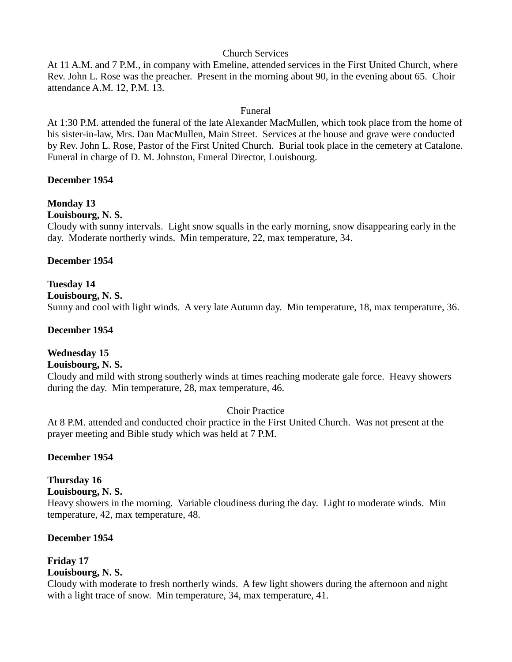# Church Services

At 11 A.M. and 7 P.M., in company with Emeline, attended services in the First United Church, where Rev. John L. Rose was the preacher. Present in the morning about 90, in the evening about 65. Choir attendance A.M. 12, P.M. 13.

# Funeral

At 1:30 P.M. attended the funeral of the late Alexander MacMullen, which took place from the home of his sister-in-law, Mrs. Dan MacMullen, Main Street. Services at the house and grave were conducted by Rev. John L. Rose, Pastor of the First United Church. Burial took place in the cemetery at Catalone. Funeral in charge of D. M. Johnston, Funeral Director, Louisbourg.

# **December 1954**

# **Monday 13**

**Louisbourg, N. S.** 

Cloudy with sunny intervals. Light snow squalls in the early morning, snow disappearing early in the day. Moderate northerly winds. Min temperature, 22, max temperature, 34.

# **December 1954**

# **Tuesday 14**

**Louisbourg, N. S.** 

Sunny and cool with light winds. A very late Autumn day. Min temperature, 18, max temperature, 36.

#### **December 1954**

# **Wednesday 15**

# **Louisbourg, N. S.**

Cloudy and mild with strong southerly winds at times reaching moderate gale force. Heavy showers during the day. Min temperature, 28, max temperature, 46.

Choir Practice

At 8 P.M. attended and conducted choir practice in the First United Church. Was not present at the prayer meeting and Bible study which was held at 7 P.M.

# **December 1954**

# **Thursday 16**

**Louisbourg, N. S.** 

Heavy showers in the morning. Variable cloudiness during the day. Light to moderate winds. Min temperature, 42, max temperature, 48.

# **December 1954**

#### **Friday 17 Louisbourg, N. S.**

Cloudy with moderate to fresh northerly winds. A few light showers during the afternoon and night with a light trace of snow. Min temperature, 34, max temperature, 41.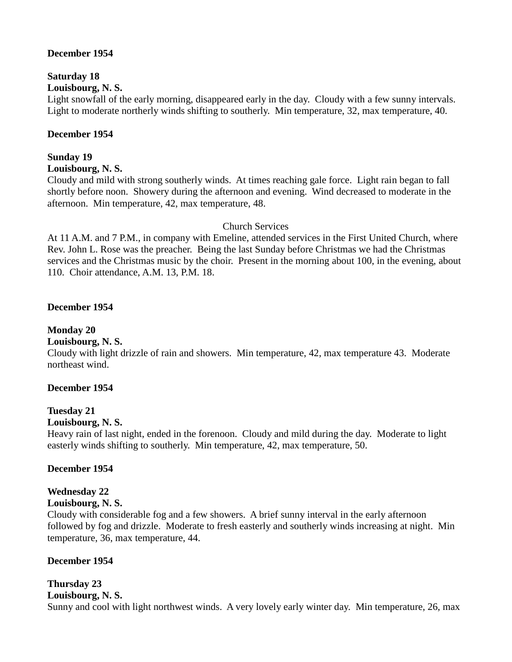# **December 1954**

# **Saturday 18**

**Louisbourg, N. S.** 

Light snowfall of the early morning, disappeared early in the day. Cloudy with a few sunny intervals. Light to moderate northerly winds shifting to southerly. Min temperature, 32, max temperature, 40.

## **December 1954**

#### **Sunday 19 Louisbourg, N. S.**

Cloudy and mild with strong southerly winds. At times reaching gale force. Light rain began to fall shortly before noon. Showery during the afternoon and evening. Wind decreased to moderate in the afternoon. Min temperature, 42, max temperature, 48.

#### Church Services

At 11 A.M. and 7 P.M., in company with Emeline, attended services in the First United Church, where Rev. John L. Rose was the preacher. Being the last Sunday before Christmas we had the Christmas services and the Christmas music by the choir. Present in the morning about 100, in the evening, about 110. Choir attendance, A.M. 13, P.M. 18.

#### **December 1954**

# **Monday 20**

#### **Louisbourg, N. S.**

Cloudy with light drizzle of rain and showers. Min temperature, 42, max temperature 43. Moderate northeast wind.

# **December 1954**

# **Tuesday 21**

#### **Louisbourg, N. S.**

Heavy rain of last night, ended in the forenoon. Cloudy and mild during the day. Moderate to light easterly winds shifting to southerly. Min temperature, 42, max temperature, 50.

# **December 1954**

# **Wednesday 22**

# **Louisbourg, N. S.**

Cloudy with considerable fog and a few showers. A brief sunny interval in the early afternoon followed by fog and drizzle. Moderate to fresh easterly and southerly winds increasing at night. Min temperature, 36, max temperature, 44.

# **December 1954**

# **Thursday 23 Louisbourg, N. S.**  Sunny and cool with light northwest winds. A very lovely early winter day. Min temperature, 26, max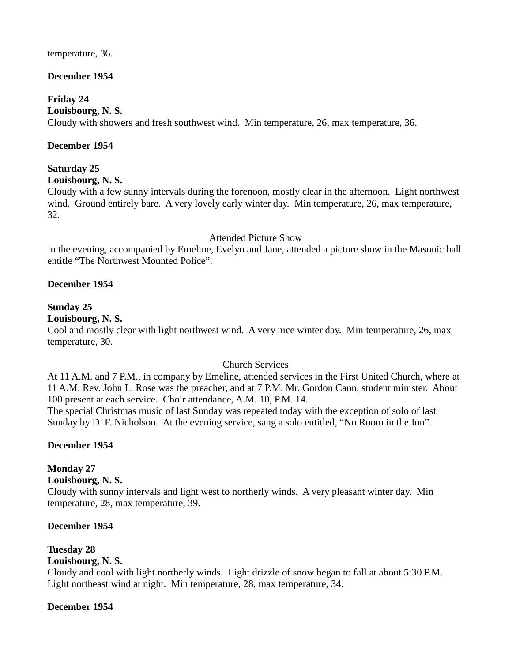#### temperature, 36.

# **December 1954**

# **Friday 24**

## **Louisbourg, N. S.**

Cloudy with showers and fresh southwest wind. Min temperature, 26, max temperature, 36.

## **December 1954**

# **Saturday 25**

#### **Louisbourg, N. S.**

Cloudy with a few sunny intervals during the forenoon, mostly clear in the afternoon. Light northwest wind. Ground entirely bare. A very lovely early winter day. Min temperature, 26, max temperature, 32.

#### Attended Picture Show

In the evening, accompanied by Emeline, Evelyn and Jane, attended a picture show in the Masonic hall entitle "The Northwest Mounted Police".

#### **December 1954**

#### **Sunday 25**

#### **Louisbourg, N. S.**

Cool and mostly clear with light northwest wind. A very nice winter day. Min temperature, 26, max temperature, 30.

# Church Services

At 11 A.M. and 7 P.M., in company by Emeline, attended services in the First United Church, where at 11 A.M. Rev. John L. Rose was the preacher, and at 7 P.M. Mr. Gordon Cann, student minister. About 100 present at each service. Choir attendance, A.M. 10, P.M. 14.

The special Christmas music of last Sunday was repeated today with the exception of solo of last Sunday by D. F. Nicholson. At the evening service, sang a solo entitled, "No Room in the Inn".

# **December 1954**

# **Monday 27**

#### **Louisbourg, N. S.**

Cloudy with sunny intervals and light west to northerly winds. A very pleasant winter day. Min temperature, 28, max temperature, 39.

# **December 1954**

# **Tuesday 28**

# **Louisbourg, N. S.**

Cloudy and cool with light northerly winds. Light drizzle of snow began to fall at about 5:30 P.M. Light northeast wind at night. Min temperature, 28, max temperature, 34.

# **December 1954**